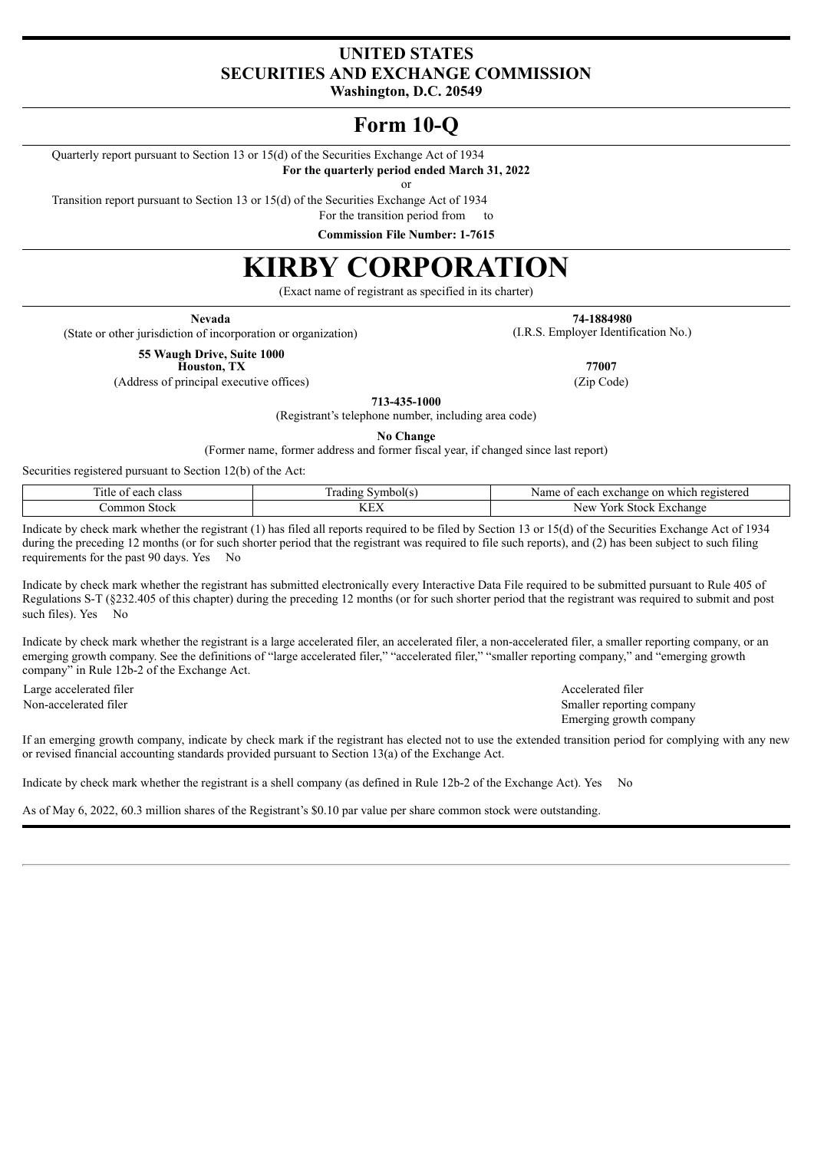# **UNITED STATES SECURITIES AND EXCHANGE COMMISSION**

**Washington, D.C. 20549**

# **Form 10-Q**

Quarterly report pursuant to Section 13 or 15(d) of the Securities Exchange Act of 1934

**For the quarterly period ended March 31, 2022**

or

Transition report pursuant to Section 13 or 15(d) of the Securities Exchange Act of 1934

For the transition period from to

**Commission File Number: 1-7615**

# **KIRBY CORPORATION**

(Exact name of registrant as specified in its charter)

(State or other jurisdiction of incorporation or organization) (I.R.S. Employer Identification No.)

**Nevada 74-1884980**

**55 Waugh Drive, Suite 1000 Houston, TX 77007**

(Address of principal executive offices) (Zip Code)

**713-435-1000**

(Registrant's telephone number, including area code)

**No Change**

(Former name, former address and former fiscal year, if changed since last report)

Securities registered pursuant to Section 12(b) of the Act:

| —<br>class<br>each<br><sub>1</sub> tle | $\overline{\phantom{a}}$<br>rading<br>symbol(s | registered<br>Name<br>$\sim$ 10<br>hange<br>which<br>each<br>$\alpha$<br>$\mathbf{u}$<br>πоπ<br>しへし |  |  |  |  |  |
|----------------------------------------|------------------------------------------------|-----------------------------------------------------------------------------------------------------|--|--|--|--|--|
| ommon<br>Stock                         | <b>TZTIX:</b><br>IYL Z                         | <b>New</b><br>stock<br>rork.<br>∹xchange                                                            |  |  |  |  |  |

Indicate by check mark whether the registrant (1) has filed all reports required to be filed by Section 13 or 15(d) of the Securities Exchange Act of 1934 during the preceding 12 months (or for such shorter period that the registrant was required to file such reports), and (2) has been subject to such filing requirements for the past 90 days. Yes No

Indicate by check mark whether the registrant has submitted electronically every Interactive Data File required to be submitted pursuant to Rule 405 of Regulations S-T (§232.405 of this chapter) during the preceding 12 months (or for such shorter period that the registrant was required to submit and post such files). Yes No

Indicate by check mark whether the registrant is a large accelerated filer, an accelerated filer, a non-accelerated filer, a smaller reporting company, or an emerging growth company. See the definitions of "large accelerated filer," "accelerated filer," "smaller reporting company," and "emerging growth company" in Rule 12b-2 of the Exchange Act.

Large accelerated filer Accelerated filer Accelerated filer

Non-accelerated filer Smaller reporting company Emerging growth company

If an emerging growth company, indicate by check mark if the registrant has elected not to use the extended transition period for complying with any new or revised financial accounting standards provided pursuant to Section 13(a) of the Exchange Act.

Indicate by check mark whether the registrant is a shell company (as defined in Rule 12b-2 of the Exchange Act). Yes No

As of May 6, 2022, 60.3 million shares of the Registrant's \$0.10 par value per share common stock were outstanding.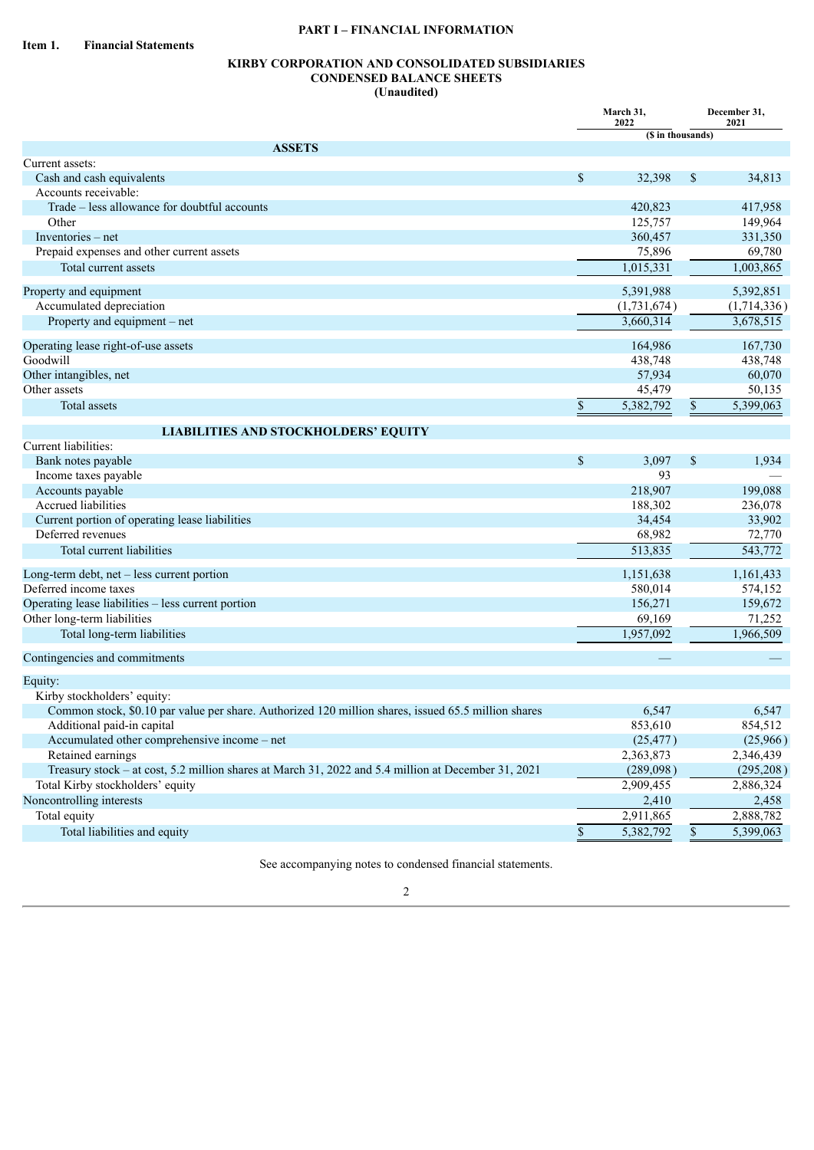## **PART I – FINANCIAL INFORMATION**

## **KIRBY CORPORATION AND CONSOLIDATED SUBSIDIARIES CONDENSED BALANCE SHEETS (Unaudited)**

|                                                                                                     | March 31,<br>2022 |                      |    | December 31,<br>2021 |
|-----------------------------------------------------------------------------------------------------|-------------------|----------------------|----|----------------------|
|                                                                                                     |                   | (\$ in thousands)    |    |                      |
| <b>ASSETS</b>                                                                                       |                   |                      |    |                      |
| Current assets:                                                                                     |                   |                      |    |                      |
| Cash and cash equivalents                                                                           | $\mathcal{S}$     | 32,398               | \$ | 34,813               |
| Accounts receivable:                                                                                |                   |                      |    |                      |
| Trade – less allowance for doubtful accounts                                                        |                   | 420,823              |    | 417,958              |
| Other                                                                                               |                   | 125,757              |    | 149,964              |
| Inventories – net                                                                                   |                   | 360,457              |    | 331,350              |
| Prepaid expenses and other current assets                                                           |                   | 75,896               |    | 69,780               |
| Total current assets                                                                                |                   | 1,015,331            |    | 1,003,865            |
| Property and equipment                                                                              |                   | 5,391,988            |    | 5,392,851            |
| Accumulated depreciation                                                                            |                   | (1,731,674)          |    | (1,714,336)          |
| Property and equipment – net                                                                        |                   | 3,660,314            |    | 3,678,515            |
| Operating lease right-of-use assets                                                                 |                   | 164,986              |    | 167,730              |
| Goodwill                                                                                            |                   | 438,748              |    | 438,748              |
| Other intangibles, net                                                                              |                   | 57,934               |    | 60,070               |
| Other assets                                                                                        |                   | 45,479               |    | 50,135               |
| <b>Total assets</b>                                                                                 | $\mathbb{S}$      | 5,382,792            | \$ | 5,399,063            |
|                                                                                                     |                   |                      |    |                      |
| <b>LIABILITIES AND STOCKHOLDERS' EQUITY</b><br>Current liabilities:                                 |                   |                      |    |                      |
| Bank notes payable                                                                                  | \$                | 3,097                | \$ | 1,934                |
| Income taxes payable                                                                                |                   | 93                   |    |                      |
| Accounts payable                                                                                    |                   | 218,907              |    | 199,088              |
| Accrued liabilities                                                                                 |                   | 188,302              |    | 236,078              |
| Current portion of operating lease liabilities                                                      |                   | 34,454               |    | 33,902               |
| Deferred revenues                                                                                   |                   | 68,982               |    | 72,770               |
| Total current liabilities                                                                           |                   | 513,835              |    | 543,772              |
|                                                                                                     |                   |                      |    |                      |
| Long-term debt, net - less current portion<br>Deferred income taxes                                 |                   | 1,151,638<br>580,014 |    | 1,161,433            |
|                                                                                                     |                   |                      |    | 574,152              |
| Operating lease liabilities - less current portion                                                  |                   | 156,271              |    | 159,672              |
| Other long-term liabilities                                                                         |                   | 69,169               |    | 71,252               |
| Total long-term liabilities                                                                         |                   | 1,957,092            |    | 1,966,509            |
| Contingencies and commitments                                                                       |                   |                      |    |                      |
| Equity:                                                                                             |                   |                      |    |                      |
| Kirby stockholders' equity:                                                                         |                   |                      |    |                      |
| Common stock, \$0.10 par value per share. Authorized 120 million shares, issued 65.5 million shares |                   | 6,547                |    | 6,547                |
| Additional paid-in capital                                                                          |                   | 853,610              |    | 854,512              |
| Accumulated other comprehensive income - net                                                        |                   | (25, 477)            |    | (25,966)             |
| Retained earnings                                                                                   |                   | 2,363,873            |    | 2,346,439            |
| Treasury stock – at cost, 5.2 million shares at March 31, 2022 and 5.4 million at December 31, 2021 |                   | (289,098)            |    | (295, 208)           |
| Total Kirby stockholders' equity                                                                    |                   | 2,909,455            |    | 2,886,324            |
| Noncontrolling interests                                                                            |                   | 2,410                |    | 2,458                |
| Total equity                                                                                        |                   | 2,911,865            |    | 2,888,782            |
| Total liabilities and equity                                                                        | $\$$              | 5,382,792            | \$ | 5,399,063            |
|                                                                                                     |                   |                      |    |                      |

See accompanying notes to condensed financial statements.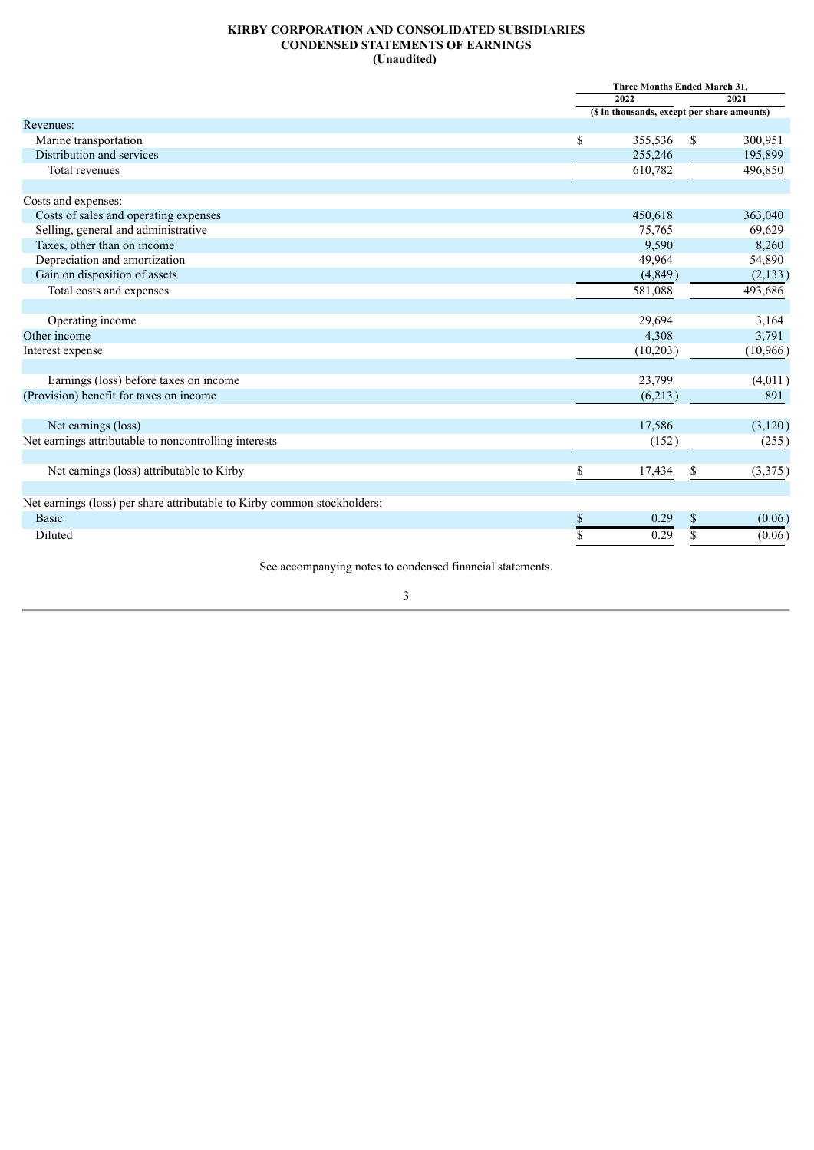#### **KIRBY CORPORATION AND CONSOLIDATED SUBSIDIARIES CONDENSED STATEMENTS OF EARNINGS (Unaudited)**

|                                                                          |             | Three Months Ended March 31,                |    |          |  |  |
|--------------------------------------------------------------------------|-------------|---------------------------------------------|----|----------|--|--|
|                                                                          |             | 2022                                        |    | 2021     |  |  |
|                                                                          |             | (\$ in thousands, except per share amounts) |    |          |  |  |
| Revenues:                                                                |             |                                             |    |          |  |  |
| Marine transportation                                                    | $\mathbf S$ | 355,536                                     | \$ | 300,951  |  |  |
| Distribution and services                                                |             | 255,246                                     |    | 195,899  |  |  |
| Total revenues                                                           |             | 610,782                                     |    | 496,850  |  |  |
| Costs and expenses:                                                      |             |                                             |    |          |  |  |
| Costs of sales and operating expenses                                    |             | 450,618                                     |    | 363,040  |  |  |
| Selling, general and administrative                                      |             | 75,765                                      |    | 69,629   |  |  |
| Taxes, other than on income                                              |             | 9,590                                       |    | 8,260    |  |  |
| Depreciation and amortization                                            |             | 49,964                                      |    | 54,890   |  |  |
| Gain on disposition of assets                                            |             | (4,849)                                     |    | (2,133)  |  |  |
| Total costs and expenses                                                 |             | 581,088                                     |    | 493,686  |  |  |
|                                                                          |             |                                             |    |          |  |  |
| Operating income                                                         |             | 29,694                                      |    | 3,164    |  |  |
| Other income                                                             |             | 4,308                                       |    | 3,791    |  |  |
| Interest expense                                                         |             | (10,203)                                    |    | (10,966) |  |  |
|                                                                          |             |                                             |    |          |  |  |
| Earnings (loss) before taxes on income                                   |             | 23,799                                      |    | (4,011)  |  |  |
| (Provision) benefit for taxes on income                                  |             | (6,213)                                     |    | 891      |  |  |
| Net earnings (loss)                                                      |             | 17,586                                      |    | (3,120)  |  |  |
| Net earnings attributable to noncontrolling interests                    |             | (152)                                       |    | (255)    |  |  |
| Net earnings (loss) attributable to Kirby                                | \$          | 17,434                                      | S. | (3,375)  |  |  |
|                                                                          |             |                                             |    |          |  |  |
| Net earnings (loss) per share attributable to Kirby common stockholders: |             |                                             |    |          |  |  |
| <b>Basic</b>                                                             | \$          | 0.29                                        | S  | (0.06)   |  |  |
| Diluted                                                                  |             | 0.29                                        |    | (0.06)   |  |  |
|                                                                          |             |                                             |    |          |  |  |

See accompanying notes to condensed financial statements.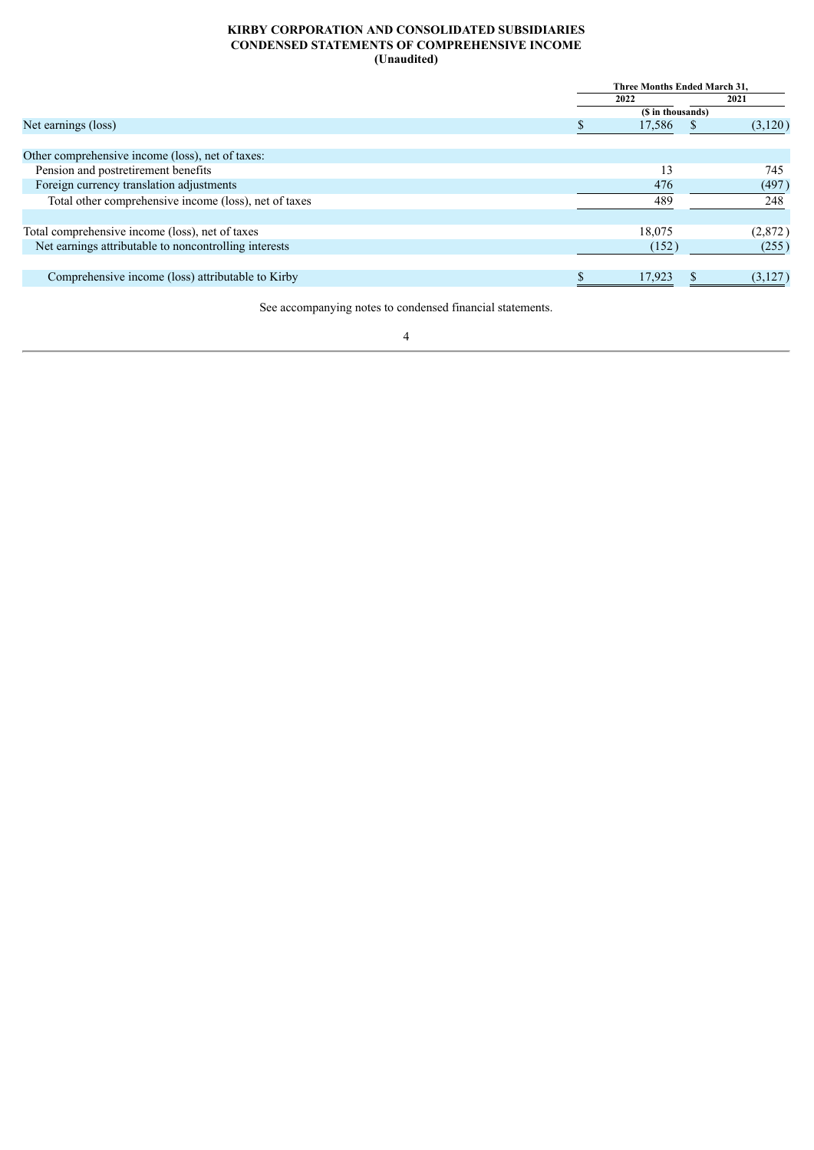#### **KIRBY CORPORATION AND CONSOLIDATED SUBSIDIARIES CONDENSED STATEMENTS OF COMPREHENSIVE INCOME (Unaudited)**

|                                                       |        | Three Months Ended March 31. |
|-------------------------------------------------------|--------|------------------------------|
|                                                       | 2022   | 2021                         |
|                                                       |        | (\$ in thousands)            |
| Net earnings (loss)                                   | 17,586 | (3,120)                      |
|                                                       |        |                              |
| Other comprehensive income (loss), net of taxes:      |        |                              |
| Pension and postretirement benefits                   |        | 13<br>745                    |
| Foreign currency translation adjustments              |        | 476<br>(497)                 |
| Total other comprehensive income (loss), net of taxes |        | 489<br>248                   |
|                                                       |        |                              |
| Total comprehensive income (loss), net of taxes       | 18,075 | (2,872)                      |
| Net earnings attributable to noncontrolling interests |        | (152)<br>(255)               |
|                                                       |        |                              |
| Comprehensive income (loss) attributable to Kirby     | 17.923 | (3,127)                      |
|                                                       |        |                              |

See accompanying notes to condensed financial statements.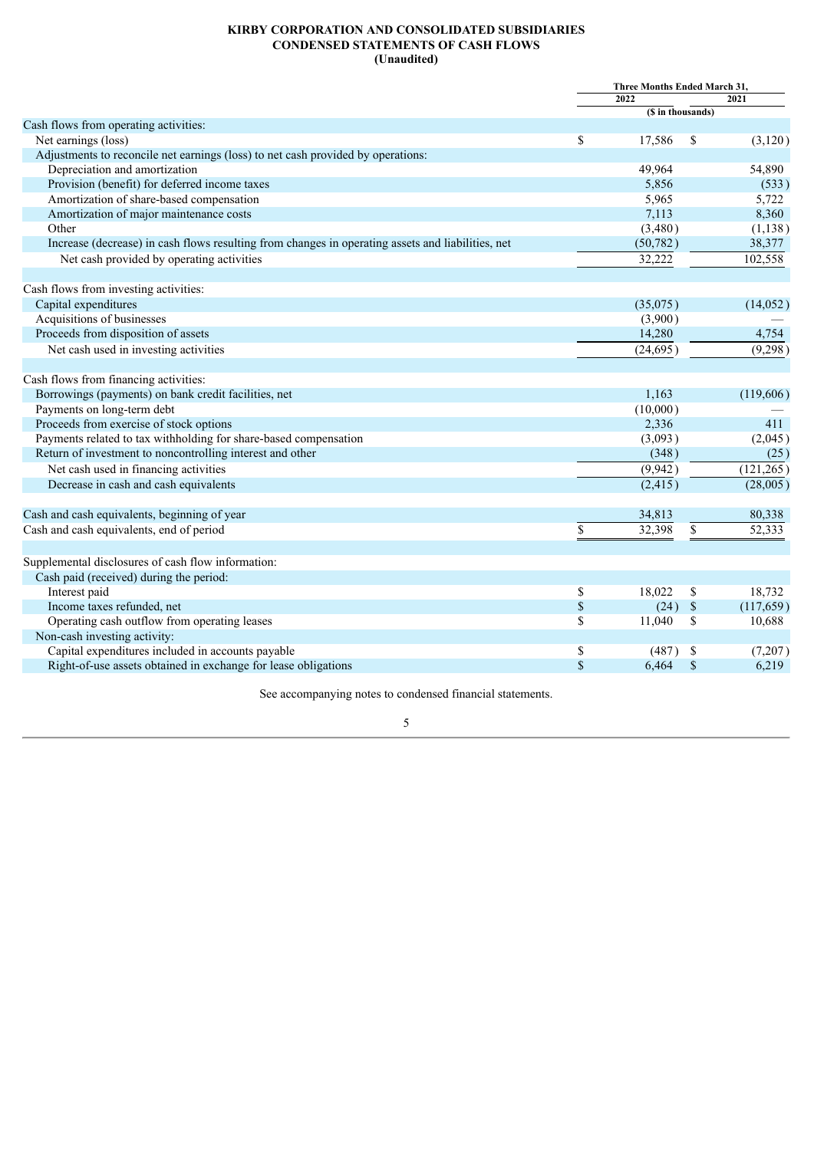#### **KIRBY CORPORATION AND CONSOLIDATED SUBSIDIARIES CONDENSED STATEMENTS OF CASH FLOWS (Unaudited)**

|                                                                                                   | Three Months Ended March 31, |                   |             |            |  |  |
|---------------------------------------------------------------------------------------------------|------------------------------|-------------------|-------------|------------|--|--|
|                                                                                                   |                              | 2022              |             | 2021       |  |  |
|                                                                                                   |                              | (\$ in thousands) |             |            |  |  |
| Cash flows from operating activities:                                                             |                              |                   |             |            |  |  |
| Net earnings (loss)                                                                               | \$                           | 17,586            | \$          | (3, 120)   |  |  |
| Adjustments to reconcile net earnings (loss) to net cash provided by operations:                  |                              |                   |             |            |  |  |
| Depreciation and amortization                                                                     |                              | 49,964            |             | 54,890     |  |  |
| Provision (benefit) for deferred income taxes                                                     |                              | 5,856             |             | (533)      |  |  |
| Amortization of share-based compensation                                                          |                              | 5,965             |             | 5,722      |  |  |
| Amortization of major maintenance costs                                                           |                              | 7,113             |             | 8,360      |  |  |
| Other                                                                                             |                              | (3,480)           |             | (1, 138)   |  |  |
| Increase (decrease) in cash flows resulting from changes in operating assets and liabilities, net |                              | (50, 782)         |             | 38,377     |  |  |
| Net cash provided by operating activities                                                         |                              | 32,222            |             | 102,558    |  |  |
| Cash flows from investing activities:                                                             |                              |                   |             |            |  |  |
| Capital expenditures                                                                              |                              | (35,075)          |             | (14, 052)  |  |  |
| Acquisitions of businesses                                                                        |                              | (3,900)           |             |            |  |  |
| Proceeds from disposition of assets                                                               |                              | 14,280            |             | 4,754      |  |  |
| Net cash used in investing activities                                                             |                              | (24, 695)         |             | (9,298)    |  |  |
| Cash flows from financing activities:                                                             |                              |                   |             |            |  |  |
| Borrowings (payments) on bank credit facilities, net                                              |                              | 1,163             |             | (119,606)  |  |  |
| Payments on long-term debt                                                                        |                              | (10,000)          |             |            |  |  |
| Proceeds from exercise of stock options                                                           |                              | 2,336             |             | 411        |  |  |
| Payments related to tax withholding for share-based compensation                                  |                              | (3,093)           |             | (2,045)    |  |  |
| Return of investment to noncontrolling interest and other                                         |                              | (348)             |             | (25)       |  |  |
| Net cash used in financing activities                                                             |                              | (9,942)           |             | (121, 265) |  |  |
| Decrease in cash and cash equivalents                                                             |                              | (2, 415)          |             | (28,005)   |  |  |
| Cash and cash equivalents, beginning of year                                                      |                              | 34,813            |             | 80,338     |  |  |
| Cash and cash equivalents, end of period                                                          | \$                           | 32,398            | \$          | 52,333     |  |  |
|                                                                                                   |                              |                   |             |            |  |  |
| Supplemental disclosures of cash flow information:                                                |                              |                   |             |            |  |  |
| Cash paid (received) during the period:                                                           |                              |                   |             |            |  |  |
| Interest paid                                                                                     | \$                           | 18,022            | \$          | 18,732     |  |  |
| Income taxes refunded, net                                                                        | $\$$                         | (24)              | $\mathbb S$ | (117, 659) |  |  |
| Operating cash outflow from operating leases                                                      | \$                           | 11,040            | \$          | 10,688     |  |  |
| Non-cash investing activity:                                                                      |                              |                   |             |            |  |  |
| Capital expenditures included in accounts payable                                                 | \$                           | (487)             | -S          | (7,207)    |  |  |
| Right-of-use assets obtained in exchange for lease obligations                                    | \$                           | 6,464             | $\mathbf S$ | 6,219      |  |  |
|                                                                                                   |                              |                   |             |            |  |  |

See accompanying notes to condensed financial statements.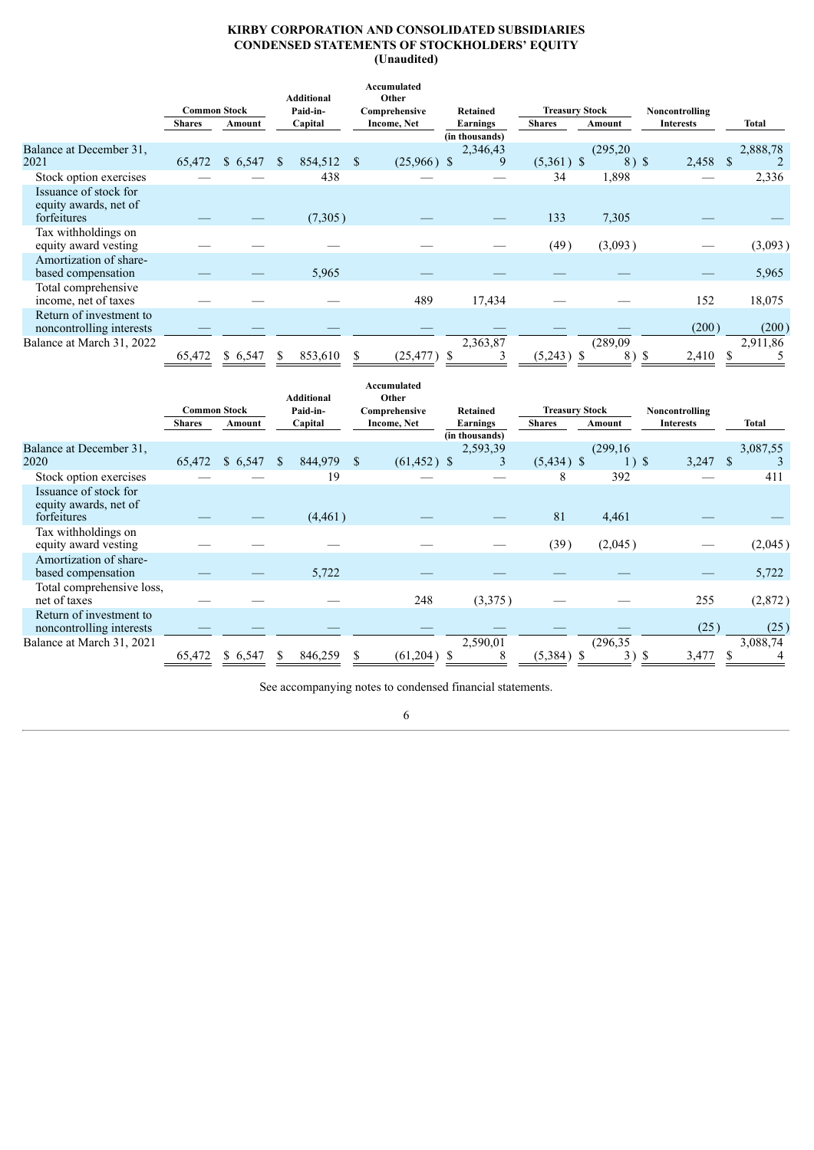#### **KIRBY CORPORATION AND CONSOLIDATED SUBSIDIARIES CONDENSED STATEMENTS OF STOCKHOLDERS' EQUITY (Unaudited)**

|                                                               | <b>Common Stock</b> |          |              | <b>Additional</b><br>Paid-in- | Accumulated<br>Other<br>Comprehensive | Retained                        | <b>Treasury Stock</b> |                    | Noncontrolling   |              |
|---------------------------------------------------------------|---------------------|----------|--------------|-------------------------------|---------------------------------------|---------------------------------|-----------------------|--------------------|------------------|--------------|
|                                                               | <b>Shares</b>       | Amount   |              | Capital                       | Income, Net                           | Earnings                        | <b>Shares</b>         | Amount             | <b>Interests</b> | <b>Total</b> |
| Balance at December 31.<br>2021                               | 65,472              | \$6,547  | <sup>S</sup> | 854,512                       | $(25,966)$ \$                         | (in thousands)<br>2,346,43<br>9 | $(5,361)$ \$          | (295, 20)<br>8) \$ | 2,458 \$         | 2,888,78     |
| Stock option exercises                                        |                     |          |              | 438                           |                                       |                                 | 34                    | 1,898              |                  | 2,336        |
| Issuance of stock for<br>equity awards, net of<br>forfeitures |                     |          |              | (7,305)                       |                                       |                                 | 133                   | 7,305              |                  |              |
| Tax withholdings on<br>equity award vesting                   |                     |          |              |                               |                                       |                                 | (49)                  | (3,093)            |                  | (3,093)      |
| Amortization of share-<br>based compensation                  |                     |          |              | 5,965                         |                                       |                                 |                       |                    |                  | 5,965        |
| Total comprehensive<br>income, net of taxes                   |                     |          |              |                               | 489                                   | 17,434                          |                       |                    | 152              | 18,075       |
| Return of investment to<br>noncontrolling interests           |                     |          |              |                               |                                       |                                 |                       |                    | (200)            | (200)        |
| Balance at March 31, 2022                                     |                     |          |              |                               |                                       | 2,363,87                        |                       | (289,09)           |                  | 2,911,86     |
|                                                               | 65,472              | \$ 6,547 | S            | 853,610                       | (25, 477)                             |                                 | $(5,243)$ \$          | 8) \$              | 2,410            |              |

|                                                               | <b>Common Stock</b> |         |              | <b>Additional</b><br>Paid-in- | Accumulated<br>Other<br>Comprehensive | Retained                          | <b>Treasury Stock</b> |                      | Noncontrolling   |                  |
|---------------------------------------------------------------|---------------------|---------|--------------|-------------------------------|---------------------------------------|-----------------------------------|-----------------------|----------------------|------------------|------------------|
|                                                               | <b>Shares</b>       | Amount  |              | Capital                       | Income, Net                           | <b>Earnings</b><br>(in thousands) | <b>Shares</b>         | Amount               | <b>Interests</b> | Total            |
| Balance at December 31.<br>2020                               | 65,472              | \$6,547 | <sup>S</sup> | 844,979                       | $(61, 452)$ \$                        | 2,593,39<br>3                     | $(5,434)$ \$          | (299, 16)<br>$1)$ \$ | 3,247            | 3,087,55<br>- \$ |
| Stock option exercises                                        |                     |         |              | 19                            |                                       |                                   | 8                     | 392                  |                  | 411              |
| Issuance of stock for<br>equity awards, net of<br>forfeitures |                     |         |              | (4, 461)                      |                                       |                                   | 81                    | 4,461                |                  |                  |
| Tax withholdings on<br>equity award vesting                   |                     |         |              |                               |                                       |                                   | (39)                  | (2,045)              |                  | (2,045)          |
| Amortization of share-<br>based compensation                  |                     |         |              | 5,722                         |                                       |                                   |                       |                      |                  | 5,722            |
| Total comprehensive loss,<br>net of taxes                     |                     |         |              |                               | 248                                   | (3,375)                           |                       |                      | 255              | (2,872)          |
| Return of investment to<br>noncontrolling interests           |                     |         |              |                               |                                       |                                   |                       |                      | (25)             | (25)             |
| Balance at March 31, 2021                                     |                     |         |              |                               |                                       | 2,590,01                          |                       | (296, 35)            |                  | 3,088,74         |
|                                                               | 65,472              | \$6,547 |              | 846,259                       | $(61,204)$ \$                         | 8                                 | $(5,384)$ \$          | $3)$ \$              | 3,477            | 4                |

See accompanying notes to condensed financial statements.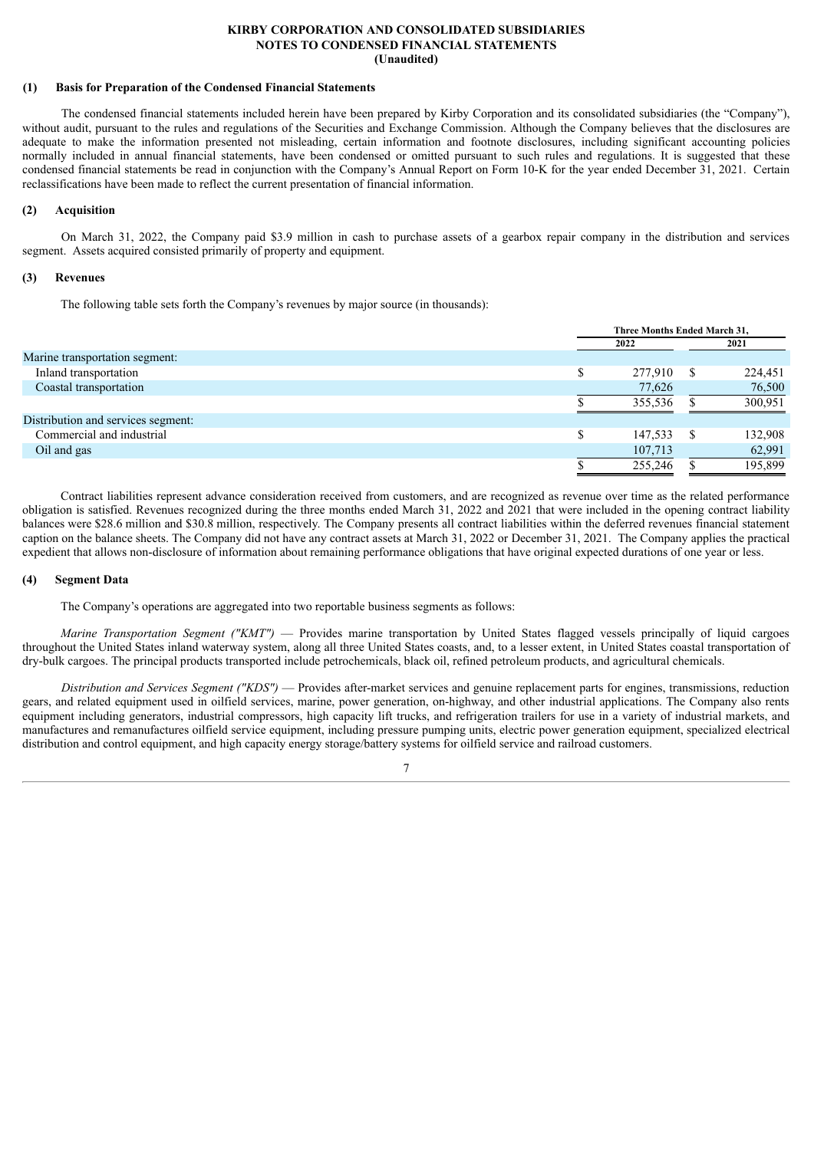#### **KIRBY CORPORATION AND CONSOLIDATED SUBSIDIARIES NOTES TO CONDENSED FINANCIAL STATEMENTS (Unaudited)**

## **(1) Basis for Preparation of the Condensed Financial Statements**

The condensed financial statements included herein have been prepared by Kirby Corporation and its consolidated subsidiaries (the "Company"), without audit, pursuant to the rules and regulations of the Securities and Exchange Commission. Although the Company believes that the disclosures are adequate to make the information presented not misleading, certain information and footnote disclosures, including significant accounting policies normally included in annual financial statements, have been condensed or omitted pursuant to such rules and regulations. It is suggested that these condensed financial statements be read in conjunction with the Company's Annual Report on Form 10-K for the year ended December 31, 2021. Certain reclassifications have been made to reflect the current presentation of financial information.

#### **(2) Acquisition**

On March 31, 2022, the Company paid \$3.9 million in cash to purchase assets of a gearbox repair company in the distribution and services segment. Assets acquired consisted primarily of property and equipment.

#### **(3) Revenues**

The following table sets forth the Company's revenues by major source (in thousands):

| Three Months Ended March 31, |   |         |  |
|------------------------------|---|---------|--|
| 2022                         |   | 2021    |  |
|                              |   |         |  |
| 277,910                      | S | 224,451 |  |
| 77,626                       |   | 76,500  |  |
| 355.536                      |   | 300,951 |  |
|                              |   |         |  |
| 147,533                      | S | 132,908 |  |
| 107,713                      |   | 62,991  |  |
| 255,246                      |   | 195,899 |  |
|                              |   |         |  |

Contract liabilities represent advance consideration received from customers, and are recognized as revenue over time as the related performance obligation is satisfied. Revenues recognized during the three months ended March 31, 2022 and 2021 that were included in the opening contract liability balances were \$28.6 million and \$30.8 million, respectively. The Company presents all contract liabilities within the deferred revenues financial statement caption on the balance sheets. The Company did not have any contract assets at March 31, 2022 or December 31, 2021. The Company applies the practical expedient that allows non-disclosure of information about remaining performance obligations that have original expected durations of one year or less.

#### **(4) Segment Data**

The Company's operations are aggregated into two reportable business segments as follows:

*Marine Transportation Segment ("KMT")* — Provides marine transportation by United States flagged vessels principally of liquid cargoes throughout the United States inland waterway system, along all three United States coasts, and, to a lesser extent, in United States coastal transportation of dry-bulk cargoes. The principal products transported include petrochemicals, black oil, refined petroleum products, and agricultural chemicals.

*Distribution and Services Segment ("KDS")* — Provides after-market services and genuine replacement parts for engines, transmissions, reduction gears, and related equipment used in oilfield services, marine, power generation, on-highway, and other industrial applications. The Company also rents equipment including generators, industrial compressors, high capacity lift trucks, and refrigeration trailers for use in a variety of industrial markets, and manufactures and remanufactures oilfield service equipment, including pressure pumping units, electric power generation equipment, specialized electrical distribution and control equipment, and high capacity energy storage/battery systems for oilfield service and railroad customers.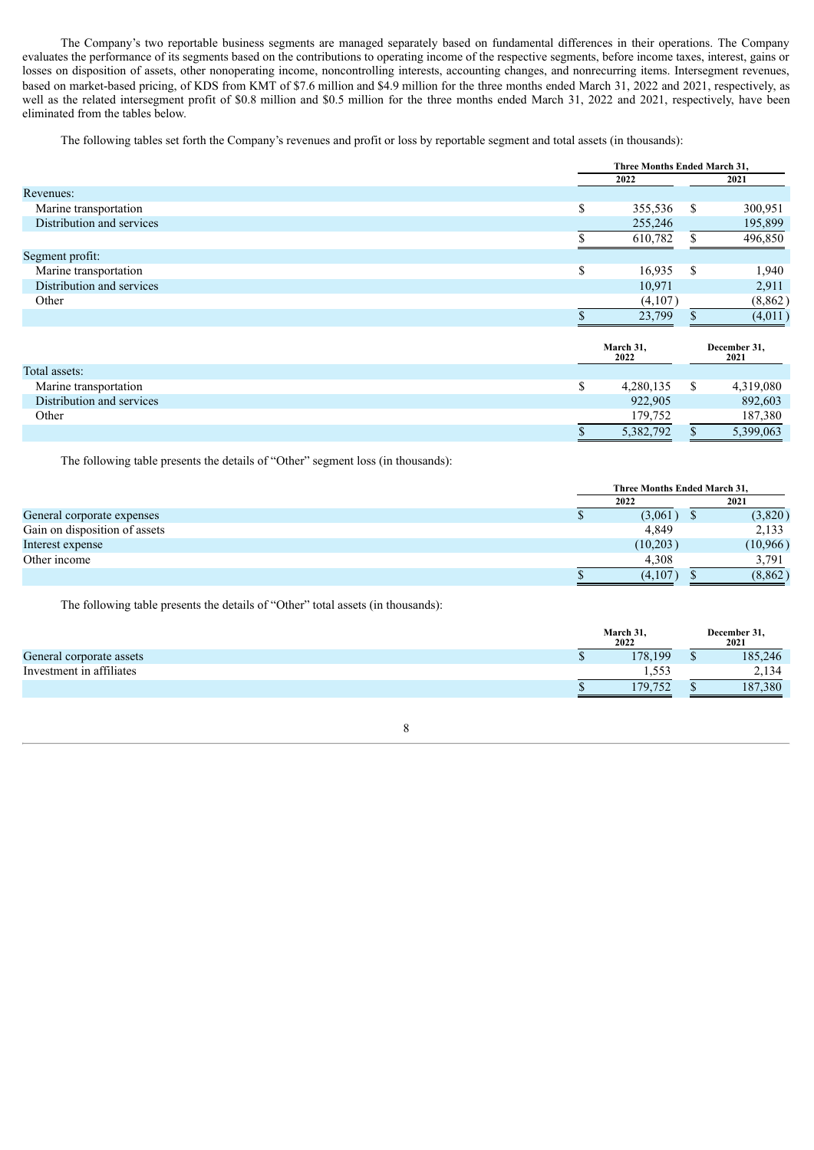The Company's two reportable business segments are managed separately based on fundamental differences in their operations. The Company evaluates the performance of its segments based on the contributions to operating income of the respective segments, before income taxes, interest, gains or losses on disposition of assets, other nonoperating income, noncontrolling interests, accounting changes, and nonrecurring items. Intersegment revenues, based on market-based pricing, of KDS from KMT of \$7.6 million and \$4.9 million for the three months ended March 31, 2022 and 2021, respectively, as well as the related intersegment profit of \$0.8 million and \$0.5 million for the three months ended March 31, 2022 and 2021, respectively, have been eliminated from the tables below.

The following tables set forth the Company's revenues and profit or loss by reportable segment and total assets (in thousands):

|                           |    | Three Months Ended March 31, |   |          |  |
|---------------------------|----|------------------------------|---|----------|--|
|                           |    | 2022                         |   | 2021     |  |
| Revenues:                 |    |                              |   |          |  |
| Marine transportation     | \$ | 355,536                      | S | 300,951  |  |
| Distribution and services |    | 255,246                      |   | 195,899  |  |
|                           |    | 610,782                      |   | 496,850  |  |
| Segment profit:           |    |                              |   |          |  |
| Marine transportation     | S  | 16,935                       | S | 1,940    |  |
| Distribution and services |    | 10,971                       |   | 2,911    |  |
| Other                     |    | (4,107)                      |   | (8, 862) |  |
|                           |    | 23,799                       |   | (4,011)  |  |

|                           | March 31,<br>2022 | December 31,<br>2021 |
|---------------------------|-------------------|----------------------|
| Total assets:             |                   |                      |
| Marine transportation     | 4,280,135         | 4,319,080            |
| Distribution and services | 922,905           | 892,603              |
| Other                     | 179.752           | 187,380              |
|                           | 5,382,792         | 5,399,063            |

The following table presents the details of "Other" segment loss (in thousands):

|                               |      | Three Months Ended March 31. |          |  |  |
|-------------------------------|------|------------------------------|----------|--|--|
|                               | 2022 |                              | 2021     |  |  |
| General corporate expenses    |      | (3,061)                      | (3,820)  |  |  |
| Gain on disposition of assets |      | 4.849                        | 2,133    |  |  |
| Interest expense              |      | (10,203)                     | (10,966) |  |  |
| Other income                  |      | 4.308                        | 3.791    |  |  |
|                               |      | (4,107)                      | (8, 862) |  |  |

The following table presents the details of "Other" total assets (in thousands):

|                          | March 31,<br>2022 | December 31,<br>2021 |
|--------------------------|-------------------|----------------------|
| General corporate assets | 178.199           | 185,246              |
| Investment in affiliates | .553              | 2,134                |
|                          | 179.752           | 187,380              |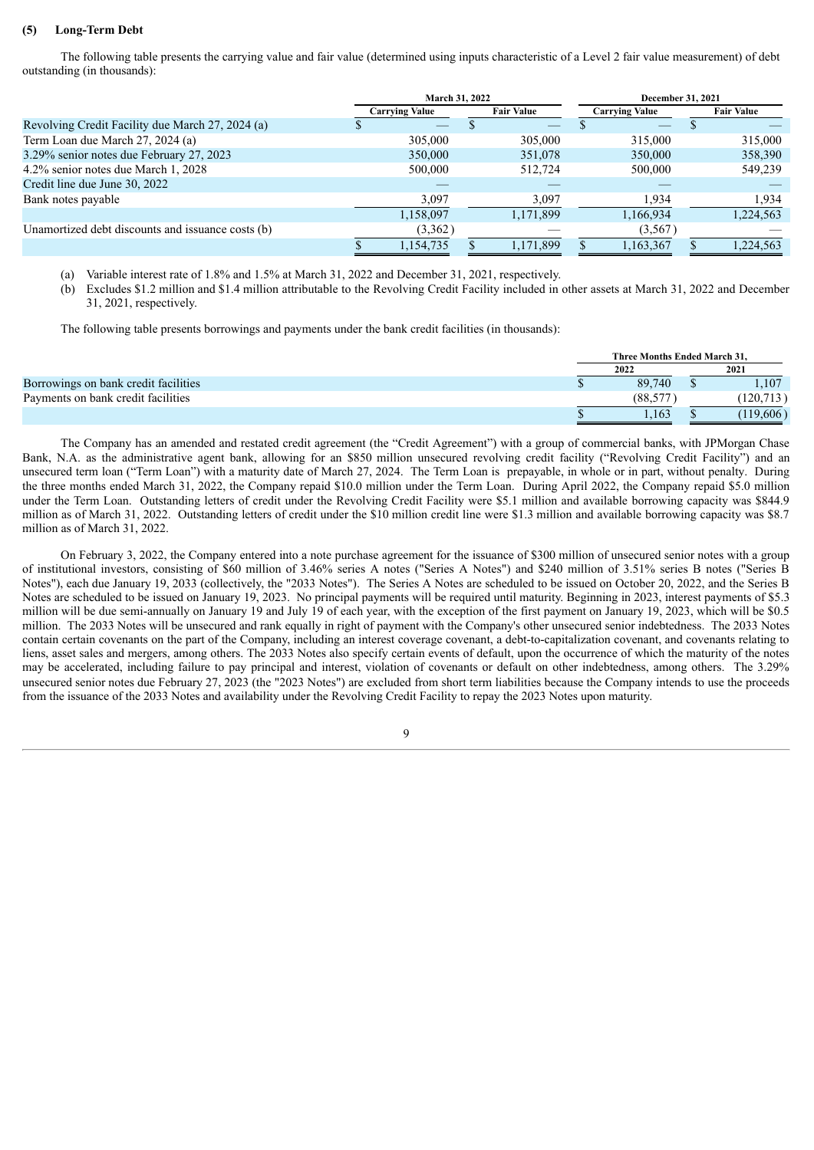#### **(5) Long-Term Debt**

The following table presents the carrying value and fair value (determined using inputs characteristic of a Level 2 fair value measurement) of debt outstanding (in thousands):

|                                                   |                       | <b>March 31, 2022</b> | <b>December 31, 2021</b> |                   |  |  |
|---------------------------------------------------|-----------------------|-----------------------|--------------------------|-------------------|--|--|
|                                                   | <b>Carrying Value</b> | <b>Fair Value</b>     |                          | <b>Fair Value</b> |  |  |
| Revolving Credit Facility due March 27, 2024 (a)  |                       |                       |                          |                   |  |  |
| Term Loan due March 27, 2024 (a)                  | 305,000               | 305,000               | 315,000                  | 315,000           |  |  |
| 3.29% senior notes due February 27, 2023          | 350,000               | 351,078               | 350,000                  | 358,390           |  |  |
| 4.2% senior notes due March 1, 2028               | 500,000               | 512,724               | 500,000                  | 549,239           |  |  |
| Credit line due June 30, 2022                     |                       |                       |                          |                   |  |  |
| Bank notes payable                                | 3,097                 | 3,097                 | 1,934                    | 1,934             |  |  |
|                                                   | 1,158,097             | 1,171,899             | 1,166,934                | 1,224,563         |  |  |
| Unamortized debt discounts and issuance costs (b) | (3,362)               |                       | (3,567)                  |                   |  |  |
|                                                   | 1,154,735             | 1,171,899             | 1,163,367                | 1,224,563         |  |  |

(a) Variable interest rate of 1.8% and 1.5% at March 31, 2022 and December 31, 2021, respectively.

(b) Excludes \$1.2 million and \$1.4 million attributable to the Revolving Credit Facility included in other assets at March 31, 2022 and December 31, 2021, respectively.

The following table presents borrowings and payments under the bank credit facilities (in thousands):

|                                      | Three Months Ended March 31. |  |           |  |  |
|--------------------------------------|------------------------------|--|-----------|--|--|
|                                      | 2022                         |  | 2021      |  |  |
| Borrowings on bank credit facilities | 89.740                       |  | .107      |  |  |
| Payments on bank credit facilities   | (88.577)                     |  | (120.713) |  |  |
|                                      | .163                         |  | (119,606) |  |  |

The Company has an amended and restated credit agreement (the "Credit Agreement") with a group of commercial banks, with JPMorgan Chase Bank, N.A. as the administrative agent bank, allowing for an \$850 million unsecured revolving credit facility ("Revolving Credit Facility") and an unsecured term loan ("Term Loan") with a maturity date of March 27, 2024. The Term Loan is prepayable, in whole or in part, without penalty. During the three months ended March 31, 2022, the Company repaid \$10.0 million under the Term Loan. During April 2022, the Company repaid \$5.0 million under the Term Loan. Outstanding letters of credit under the Revolving Credit Facility were \$5.1 million and available borrowing capacity was \$844.9 million as of March 31, 2022. Outstanding letters of credit under the \$10 million credit line were \$1.3 million and available borrowing capacity was \$8.7 million as of March 31, 2022.

On February 3, 2022, the Company entered into a note purchase agreement for the issuance of \$300 million of unsecured senior notes with a group of institutional investors, consisting of \$60 million of 3.46% series A notes ("Series A Notes") and \$240 million of 3.51% series B notes ("Series B Notes"), each due January 19, 2033 (collectively, the "2033 Notes"). The Series A Notes are scheduled to be issued on October 20, 2022, and the Series B Notes are scheduled to be issued on January 19, 2023. No principal payments will be required until maturity. Beginning in 2023, interest payments of \$5.3 million will be due semi-annually on January 19 and July 19 of each year, with the exception of the first payment on January 19, 2023, which will be \$0.5 million. The 2033 Notes will be unsecured and rank equally in right of payment with the Company's other unsecured senior indebtedness. The 2033 Notes contain certain covenants on the part of the Company, including an interest coverage covenant, a debt-to-capitalization covenant, and covenants relating to liens, asset sales and mergers, among others. The 2033 Notes also specify certain events of default, upon the occurrence of which the maturity of the notes may be accelerated, including failure to pay principal and interest, violation of covenants or default on other indebtedness, among others. The 3.29% unsecured senior notes due February 27, 2023 (the "2023 Notes") are excluded from short term liabilities because the Company intends to use the proceeds from the issuance of the 2033 Notes and availability under the Revolving Credit Facility to repay the 2023 Notes upon maturity.

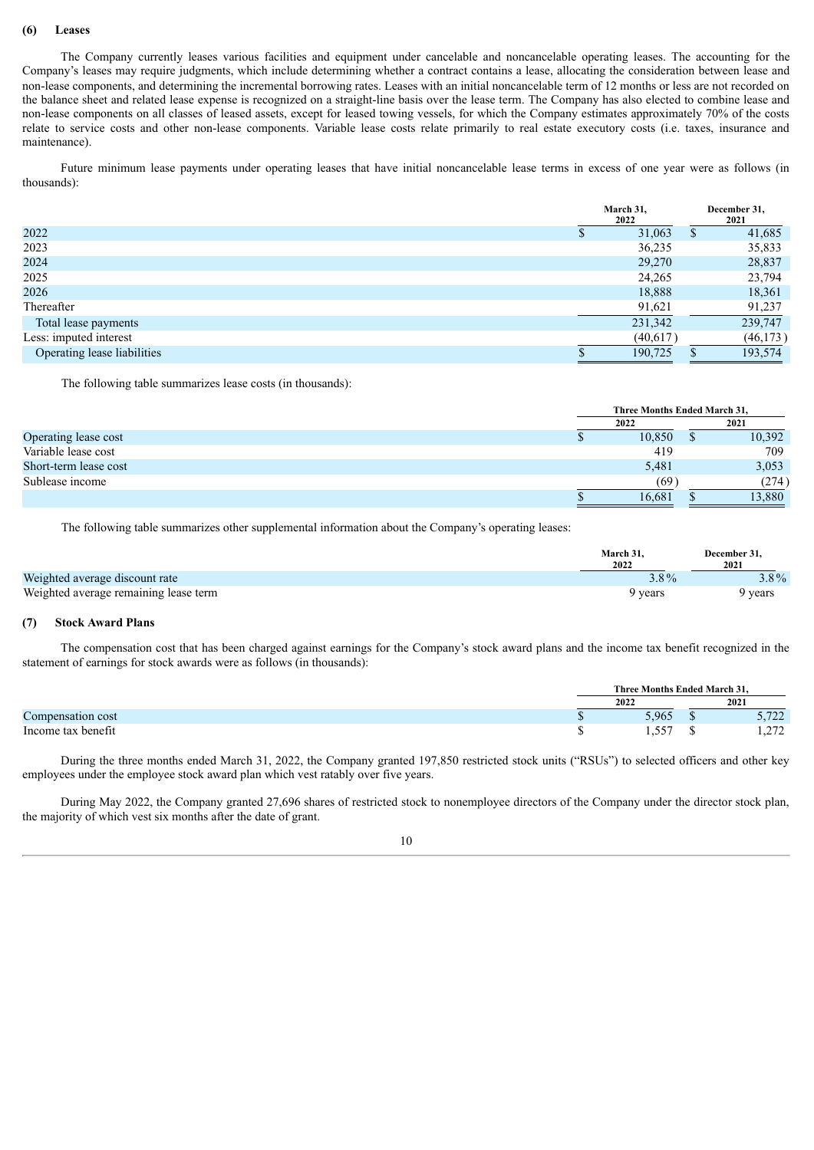#### **(6) Leases**

The Company currently leases various facilities and equipment under cancelable and noncancelable operating leases. The accounting for the Company's leases may require judgments, which include determining whether a contract contains a lease, allocating the consideration between lease and non-lease components, and determining the incremental borrowing rates. Leases with an initial noncancelable term of 12 months or less are not recorded on the balance sheet and related lease expense is recognized on a straight-line basis over the lease term. The Company has also elected to combine lease and non-lease components on all classes of leased assets, except for leased towing vessels, for which the Company estimates approximately 70% of the costs relate to service costs and other non-lease components. Variable lease costs relate primarily to real estate executory costs (i.e. taxes, insurance and maintenance).

Future minimum lease payments under operating leases that have initial noncancelable lease terms in excess of one year were as follows (in thousands):

|                             | March 31,<br>2022 | December 31,<br>2021 |
|-----------------------------|-------------------|----------------------|
| 2022                        | 31,063            | 41,685               |
| 2023                        | 36,235            | 35,833               |
| 2024                        | 29,270            | 28,837               |
| 2025                        | 24,265            | 23,794               |
| 2026                        | 18,888            | 18,361               |
| Thereafter                  | 91,621            | 91,237               |
| Total lease payments        | 231,342           | 239,747              |
| Less: imputed interest      | (40,617)          | (46, 173)            |
| Operating lease liabilities | 190,725           | 193,574              |

The following table summarizes lease costs (in thousands):

|                       |  | Three Months Ended March 31. |  |        |  |  |
|-----------------------|--|------------------------------|--|--------|--|--|
|                       |  | 2022                         |  | 2021   |  |  |
| Operating lease cost  |  | 10,850                       |  | 10,392 |  |  |
| Variable lease cost   |  | 419                          |  | 709    |  |  |
| Short-term lease cost |  | 5,481                        |  | 3,053  |  |  |
| Sublease income       |  | (69)                         |  | (274)  |  |  |
|                       |  | 16,681                       |  | 13,880 |  |  |

The following table summarizes other supplemental information about the Company's operating leases:

|                                       | March 31.<br>2022 | <b>December 31.</b><br>2021 |
|---------------------------------------|-------------------|-----------------------------|
| Weighted average discount rate        | $3.8\%$           | $3.8\%$                     |
| Weighted average remaining lease term | 9 vears           | 9 years                     |

### **(7) Stock Award Plans**

The compensation cost that has been charged against earnings for the Company's stock award plans and the income tax benefit recognized in the statement of earnings for stock awards were as follows (in thousands):

|                    |   | Three Months Ended March 31. |  |                                  |  |  |
|--------------------|---|------------------------------|--|----------------------------------|--|--|
|                    |   | 2022                         |  | 2021                             |  |  |
| Compensation cost  | w | 5,965                        |  | רמד:<br>$J$ , $I$ $L$ $L$        |  |  |
| Income tax benefit |   | 557<br>.                     |  | 272<br>$\perp$ , $\perp$ $\perp$ |  |  |

During the three months ended March 31, 2022, the Company granted 197,850 restricted stock units ("RSUs") to selected officers and other key employees under the employee stock award plan which vest ratably over five years.

During May 2022, the Company granted 27,696 shares of restricted stock to nonemployee directors of the Company under the director stock plan, the majority of which vest six months after the date of grant.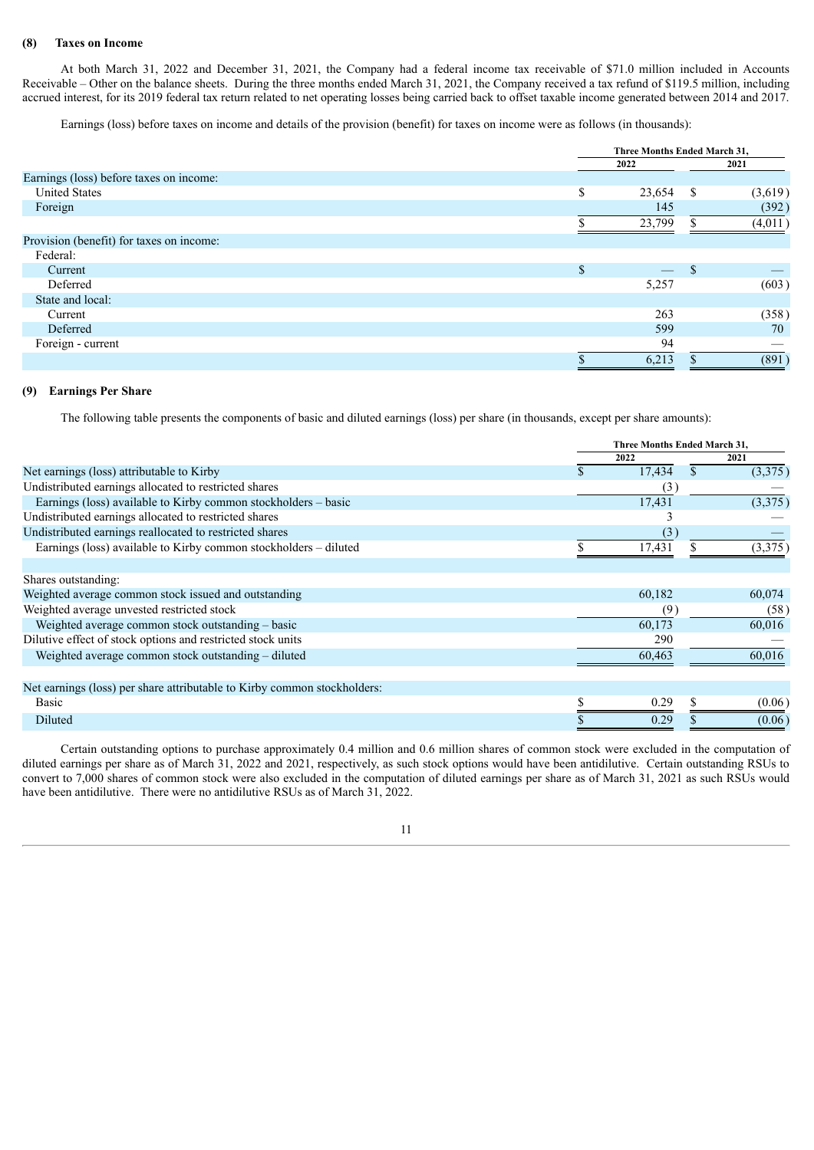#### **(8) Taxes on Income**

At both March 31, 2022 and December 31, 2021, the Company had a federal income tax receivable of \$71.0 million included in Accounts Receivable – Other on the balance sheets. During the three months ended March 31, 2021, the Company received a tax refund of \$119.5 million, including accrued interest, for its 2019 federal tax return related to net operating losses being carried back to offset taxable income generated between 2014 and 2017.

Earnings (loss) before taxes on income and details of the provision (benefit) for taxes on income were as follows (in thousands):

|                                          |               | Three Months Ended March 31, |               |         |  |
|------------------------------------------|---------------|------------------------------|---------------|---------|--|
|                                          |               | 2022                         |               | 2021    |  |
| Earnings (loss) before taxes on income:  |               |                              |               |         |  |
| <b>United States</b>                     | \$            | 23,654                       | -S            | (3,619) |  |
| Foreign                                  |               | 145                          |               | (392)   |  |
|                                          |               | 23,799                       |               | (4,011) |  |
| Provision (benefit) for taxes on income: |               |                              |               |         |  |
| Federal:                                 |               |                              |               |         |  |
| Current                                  | <sup>\$</sup> |                              | <sup>\$</sup> |         |  |
| Deferred                                 |               | 5,257                        |               | (603)   |  |
| State and local:                         |               |                              |               |         |  |
| Current                                  |               | 263                          |               | (358)   |  |
| Deferred                                 |               | 599                          |               | 70      |  |
| Foreign - current                        |               | 94                           |               |         |  |
|                                          |               | 6,213                        |               | (891)   |  |

#### **(9) Earnings Per Share**

The following table presents the components of basic and diluted earnings (loss) per share (in thousands, except per share amounts):

|                                                                          |   | Three Months Ended March 31, |              |         |  |
|--------------------------------------------------------------------------|---|------------------------------|--------------|---------|--|
|                                                                          |   | 2022                         |              | 2021    |  |
| Net earnings (loss) attributable to Kirby                                | Ъ | 17,434                       | <sup>S</sup> | (3,375) |  |
| Undistributed earnings allocated to restricted shares                    |   | (3)                          |              |         |  |
| Earnings (loss) available to Kirby common stockholders – basic           |   | 17,431                       |              | (3,375) |  |
| Undistributed earnings allocated to restricted shares                    |   | 3                            |              |         |  |
| Undistributed earnings reallocated to restricted shares                  |   | (3)                          |              |         |  |
| Earnings (loss) available to Kirby common stockholders - diluted         |   | 17,431                       |              | (3,375) |  |
| Shares outstanding:                                                      |   |                              |              |         |  |
| Weighted average common stock issued and outstanding                     |   | 60,182                       |              | 60,074  |  |
| Weighted average unvested restricted stock                               |   | (9)                          |              | (58)    |  |
| Weighted average common stock outstanding - basic                        |   | 60,173                       |              | 60,016  |  |
| Dilutive effect of stock options and restricted stock units              |   | 290                          |              |         |  |
| Weighted average common stock outstanding – diluted                      |   | 60,463                       |              | 60,016  |  |
|                                                                          |   |                              |              |         |  |
| Net earnings (loss) per share attributable to Kirby common stockholders: |   |                              |              |         |  |
| Basic                                                                    |   | 0.29                         | S.           | (0.06)  |  |
| Diluted                                                                  |   | 0.29                         |              | (0.06)  |  |

Certain outstanding options to purchase approximately 0.4 million and 0.6 million shares of common stock were excluded in the computation of diluted earnings per share as of March 31, 2022 and 2021, respectively, as such stock options would have been antidilutive. Certain outstanding RSUs to convert to 7,000 shares of common stock were also excluded in the computation of diluted earnings per share as of March 31, 2021 as such RSUs would have been antidilutive. There were no antidilutive RSUs as of March 31, 2022.

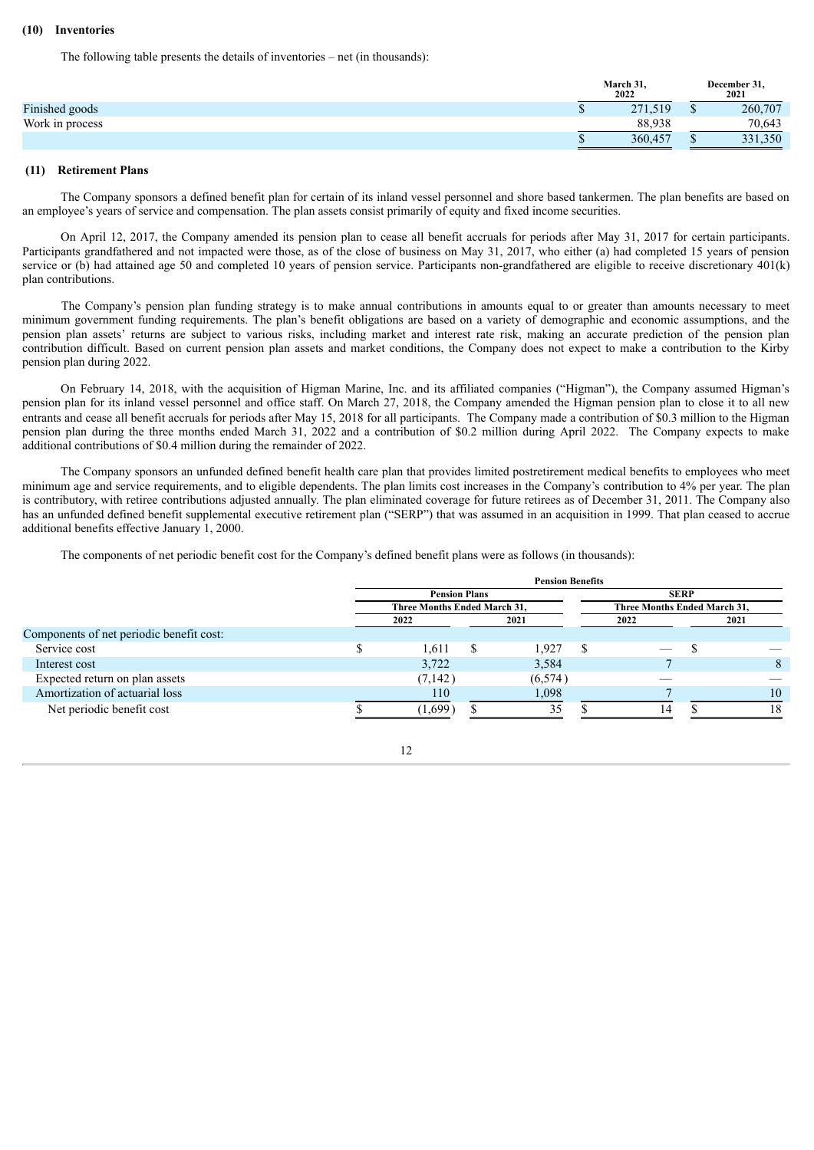#### **(10) Inventories**

The following table presents the details of inventories – net (in thousands):

|                 | March 31,<br>2022 |   | December 31,<br>2021 |  |
|-----------------|-------------------|---|----------------------|--|
| Finished goods  | 271,519           | ω | 260,707              |  |
| Work in process | 88.938            |   | 70.643               |  |
|                 | 360,457           | w | 331,350              |  |

#### **(11) Retirement Plans**

The Company sponsors a defined benefit plan for certain of its inland vessel personnel and shore based tankermen. The plan benefits are based on an employee's years of service and compensation. The plan assets consist primarily of equity and fixed income securities.

On April 12, 2017, the Company amended its pension plan to cease all benefit accruals for periods after May 31, 2017 for certain participants. Participants grandfathered and not impacted were those, as of the close of business on May 31, 2017, who either (a) had completed 15 years of pension service or (b) had attained age 50 and completed 10 years of pension service. Participants non-grandfathered are eligible to receive discretionary 401(k) plan contributions.

The Company's pension plan funding strategy is to make annual contributions in amounts equal to or greater than amounts necessary to meet minimum government funding requirements. The plan's benefit obligations are based on a variety of demographic and economic assumptions, and the pension plan assets' returns are subject to various risks, including market and interest rate risk, making an accurate prediction of the pension plan contribution difficult. Based on current pension plan assets and market conditions, the Company does not expect to make a contribution to the Kirby pension plan during 2022.

On February 14, 2018, with the acquisition of Higman Marine, Inc. and its affiliated companies ("Higman"), the Company assumed Higman's pension plan for its inland vessel personnel and office staff. On March 27, 2018, the Company amended the Higman pension plan to close it to all new entrants and cease all benefit accruals for periods after May 15, 2018 for all participants. The Company made a contribution of \$0.3 million to the Higman pension plan during the three months ended March 31, 2022 and a contribution of \$0.2 million during April 2022. The Company expects to make additional contributions of \$0.4 million during the remainder of 2022.

The Company sponsors an unfunded defined benefit health care plan that provides limited postretirement medical benefits to employees who meet minimum age and service requirements, and to eligible dependents. The plan limits cost increases in the Company's contribution to 4% per year. The plan is contributory, with retiree contributions adjusted annually. The plan eliminated coverage for future retirees as of December 31, 2011. The Company also has an unfunded defined benefit supplemental executive retirement plan ("SERP") that was assumed in an acquisition in 1999. That plan ceased to accrue additional benefits effective January 1, 2000.

The components of net periodic benefit cost for the Company's defined benefit plans were as follows (in thousands):

|                                          | <b>Pension Benefits</b> |                              |  |         |  |                              |             |      |  |  |
|------------------------------------------|-------------------------|------------------------------|--|---------|--|------------------------------|-------------|------|--|--|
|                                          |                         | <b>Pension Plans</b>         |  |         |  |                              | <b>SERP</b> |      |  |  |
|                                          |                         | Three Months Ended March 31, |  |         |  | Three Months Ended March 31, |             |      |  |  |
|                                          |                         | 2022                         |  | 2021    |  | 2022                         |             | 2021 |  |  |
| Components of net periodic benefit cost: |                         |                              |  |         |  |                              |             |      |  |  |
| Service cost                             |                         | 1.611                        |  | .927    |  |                              |             |      |  |  |
| Interest cost                            |                         | 3,722                        |  | 3,584   |  |                              |             |      |  |  |
| Expected return on plan assets           |                         | (7,142)                      |  | (6,574) |  |                              |             |      |  |  |
| Amortization of actuarial loss           |                         | 110                          |  | 1,098   |  |                              |             | 10   |  |  |
| Net periodic benefit cost                |                         | (1.699)                      |  | 35      |  | Δ                            |             | 18   |  |  |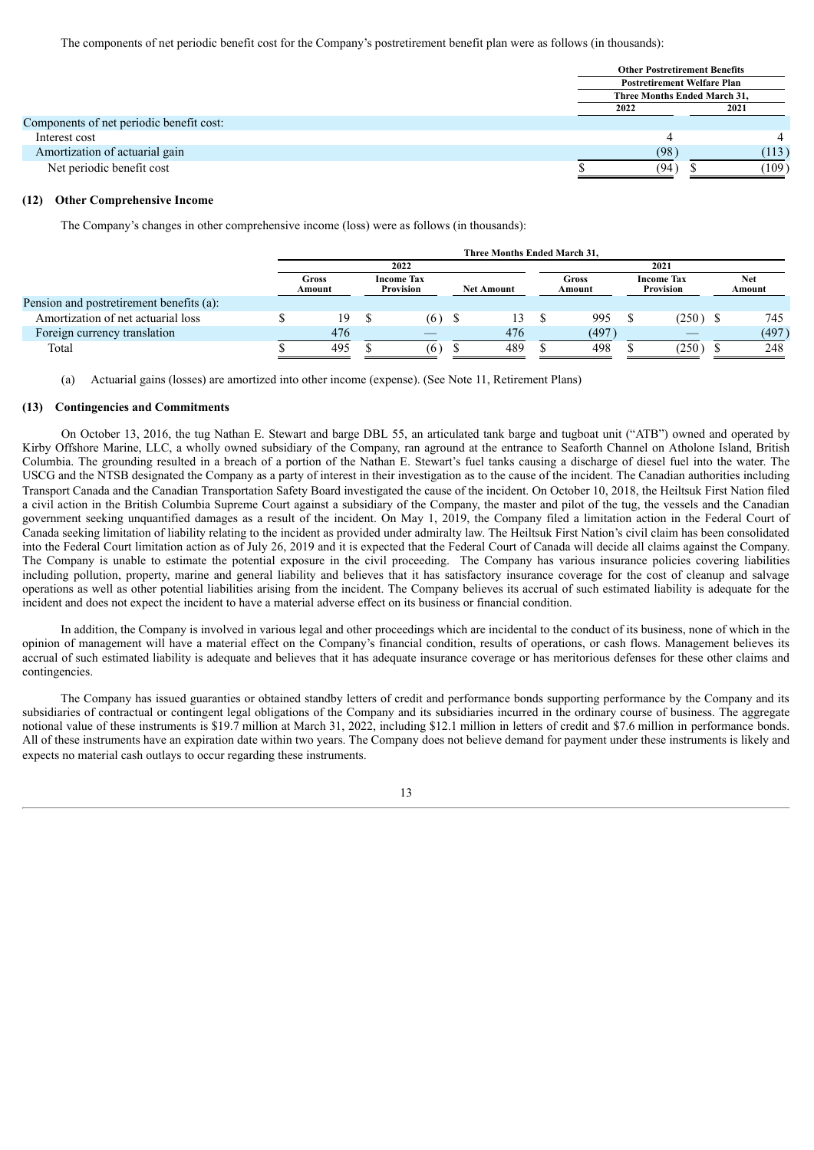The components of net periodic benefit cost for the Company's postretirement benefit plan were as follows (in thousands):

| <b>Other Postretirement Benefits</b> |       |  |  |
|--------------------------------------|-------|--|--|
| <b>Postretirement Welfare Plan</b>   |       |  |  |
| <b>Three Months Ended March 31.</b>  |       |  |  |
| 2022                                 | 2021  |  |  |
|                                      |       |  |  |
|                                      |       |  |  |
| (98)                                 | (113) |  |  |
| (94)                                 | (109) |  |  |
|                                      |       |  |  |

#### **(12) Other Comprehensive Income**

The Company's changes in other comprehensive income (loss) were as follows (in thousands):

|                                          | Three Months Ended March 31. |  |                                       |  |                   |      |                 |  |                                       |  |               |
|------------------------------------------|------------------------------|--|---------------------------------------|--|-------------------|------|-----------------|--|---------------------------------------|--|---------------|
|                                          |                              |  | 2022                                  |  |                   | 2021 |                 |  |                                       |  |               |
|                                          | Gross<br>Amount              |  | <b>Income Tax</b><br><b>Provision</b> |  | <b>Net Amount</b> |      | Gross<br>Amount |  | <b>Income Tax</b><br><b>Provision</b> |  | Net<br>Amount |
| Pension and postretirement benefits (a): |                              |  |                                       |  |                   |      |                 |  |                                       |  |               |
| Amortization of net actuarial loss       | 19                           |  | (6)                                   |  | 13                |      | 995             |  | $(250)$ \$                            |  | 745           |
| Foreign currency translation             | 476                          |  |                                       |  | 476               |      | (497)           |  |                                       |  | (497)         |
| Total                                    | 495                          |  | (6)                                   |  | 489               |      | 498             |  | (250)                                 |  | 248           |

(a) Actuarial gains (losses) are amortized into other income (expense). (See Note 11, Retirement Plans)

#### **(13) Contingencies and Commitments**

On October 13, 2016, the tug Nathan E. Stewart and barge DBL 55, an articulated tank barge and tugboat unit ("ATB") owned and operated by Kirby Offshore Marine, LLC, a wholly owned subsidiary of the Company, ran aground at the entrance to Seaforth Channel on Atholone Island, British Columbia. The grounding resulted in a breach of a portion of the Nathan E. Stewart's fuel tanks causing a discharge of diesel fuel into the water. The USCG and the NTSB designated the Company as a party of interest in their investigation as to the cause of the incident. The Canadian authorities including Transport Canada and the Canadian Transportation Safety Board investigated the cause of the incident. On October 10, 2018, the Heiltsuk First Nation filed a civil action in the British Columbia Supreme Court against a subsidiary of the Company, the master and pilot of the tug, the vessels and the Canadian government seeking unquantified damages as a result of the incident. On May 1, 2019, the Company filed a limitation action in the Federal Court of Canada seeking limitation of liability relating to the incident as provided under admiralty law. The Heiltsuk First Nation's civil claim has been consolidated into the Federal Court limitation action as of July 26, 2019 and it is expected that the Federal Court of Canada will decide all claims against the Company. The Company is unable to estimate the potential exposure in the civil proceeding. The Company has various insurance policies covering liabilities including pollution, property, marine and general liability and believes that it has satisfactory insurance coverage for the cost of cleanup and salvage operations as well as other potential liabilities arising from the incident. The Company believes its accrual of such estimated liability is adequate for the incident and does not expect the incident to have a material adverse effect on its business or financial condition.

In addition, the Company is involved in various legal and other proceedings which are incidental to the conduct of its business, none of which in the opinion of management will have a material effect on the Company's financial condition, results of operations, or cash flows. Management believes its accrual of such estimated liability is adequate and believes that it has adequate insurance coverage or has meritorious defenses for these other claims and contingencies.

The Company has issued guaranties or obtained standby letters of credit and performance bonds supporting performance by the Company and its subsidiaries of contractual or contingent legal obligations of the Company and its subsidiaries incurred in the ordinary course of business. The aggregate notional value of these instruments is \$19.7 million at March 31, 2022, including \$12.1 million in letters of credit and \$7.6 million in performance bonds. All of these instruments have an expiration date within two years. The Company does not believe demand for payment under these instruments is likely and expects no material cash outlays to occur regarding these instruments.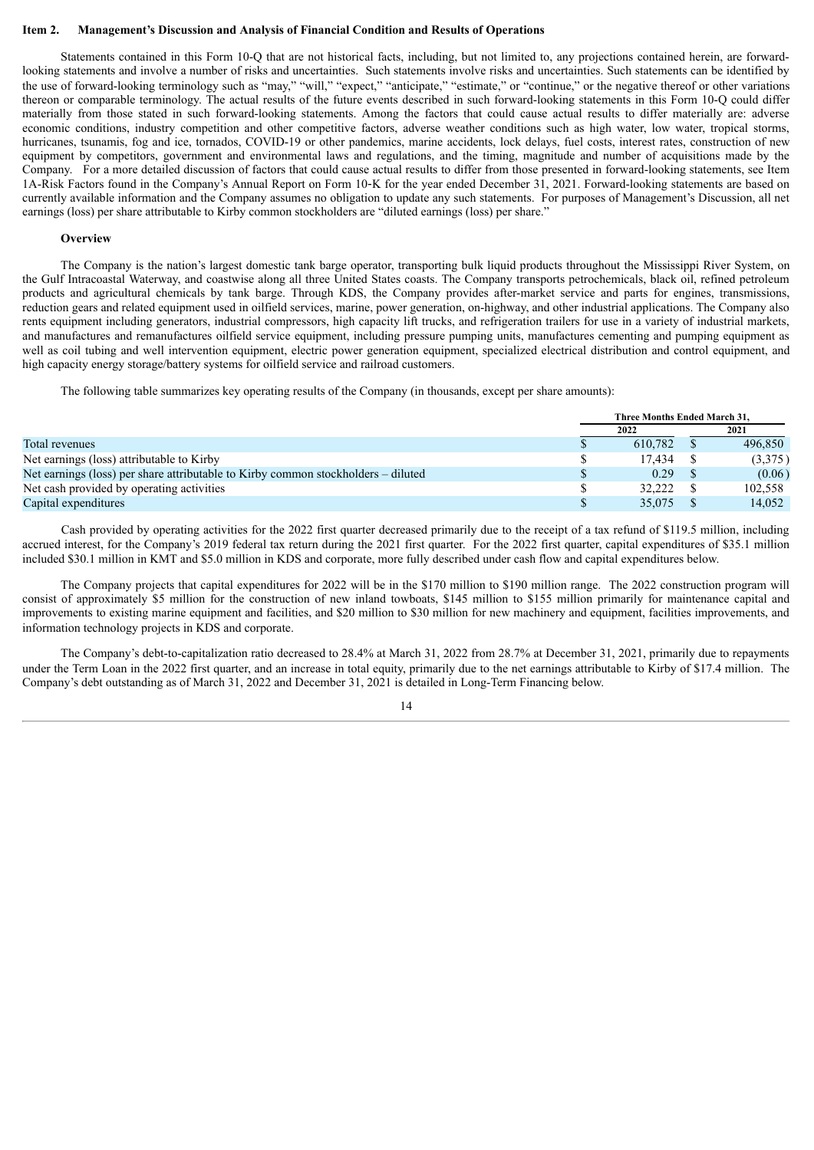#### **Item 2. Management's Discussion and Analysis of Financial Condition and Results of Operations**

Statements contained in this Form 10-Q that are not historical facts, including, but not limited to, any projections contained herein, are forwardlooking statements and involve a number of risks and uncertainties. Such statements involve risks and uncertainties. Such statements can be identified by the use of forward-looking terminology such as "may," "will," "expect," "anticipate," "estimate," or "continue," or the negative thereof or other variations thereon or comparable terminology. The actual results of the future events described in such forward-looking statements in this Form 10-Q could differ materially from those stated in such forward-looking statements. Among the factors that could cause actual results to differ materially are: adverse economic conditions, industry competition and other competitive factors, adverse weather conditions such as high water, low water, tropical storms, hurricanes, tsunamis, fog and ice, tornados, COVID-19 or other pandemics, marine accidents, lock delays, fuel costs, interest rates, construction of new equipment by competitors, government and environmental laws and regulations, and the timing, magnitude and number of acquisitions made by the Company. For a more detailed discussion of factors that could cause actual results to differ from those presented in forward-looking statements, see Item 1A-Risk Factors found in the Company's Annual Report on Form 10‑K for the year ended December 31, 2021. Forward-looking statements are based on currently available information and the Company assumes no obligation to update any such statements. For purposes of Management's Discussion, all net earnings (loss) per share attributable to Kirby common stockholders are "diluted earnings (loss) per share."

#### **Overview**

The Company is the nation's largest domestic tank barge operator, transporting bulk liquid products throughout the Mississippi River System, on the Gulf Intracoastal Waterway, and coastwise along all three United States coasts. The Company transports petrochemicals, black oil, refined petroleum products and agricultural chemicals by tank barge. Through KDS, the Company provides after-market service and parts for engines, transmissions, reduction gears and related equipment used in oilfield services, marine, power generation, on-highway, and other industrial applications. The Company also rents equipment including generators, industrial compressors, high capacity lift trucks, and refrigeration trailers for use in a variety of industrial markets, and manufactures and remanufactures oilfield service equipment, including pressure pumping units, manufactures cementing and pumping equipment as well as coil tubing and well intervention equipment, electric power generation equipment, specialized electrical distribution and control equipment, and high capacity energy storage/battery systems for oilfield service and railroad customers.

The following table summarizes key operating results of the Company (in thousands, except per share amounts):

|                                                                                   | Three Months Ended March 31. |         |  |         |
|-----------------------------------------------------------------------------------|------------------------------|---------|--|---------|
|                                                                                   |                              | 2022    |  | 2021    |
| Total revenues                                                                    |                              | 610.782 |  | 496,850 |
| Net earnings (loss) attributable to Kirby                                         |                              | 17.434  |  | (3,375) |
| Net earnings (loss) per share attributable to Kirby common stockholders – diluted |                              | 0.29    |  | (0.06)  |
| Net cash provided by operating activities                                         |                              | 32.222  |  | 102.558 |
| Capital expenditures                                                              |                              | 35,075  |  | 14.052  |

Cash provided by operating activities for the 2022 first quarter decreased primarily due to the receipt of a tax refund of \$119.5 million, including accrued interest, for the Company's 2019 federal tax return during the 2021 first quarter. For the 2022 first quarter, capital expenditures of \$35.1 million included \$30.1 million in KMT and \$5.0 million in KDS and corporate, more fully described under cash flow and capital expenditures below.

The Company projects that capital expenditures for 2022 will be in the \$170 million to \$190 million range. The 2022 construction program will consist of approximately \$5 million for the construction of new inland towboats, \$145 million to \$155 million primarily for maintenance capital and improvements to existing marine equipment and facilities, and \$20 million to \$30 million for new machinery and equipment, facilities improvements, and information technology projects in KDS and corporate.

The Company's debt-to-capitalization ratio decreased to 28.4% at March 31, 2022 from 28.7% at December 31, 2021, primarily due to repayments under the Term Loan in the 2022 first quarter, and an increase in total equity, primarily due to the net earnings attributable to Kirby of \$17.4 million. The Company's debt outstanding as of March 31, 2022 and December 31, 2021 is detailed in Long-Term Financing below.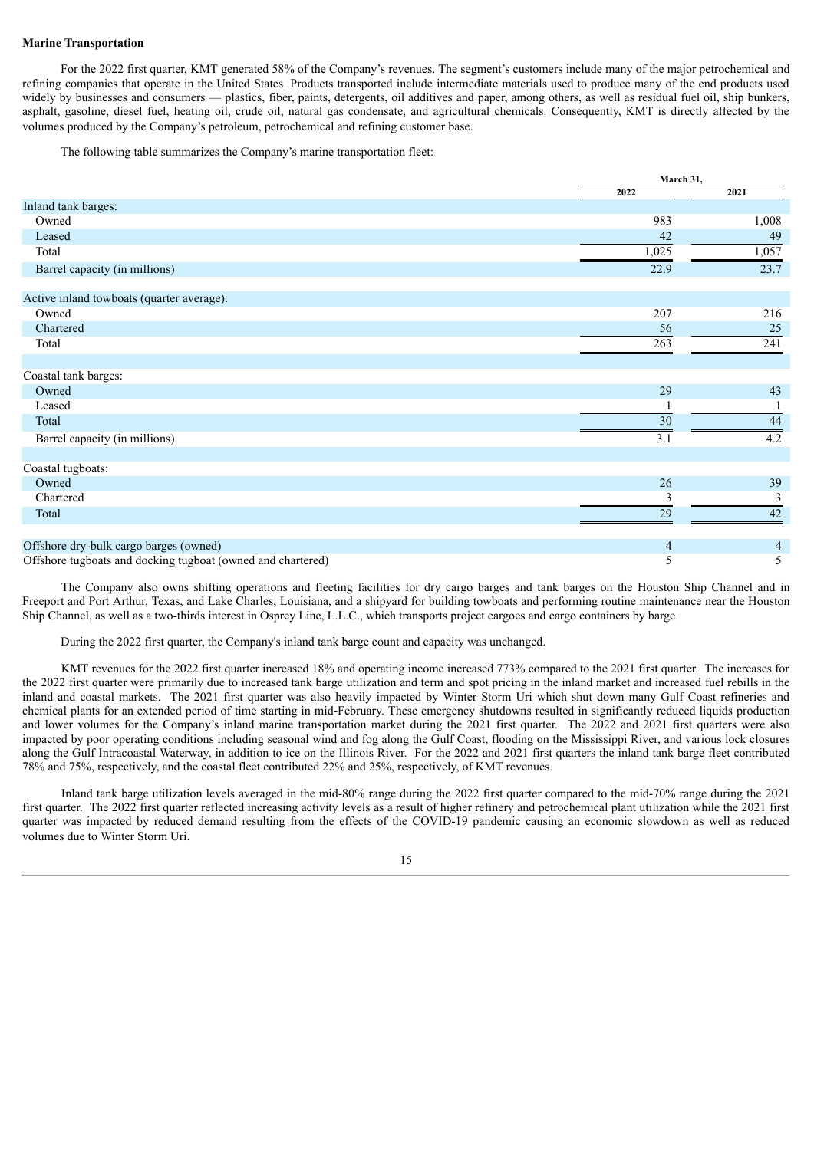#### **Marine Transportation**

For the 2022 first quarter, KMT generated 58% of the Company's revenues. The segment's customers include many of the major petrochemical and refining companies that operate in the United States. Products transported include intermediate materials used to produce many of the end products used widely by businesses and consumers — plastics, fiber, paints, detergents, oil additives and paper, among others, as well as residual fuel oil, ship bunkers, asphalt, gasoline, diesel fuel, heating oil, crude oil, natural gas condensate, and agricultural chemicals. Consequently, KMT is directly affected by the volumes produced by the Company's petroleum, petrochemical and refining customer base.

The following table summarizes the Company's marine transportation fleet:

|                                                             | March 31, |                |
|-------------------------------------------------------------|-----------|----------------|
|                                                             | 2022      | 2021           |
| Inland tank barges:                                         |           |                |
| Owned                                                       | 983       | 1,008          |
| Leased                                                      | 42        | 49             |
| Total                                                       | 1,025     | 1,057          |
| Barrel capacity (in millions)                               | 22.9      | 23.7           |
| Active inland towboats (quarter average):                   |           |                |
| Owned                                                       | 207       | 216            |
| Chartered                                                   | 56        | 25             |
| Total                                                       | 263       | 241            |
| Coastal tank barges:                                        |           |                |
| Owned                                                       | 29        | 43             |
| Leased                                                      |           |                |
| Total                                                       | 30        | 44             |
| Barrel capacity (in millions)                               | 3.1       | 4.2            |
| Coastal tugboats:                                           |           |                |
| Owned                                                       | 26        | 39             |
| Chartered                                                   | 3         | 3              |
| Total                                                       | 29        | 42             |
| Offshore dry-bulk cargo barges (owned)                      | 4         | $\overline{4}$ |
| Offshore tugboats and docking tugboat (owned and chartered) | 5         | 5              |

The Company also owns shifting operations and fleeting facilities for dry cargo barges and tank barges on the Houston Ship Channel and in Freeport and Port Arthur, Texas, and Lake Charles, Louisiana, and a shipyard for building towboats and performing routine maintenance near the Houston Ship Channel, as well as a two-thirds interest in Osprey Line, L.L.C., which transports project cargoes and cargo containers by barge.

During the 2022 first quarter, the Company's inland tank barge count and capacity was unchanged.

KMT revenues for the 2022 first quarter increased 18% and operating income increased 773% compared to the 2021 first quarter. The increases for the 2022 first quarter were primarily due to increased tank barge utilization and term and spot pricing in the inland market and increased fuel rebills in the inland and coastal markets. The 2021 first quarter was also heavily impacted by Winter Storm Uri which shut down many Gulf Coast refineries and chemical plants for an extended period of time starting in mid-February. These emergency shutdowns resulted in significantly reduced liquids production and lower volumes for the Company's inland marine transportation market during the 2021 first quarter. The 2022 and 2021 first quarters were also impacted by poor operating conditions including seasonal wind and fog along the Gulf Coast, flooding on the Mississippi River, and various lock closures along the Gulf Intracoastal Waterway, in addition to ice on the Illinois River. For the 2022 and 2021 first quarters the inland tank barge fleet contributed 78% and 75%, respectively, and the coastal fleet contributed 22% and 25%, respectively, of KMT revenues.

Inland tank barge utilization levels averaged in the mid-80% range during the 2022 first quarter compared to the mid-70% range during the 2021 first quarter. The 2022 first quarter reflected increasing activity levels as a result of higher refinery and petrochemical plant utilization while the 2021 first quarter was impacted by reduced demand resulting from the effects of the COVID-19 pandemic causing an economic slowdown as well as reduced volumes due to Winter Storm Uri.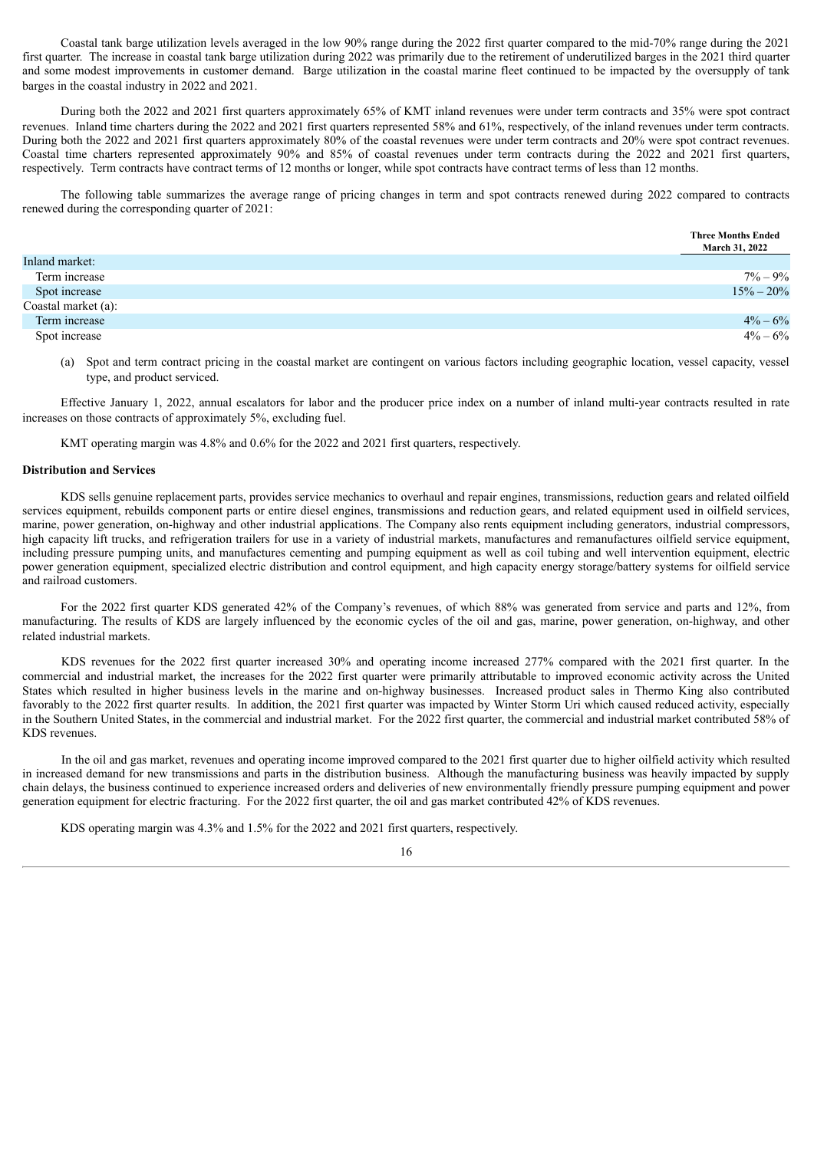Coastal tank barge utilization levels averaged in the low 90% range during the 2022 first quarter compared to the mid-70% range during the 2021 first quarter. The increase in coastal tank barge utilization during 2022 was primarily due to the retirement of underutilized barges in the 2021 third quarter and some modest improvements in customer demand. Barge utilization in the coastal marine fleet continued to be impacted by the oversupply of tank barges in the coastal industry in 2022 and 2021.

During both the 2022 and 2021 first quarters approximately 65% of KMT inland revenues were under term contracts and 35% were spot contract revenues. Inland time charters during the 2022 and 2021 first quarters represented 58% and 61%, respectively, of the inland revenues under term contracts. During both the 2022 and 2021 first quarters approximately 80% of the coastal revenues were under term contracts and 20% were spot contract revenues. Coastal time charters represented approximately 90% and 85% of coastal revenues under term contracts during the 2022 and 2021 first quarters, respectively. Term contracts have contract terms of 12 months or longer, while spot contracts have contract terms of less than 12 months.

The following table summarizes the average range of pricing changes in term and spot contracts renewed during 2022 compared to contracts renewed during the corresponding quarter of 2021:

|                     | <b>Three Months Ended</b><br><b>March 31, 2022</b> |
|---------------------|----------------------------------------------------|
| Inland market:      |                                                    |
| Term increase       | $7\% - 9\%$                                        |
| Spot increase       | $15\% - 20\%$                                      |
| Coastal market (a): |                                                    |
| Term increase       | $4\% - 6\%$                                        |
| Spot increase       | $4\% - 6\%$                                        |

(a) Spot and term contract pricing in the coastal market are contingent on various factors including geographic location, vessel capacity, vessel type, and product serviced.

Effective January 1, 2022, annual escalators for labor and the producer price index on a number of inland multi-year contracts resulted in rate increases on those contracts of approximately 5%, excluding fuel.

KMT operating margin was 4.8% and 0.6% for the 2022 and 2021 first quarters, respectively.

#### **Distribution and Services**

KDS sells genuine replacement parts, provides service mechanics to overhaul and repair engines, transmissions, reduction gears and related oilfield services equipment, rebuilds component parts or entire diesel engines, transmissions and reduction gears, and related equipment used in oilfield services, marine, power generation, on-highway and other industrial applications. The Company also rents equipment including generators, industrial compressors, high capacity lift trucks, and refrigeration trailers for use in a variety of industrial markets, manufactures and remanufactures oilfield service equipment, including pressure pumping units, and manufactures cementing and pumping equipment as well as coil tubing and well intervention equipment, electric power generation equipment, specialized electric distribution and control equipment, and high capacity energy storage/battery systems for oilfield service and railroad customers.

For the 2022 first quarter KDS generated 42% of the Company's revenues, of which 88% was generated from service and parts and 12%, from manufacturing. The results of KDS are largely influenced by the economic cycles of the oil and gas, marine, power generation, on-highway, and other related industrial markets.

KDS revenues for the 2022 first quarter increased 30% and operating income increased 277% compared with the 2021 first quarter. In the commercial and industrial market, the increases for the 2022 first quarter were primarily attributable to improved economic activity across the United States which resulted in higher business levels in the marine and on-highway businesses. Increased product sales in Thermo King also contributed favorably to the 2022 first quarter results. In addition, the 2021 first quarter was impacted by Winter Storm Uri which caused reduced activity, especially in the Southern United States, in the commercial and industrial market. For the 2022 first quarter, the commercial and industrial market contributed 58% of KDS revenues.

In the oil and gas market, revenues and operating income improved compared to the 2021 first quarter due to higher oilfield activity which resulted in increased demand for new transmissions and parts in the distribution business. Although the manufacturing business was heavily impacted by supply chain delays, the business continued to experience increased orders and deliveries of new environmentally friendly pressure pumping equipment and power generation equipment for electric fracturing. For the 2022 first quarter, the oil and gas market contributed 42% of KDS revenues.

KDS operating margin was 4.3% and 1.5% for the 2022 and 2021 first quarters, respectively.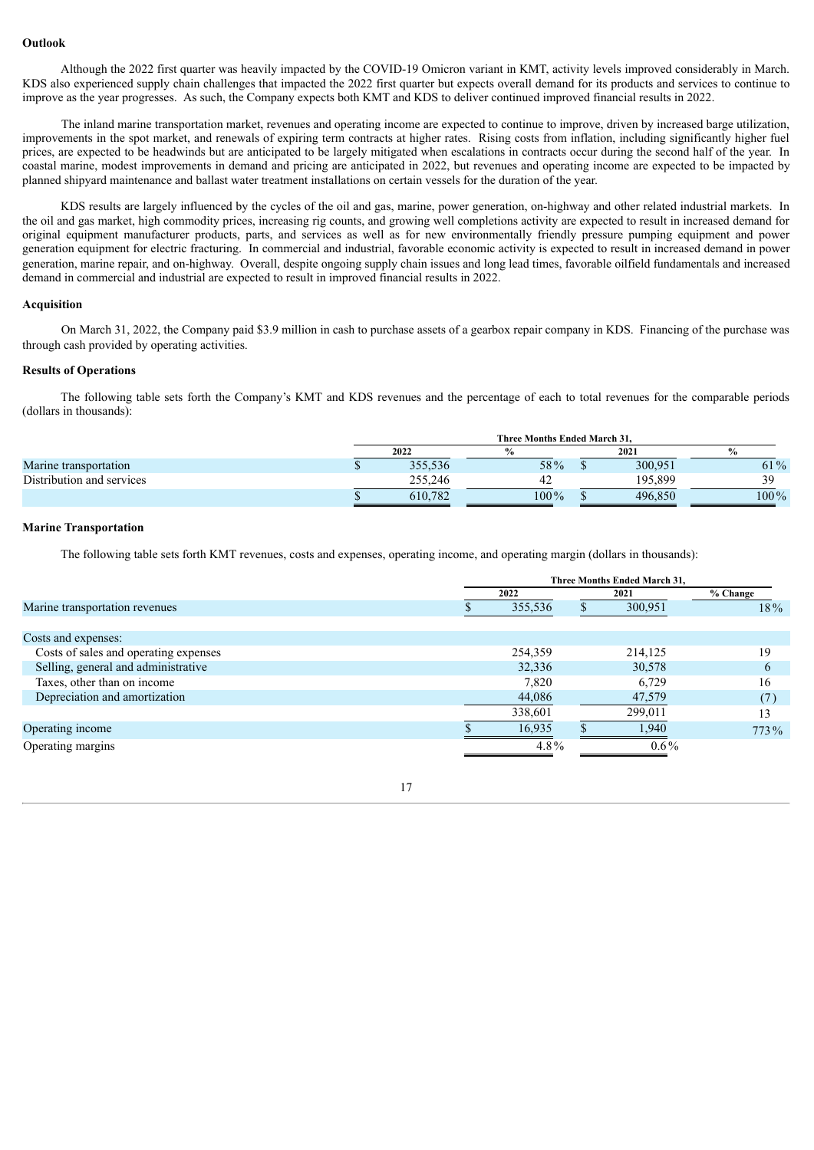#### **Outlook**

Although the 2022 first quarter was heavily impacted by the COVID-19 Omicron variant in KMT, activity levels improved considerably in March. KDS also experienced supply chain challenges that impacted the 2022 first quarter but expects overall demand for its products and services to continue to improve as the year progresses. As such, the Company expects both KMT and KDS to deliver continued improved financial results in 2022.

The inland marine transportation market, revenues and operating income are expected to continue to improve, driven by increased barge utilization, improvements in the spot market, and renewals of expiring term contracts at higher rates. Rising costs from inflation, including significantly higher fuel prices, are expected to be headwinds but are anticipated to be largely mitigated when escalations in contracts occur during the second half of the year. In coastal marine, modest improvements in demand and pricing are anticipated in 2022, but revenues and operating income are expected to be impacted by planned shipyard maintenance and ballast water treatment installations on certain vessels for the duration of the year.

KDS results are largely influenced by the cycles of the oil and gas, marine, power generation, on-highway and other related industrial markets. In the oil and gas market, high commodity prices, increasing rig counts, and growing well completions activity are expected to result in increased demand for original equipment manufacturer products, parts, and services as well as for new environmentally friendly pressure pumping equipment and power generation equipment for electric fracturing. In commercial and industrial, favorable economic activity is expected to result in increased demand in power generation, marine repair, and on-highway. Overall, despite ongoing supply chain issues and long lead times, favorable oilfield fundamentals and increased demand in commercial and industrial are expected to result in improved financial results in 2022.

#### **Acquisition**

On March 31, 2022, the Company paid \$3.9 million in cash to purchase assets of a gearbox repair company in KDS. Financing of the purchase was through cash provided by operating activities.

#### **Results of Operations**

The following table sets forth the Company's KMT and KDS revenues and the percentage of each to total revenues for the comparable periods (dollars in thousands):

|                           | Three Months Ended March 31, |         |  |         |         |  |
|---------------------------|------------------------------|---------|--|---------|---------|--|
|                           | 2022                         |         |  | 2021    |         |  |
| Marine transportation     | 355,536                      | 58%     |  | 300,951 | 61%     |  |
| Distribution and services | 255.246                      |         |  | 195.899 | 30      |  |
|                           | 610.782                      | $100\%$ |  | 496.850 | $100\%$ |  |

#### **Marine Transportation**

The following table sets forth KMT revenues, costs and expenses, operating income, and operating margin (dollars in thousands):

|                                       | Three Months Ended March 31, |         |  |         |          |  |
|---------------------------------------|------------------------------|---------|--|---------|----------|--|
|                                       | 2022                         |         |  | 2021    | % Change |  |
| Marine transportation revenues        |                              | 355,536 |  | 300,951 | 18%      |  |
|                                       |                              |         |  |         |          |  |
| Costs and expenses:                   |                              |         |  |         |          |  |
| Costs of sales and operating expenses |                              | 254,359 |  | 214,125 | 19       |  |
| Selling, general and administrative   |                              | 32,336  |  | 30,578  | $\sigma$ |  |
| Taxes, other than on income           |                              | 7,820   |  | 6,729   | 16       |  |
| Depreciation and amortization         |                              | 44,086  |  | 47,579  | (7)      |  |
|                                       |                              | 338,601 |  | 299,011 | 13       |  |
| Operating income                      |                              | 16,935  |  | 1.940   | 773%     |  |
| Operating margins                     |                              | $4.8\%$ |  | $0.6\%$ |          |  |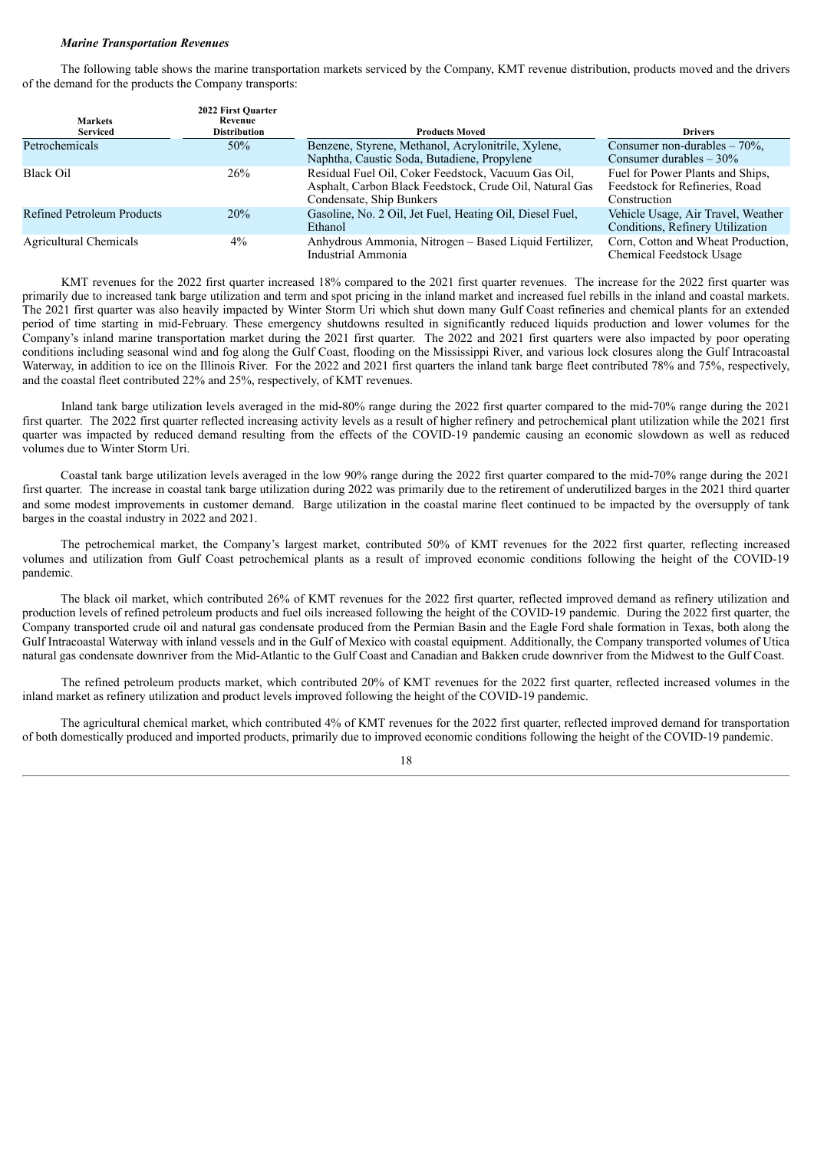#### *Marine Transportation Revenues*

The following table shows the marine transportation markets serviced by the Company, KMT revenue distribution, products moved and the drivers of the demand for the products the Company transports:

| <b>Markets</b><br><b>Serviced</b> | 2022 First Quarter<br>Revenue<br><b>Distribution</b> | <b>Products Moved</b>                                                                                                                      | <b>Drivers</b>                                                                     |
|-----------------------------------|------------------------------------------------------|--------------------------------------------------------------------------------------------------------------------------------------------|------------------------------------------------------------------------------------|
| Petrochemicals                    | 50%                                                  | Benzene, Styrene, Methanol, Acrylonitrile, Xylene,<br>Naphtha, Caustic Soda, Butadiene, Propylene                                          | Consumer non-durables $-70\%$ ,<br>Consumer durables $-30\%$                       |
| <b>Black Oil</b>                  | 26%                                                  | Residual Fuel Oil, Coker Feedstock, Vacuum Gas Oil,<br>Asphalt, Carbon Black Feedstock, Crude Oil, Natural Gas<br>Condensate, Ship Bunkers | Fuel for Power Plants and Ships.<br>Feedstock for Refineries, Road<br>Construction |
| <b>Refined Petroleum Products</b> | 20%                                                  | Gasoline, No. 2 Oil, Jet Fuel, Heating Oil, Diesel Fuel,<br>Ethanol                                                                        | Vehicle Usage, Air Travel, Weather<br>Conditions, Refinery Utilization             |
| Agricultural Chemicals            | $4\%$                                                | Anhydrous Ammonia, Nitrogen - Based Liquid Fertilizer,<br>Industrial Ammonia                                                               | Corn, Cotton and Wheat Production.<br>Chemical Feedstock Usage                     |

KMT revenues for the 2022 first quarter increased 18% compared to the 2021 first quarter revenues. The increase for the 2022 first quarter was primarily due to increased tank barge utilization and term and spot pricing in the inland market and increased fuel rebills in the inland and coastal markets. The 2021 first quarter was also heavily impacted by Winter Storm Uri which shut down many Gulf Coast refineries and chemical plants for an extended period of time starting in mid-February. These emergency shutdowns resulted in significantly reduced liquids production and lower volumes for the Company's inland marine transportation market during the 2021 first quarter. The 2022 and 2021 first quarters were also impacted by poor operating conditions including seasonal wind and fog along the Gulf Coast, flooding on the Mississippi River, and various lock closures along the Gulf Intracoastal Waterway, in addition to ice on the Illinois River. For the 2022 and 2021 first quarters the inland tank barge fleet contributed 78% and 75%, respectively, and the coastal fleet contributed 22% and 25%, respectively, of KMT revenues.

Inland tank barge utilization levels averaged in the mid-80% range during the 2022 first quarter compared to the mid-70% range during the 2021 first quarter. The 2022 first quarter reflected increasing activity levels as a result of higher refinery and petrochemical plant utilization while the 2021 first quarter was impacted by reduced demand resulting from the effects of the COVID-19 pandemic causing an economic slowdown as well as reduced volumes due to Winter Storm Uri.

Coastal tank barge utilization levels averaged in the low 90% range during the 2022 first quarter compared to the mid-70% range during the 2021 first quarter. The increase in coastal tank barge utilization during 2022 was primarily due to the retirement of underutilized barges in the 2021 third quarter and some modest improvements in customer demand. Barge utilization in the coastal marine fleet continued to be impacted by the oversupply of tank barges in the coastal industry in 2022 and 2021.

The petrochemical market, the Company's largest market, contributed 50% of KMT revenues for the 2022 first quarter, reflecting increased volumes and utilization from Gulf Coast petrochemical plants as a result of improved economic conditions following the height of the COVID-19 pandemic.

The black oil market, which contributed 26% of KMT revenues for the 2022 first quarter, reflected improved demand as refinery utilization and production levels of refined petroleum products and fuel oils increased following the height of the COVID-19 pandemic. During the 2022 first quarter, the Company transported crude oil and natural gas condensate produced from the Permian Basin and the Eagle Ford shale formation in Texas, both along the Gulf Intracoastal Waterway with inland vessels and in the Gulf of Mexico with coastal equipment. Additionally, the Company transported volumes of Utica natural gas condensate downriver from the Mid-Atlantic to the Gulf Coast and Canadian and Bakken crude downriver from the Midwest to the Gulf Coast.

The refined petroleum products market, which contributed 20% of KMT revenues for the 2022 first quarter, reflected increased volumes in the inland market as refinery utilization and product levels improved following the height of the COVID-19 pandemic.

The agricultural chemical market, which contributed 4% of KMT revenues for the 2022 first quarter, reflected improved demand for transportation of both domestically produced and imported products, primarily due to improved economic conditions following the height of the COVID-19 pandemic.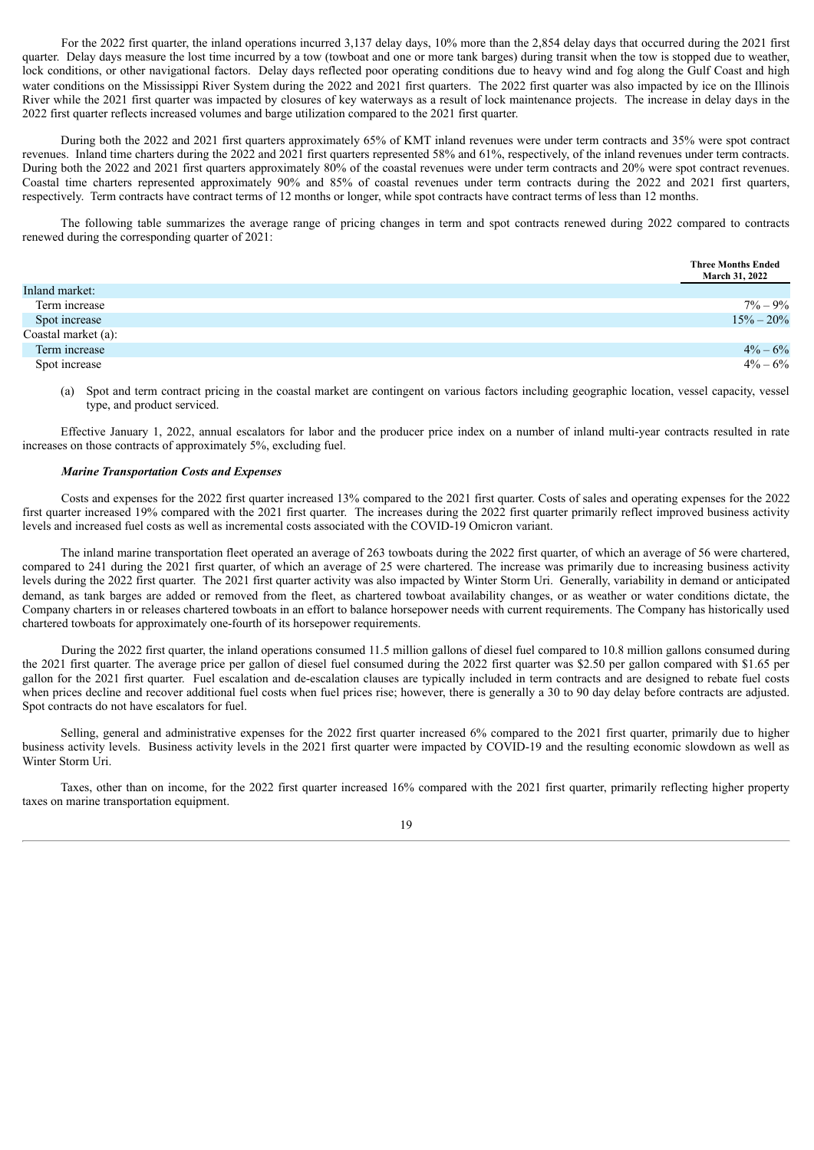For the 2022 first quarter, the inland operations incurred 3,137 delay days, 10% more than the 2,854 delay days that occurred during the 2021 first quarter. Delay days measure the lost time incurred by a tow (towboat and one or more tank barges) during transit when the tow is stopped due to weather, lock conditions, or other navigational factors. Delay days reflected poor operating conditions due to heavy wind and fog along the Gulf Coast and high water conditions on the Mississippi River System during the 2022 and 2021 first quarters. The 2022 first quarter was also impacted by ice on the Illinois River while the 2021 first quarter was impacted by closures of key waterways as a result of lock maintenance projects. The increase in delay days in the 2022 first quarter reflects increased volumes and barge utilization compared to the 2021 first quarter.

During both the 2022 and 2021 first quarters approximately 65% of KMT inland revenues were under term contracts and 35% were spot contract revenues. Inland time charters during the 2022 and 2021 first quarters represented 58% and 61%, respectively, of the inland revenues under term contracts. During both the 2022 and 2021 first quarters approximately 80% of the coastal revenues were under term contracts and 20% were spot contract revenues. Coastal time charters represented approximately 90% and 85% of coastal revenues under term contracts during the 2022 and 2021 first quarters, respectively. Term contracts have contract terms of 12 months or longer, while spot contracts have contract terms of less than 12 months.

The following table summarizes the average range of pricing changes in term and spot contracts renewed during 2022 compared to contracts renewed during the corresponding quarter of 2021:

|                     | <b>Three Months Ended</b><br>March 31, 2022 |
|---------------------|---------------------------------------------|
| Inland market:      |                                             |
| Term increase       | $7\% - 9\%$                                 |
| Spot increase       | $15\% - 20\%$                               |
| Coastal market (a): |                                             |
| Term increase       | $4\% - 6\%$                                 |
| Spot increase       | $4\% - 6\%$                                 |

(a) Spot and term contract pricing in the coastal market are contingent on various factors including geographic location, vessel capacity, vessel type, and product serviced.

Effective January 1, 2022, annual escalators for labor and the producer price index on a number of inland multi-year contracts resulted in rate increases on those contracts of approximately 5%, excluding fuel.

#### *Marine Transportation Costs and Expenses*

Costs and expenses for the 2022 first quarter increased 13% compared to the 2021 first quarter. Costs of sales and operating expenses for the 2022 first quarter increased 19% compared with the 2021 first quarter. The increases during the 2022 first quarter primarily reflect improved business activity levels and increased fuel costs as well as incremental costs associated with the COVID-19 Omicron variant.

The inland marine transportation fleet operated an average of 263 towboats during the 2022 first quarter, of which an average of 56 were chartered, compared to 241 during the 2021 first quarter, of which an average of 25 were chartered. The increase was primarily due to increasing business activity levels during the 2022 first quarter. The 2021 first quarter activity was also impacted by Winter Storm Uri. Generally, variability in demand or anticipated demand, as tank barges are added or removed from the fleet, as chartered towboat availability changes, or as weather or water conditions dictate, the Company charters in or releases chartered towboats in an effort to balance horsepower needs with current requirements. The Company has historically used chartered towboats for approximately one-fourth of its horsepower requirements.

During the 2022 first quarter, the inland operations consumed 11.5 million gallons of diesel fuel compared to 10.8 million gallons consumed during the 2021 first quarter. The average price per gallon of diesel fuel consumed during the 2022 first quarter was \$2.50 per gallon compared with \$1.65 per gallon for the 2021 first quarter. Fuel escalation and de-escalation clauses are typically included in term contracts and are designed to rebate fuel costs when prices decline and recover additional fuel costs when fuel prices rise; however, there is generally a 30 to 90 day delay before contracts are adjusted. Spot contracts do not have escalators for fuel.

Selling, general and administrative expenses for the 2022 first quarter increased 6% compared to the 2021 first quarter, primarily due to higher business activity levels. Business activity levels in the 2021 first quarter were impacted by COVID-19 and the resulting economic slowdown as well as Winter Storm Uri.

Taxes, other than on income, for the 2022 first quarter increased 16% compared with the 2021 first quarter, primarily reflecting higher property taxes on marine transportation equipment.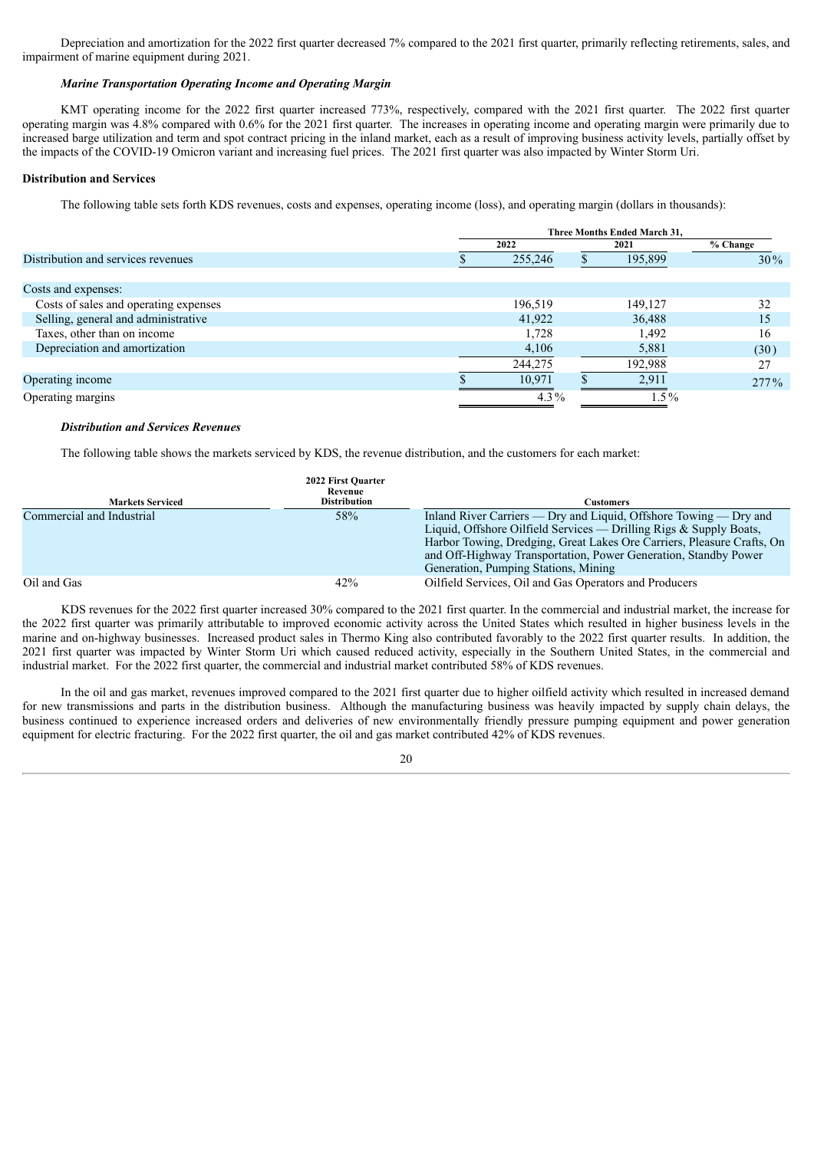Depreciation and amortization for the 2022 first quarter decreased 7% compared to the 2021 first quarter, primarily reflecting retirements, sales, and impairment of marine equipment during 2021.

#### *Marine Transportation Operating Income and Operating Margin*

KMT operating income for the 2022 first quarter increased 773%, respectively, compared with the 2021 first quarter. The 2022 first quarter operating margin was 4.8% compared with 0.6% for the 2021 first quarter. The increases in operating income and operating margin were primarily due to increased barge utilization and term and spot contract pricing in the inland market, each as a result of improving business activity levels, partially offset by the impacts of the COVID-19 Omicron variant and increasing fuel prices. The 2021 first quarter was also impacted by Winter Storm Uri.

#### **Distribution and Services**

The following table sets forth KDS revenues, costs and expenses, operating income (loss), and operating margin (dollars in thousands):

|                                       | Three Months Ended March 31. |         |  |         |          |  |  |         |        |
|---------------------------------------|------------------------------|---------|--|---------|----------|--|--|---------|--------|
|                                       | 2022                         |         |  | 2021    | % Change |  |  |         |        |
| Distribution and services revenues    | 255,246                      |         |  |         |          |  |  | 195,899 | $30\%$ |
|                                       |                              |         |  |         |          |  |  |         |        |
| Costs and expenses:                   |                              |         |  |         |          |  |  |         |        |
| Costs of sales and operating expenses |                              | 196,519 |  | 149,127 | 32       |  |  |         |        |
| Selling, general and administrative   |                              | 41,922  |  | 36,488  | 15       |  |  |         |        |
| Taxes, other than on income           |                              | 1,728   |  | 1,492   | 16       |  |  |         |        |
| Depreciation and amortization         |                              | 4,106   |  | 5,881   | (30)     |  |  |         |        |
|                                       |                              | 244,275 |  | 192,988 | 27       |  |  |         |        |
| Operating income                      |                              | 10.971  |  | 2,911   | 277%     |  |  |         |        |
| Operating margins                     |                              | $4.3\%$ |  | $1.5\%$ |          |  |  |         |        |

#### *Distribution and Services Revenues*

The following table shows the markets serviced by KDS, the revenue distribution, and the customers for each market:

| <b>Markets Serviced</b>   | 2022 First Quarter<br>Revenue<br><b>Distribution</b> | Customers                                                                                                                                                                                                                                                                                                                    |
|---------------------------|------------------------------------------------------|------------------------------------------------------------------------------------------------------------------------------------------------------------------------------------------------------------------------------------------------------------------------------------------------------------------------------|
| Commercial and Industrial | 58%                                                  | Inland River Carriers — Dry and Liquid, Offshore Towing — Dry and<br>Liquid, Offshore Oilfield Services — Drilling Rigs & Supply Boats,<br>Harbor Towing, Dredging, Great Lakes Ore Carriers, Pleasure Crafts, On<br>and Off-Highway Transportation, Power Generation, Standby Power<br>Generation, Pumping Stations, Mining |
| Oil and Gas               | 42%                                                  | Oilfield Services, Oil and Gas Operators and Producers                                                                                                                                                                                                                                                                       |

KDS revenues for the 2022 first quarter increased 30% compared to the 2021 first quarter. In the commercial and industrial market, the increase for the 2022 first quarter was primarily attributable to improved economic activity across the United States which resulted in higher business levels in the marine and on-highway businesses. Increased product sales in Thermo King also contributed favorably to the 2022 first quarter results. In addition, the 2021 first quarter was impacted by Winter Storm Uri which caused reduced activity, especially in the Southern United States, in the commercial and industrial market. For the 2022 first quarter, the commercial and industrial market contributed 58% of KDS revenues.

In the oil and gas market, revenues improved compared to the 2021 first quarter due to higher oilfield activity which resulted in increased demand for new transmissions and parts in the distribution business. Although the manufacturing business was heavily impacted by supply chain delays, the business continued to experience increased orders and deliveries of new environmentally friendly pressure pumping equipment and power generation equipment for electric fracturing. For the 2022 first quarter, the oil and gas market contributed 42% of KDS revenues.

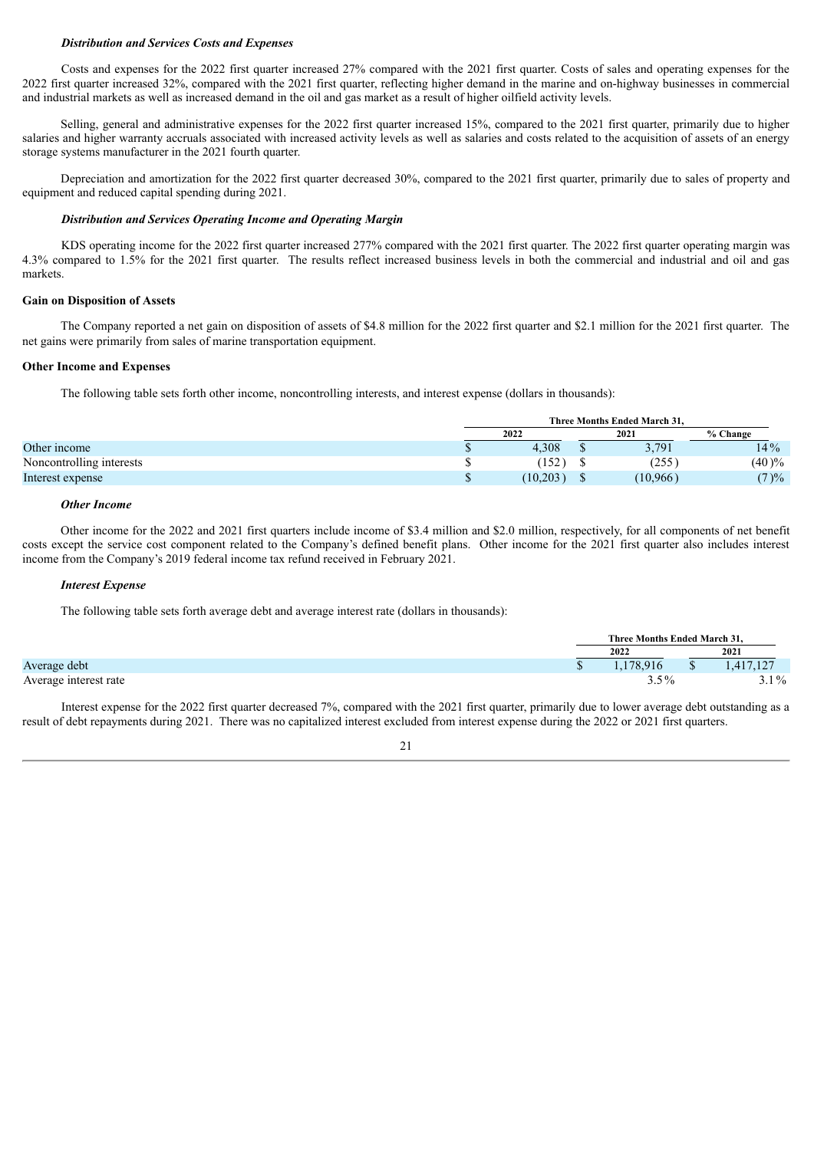#### *Distribution and Services Costs and Expenses*

Costs and expenses for the 2022 first quarter increased 27% compared with the 2021 first quarter. Costs of sales and operating expenses for the 2022 first quarter increased 32%, compared with the 2021 first quarter, reflecting higher demand in the marine and on-highway businesses in commercial and industrial markets as well as increased demand in the oil and gas market as a result of higher oilfield activity levels.

Selling, general and administrative expenses for the 2022 first quarter increased 15%, compared to the 2021 first quarter, primarily due to higher salaries and higher warranty accruals associated with increased activity levels as well as salaries and costs related to the acquisition of assets of an energy storage systems manufacturer in the 2021 fourth quarter.

Depreciation and amortization for the 2022 first quarter decreased 30%, compared to the 2021 first quarter, primarily due to sales of property and equipment and reduced capital spending during 2021.

#### *Distribution and Services Operating Income and Operating Margin*

KDS operating income for the 2022 first quarter increased 277% compared with the 2021 first quarter. The 2022 first quarter operating margin was 4.3% compared to 1.5% for the 2021 first quarter. The results reflect increased business levels in both the commercial and industrial and oil and gas markets.

#### **Gain on Disposition of Assets**

The Company reported a net gain on disposition of assets of \$4.8 million for the 2022 first quarter and \$2.1 million for the 2021 first quarter. The net gains were primarily from sales of marine transportation equipment.

#### **Other Income and Expenses**

The following table sets forth other income, noncontrolling interests, and interest expense (dollars in thousands):

|                          |    | Three Months Ended March 31. |  |          |          |  |
|--------------------------|----|------------------------------|--|----------|----------|--|
|                          |    | 2022                         |  | 2021     | % Change |  |
| Other income             | w  | 4,308                        |  | 3,791    | 14%      |  |
| Noncontrolling interests |    | (152)                        |  | (255)    | $(40)\%$ |  |
| Interest expense         | ۰D | (10,203)                     |  | (10,966) | $(7) \%$ |  |

#### *Other Income*

Other income for the 2022 and 2021 first quarters include income of \$3.4 million and \$2.0 million, respectively, for all components of net benefit costs except the service cost component related to the Company's defined benefit plans. Other income for the 2021 first quarter also includes interest income from the Company's 2019 federal income tax refund received in February 2021.

#### *Interest Expense*

The following table sets forth average debt and average interest rate (dollars in thousands):

|                       |  | Three Months Ended March 31. |          |  |           |  |  |      |  |
|-----------------------|--|------------------------------|----------|--|-----------|--|--|------|--|
|                       |  | 2022                         |          |  |           |  |  | 2021 |  |
| Average debt          |  |                              | .178.916 |  | 1,417,127 |  |  |      |  |
| Average interest rate |  | $3.5\%$                      |          |  | $3.1\%$   |  |  |      |  |

Interest expense for the 2022 first quarter decreased 7%, compared with the 2021 first quarter, primarily due to lower average debt outstanding as a result of debt repayments during 2021. There was no capitalized interest excluded from interest expense during the 2022 or 2021 first quarters.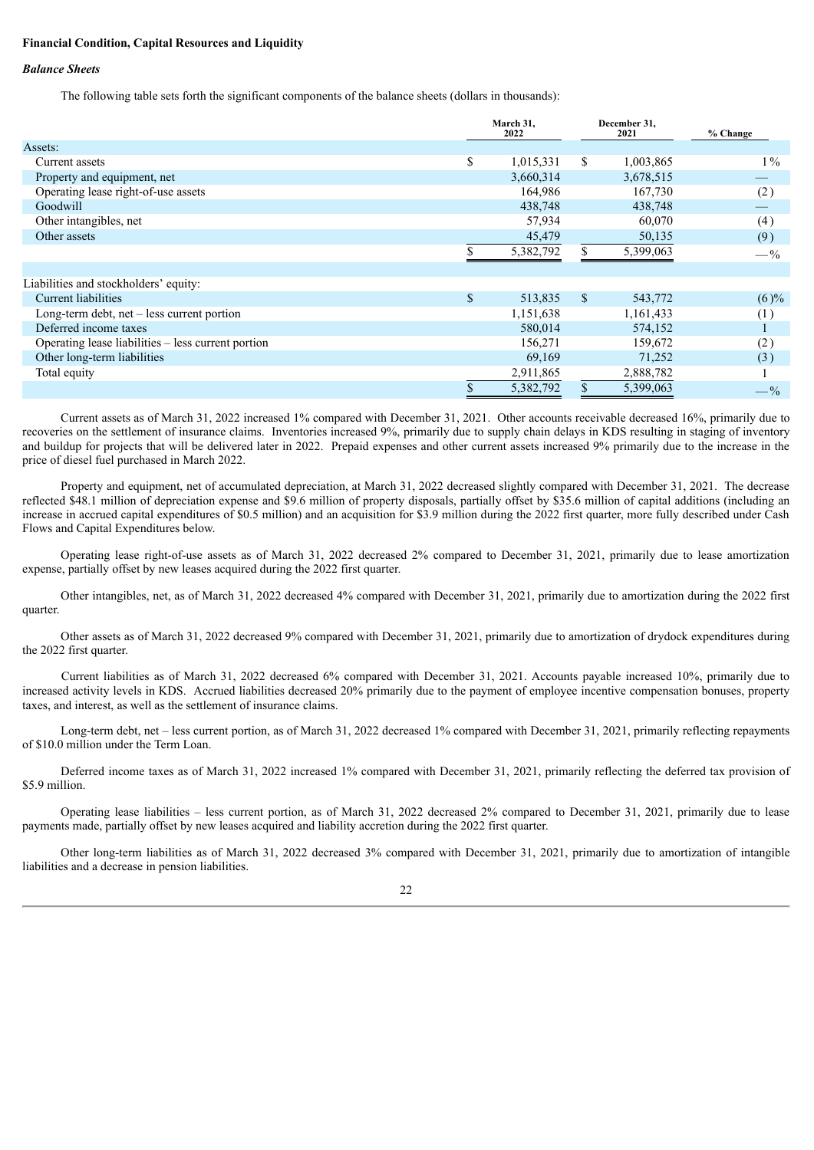#### **Financial Condition, Capital Resources and Liquidity**

#### *Balance Sheets*

The following table sets forth the significant components of the balance sheets (dollars in thousands):

|                                                    | March 31,<br>2022 |              | December 31,<br>2021 | % Change |  |
|----------------------------------------------------|-------------------|--------------|----------------------|----------|--|
| Assets:                                            |                   |              |                      |          |  |
| Current assets                                     | \$<br>1,015,331   | S.           | 1,003,865            | $1\%$    |  |
| Property and equipment, net                        | 3,660,314         |              | 3,678,515            |          |  |
| Operating lease right-of-use assets                | 164,986           |              | 167,730              | (2)      |  |
| Goodwill                                           | 438,748           |              | 438,748              |          |  |
| Other intangibles, net                             | 57,934            |              | 60,070               | (4)      |  |
| Other assets                                       | 45,479            |              | 50,135               | (9)      |  |
|                                                    | 5,382,792         |              | 5,399,063            | $-$ %    |  |
|                                                    |                   |              |                      |          |  |
| Liabilities and stockholders' equity:              |                   |              |                      |          |  |
| Current liabilities                                | \$<br>513,835     | <sup>S</sup> | 543,772              | (6)%     |  |
| Long-term debt, $net - less current portion$       | 1,151,638         |              | 1,161,433            | (1)      |  |
| Deferred income taxes                              | 580,014           |              | 574,152              |          |  |
| Operating lease liabilities – less current portion | 156,271           |              | 159,672              | (2)      |  |
| Other long-term liabilities                        | 69,169            |              | 71,252               | (3)      |  |
| Total equity                                       | 2,911,865         |              | 2,888,782            |          |  |
|                                                    | 5,382,792         |              | 5,399,063            | $- \%$   |  |

Current assets as of March 31, 2022 increased 1% compared with December 31, 2021. Other accounts receivable decreased 16%, primarily due to recoveries on the settlement of insurance claims. Inventories increased 9%, primarily due to supply chain delays in KDS resulting in staging of inventory and buildup for projects that will be delivered later in 2022. Prepaid expenses and other current assets increased 9% primarily due to the increase in the price of diesel fuel purchased in March 2022.

Property and equipment, net of accumulated depreciation, at March 31, 2022 decreased slightly compared with December 31, 2021. The decrease reflected \$48.1 million of depreciation expense and \$9.6 million of property disposals, partially offset by \$35.6 million of capital additions (including an increase in accrued capital expenditures of \$0.5 million) and an acquisition for \$3.9 million during the 2022 first quarter, more fully described under Cash Flows and Capital Expenditures below.

Operating lease right-of-use assets as of March 31, 2022 decreased 2% compared to December 31, 2021, primarily due to lease amortization expense, partially offset by new leases acquired during the 2022 first quarter.

Other intangibles, net, as of March 31, 2022 decreased 4% compared with December 31, 2021, primarily due to amortization during the 2022 first quarter.

Other assets as of March 31, 2022 decreased 9% compared with December 31, 2021, primarily due to amortization of drydock expenditures during the 2022 first quarter.

Current liabilities as of March 31, 2022 decreased 6% compared with December 31, 2021. Accounts payable increased 10%, primarily due to increased activity levels in KDS. Accrued liabilities decreased 20% primarily due to the payment of employee incentive compensation bonuses, property taxes, and interest, as well as the settlement of insurance claims.

Long-term debt, net – less current portion, as of March 31, 2022 decreased 1% compared with December 31, 2021, primarily reflecting repayments of \$10.0 million under the Term Loan.

Deferred income taxes as of March 31, 2022 increased 1% compared with December 31, 2021, primarily reflecting the deferred tax provision of \$5.9 million.

Operating lease liabilities – less current portion, as of March 31, 2022 decreased 2% compared to December 31, 2021, primarily due to lease payments made, partially offset by new leases acquired and liability accretion during the 2022 first quarter.

Other long-term liabilities as of March 31, 2022 decreased 3% compared with December 31, 2021, primarily due to amortization of intangible liabilities and a decrease in pension liabilities.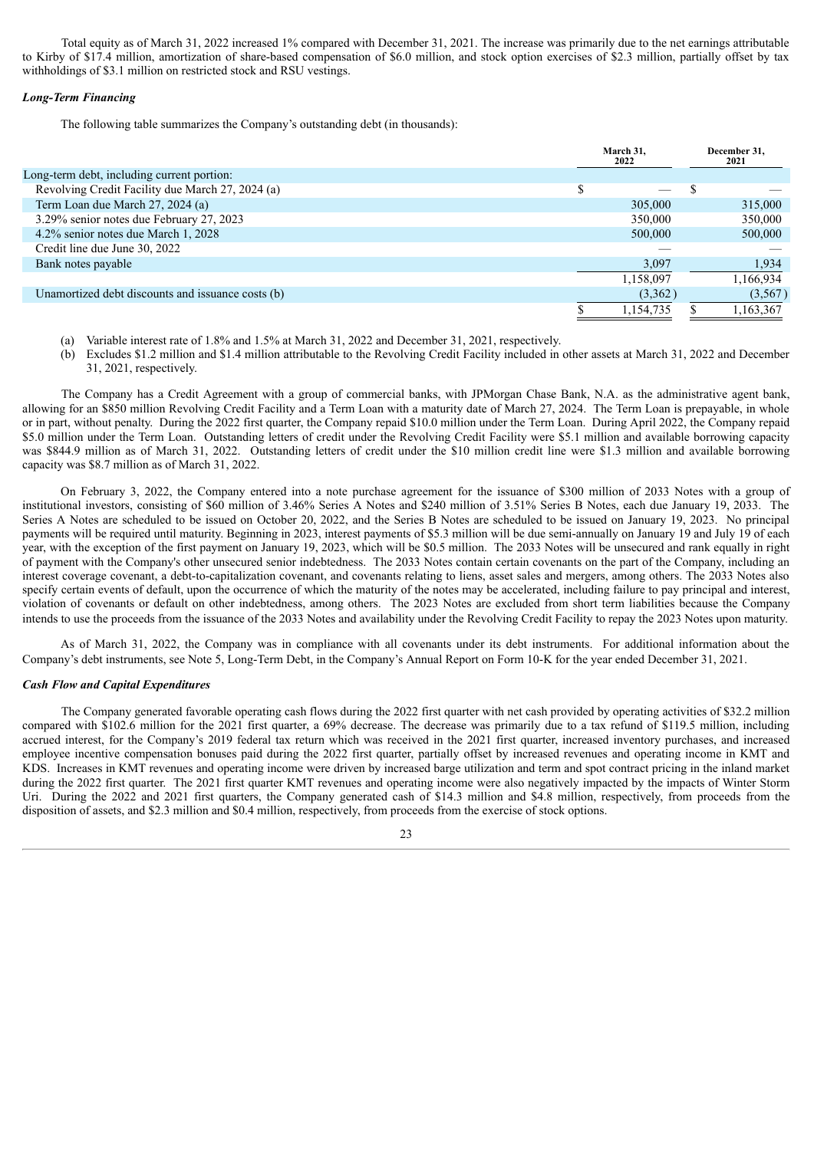Total equity as of March 31, 2022 increased 1% compared with December 31, 2021. The increase was primarily due to the net earnings attributable to Kirby of \$17.4 million, amortization of share-based compensation of \$6.0 million, and stock option exercises of \$2.3 million, partially offset by tax withholdings of \$3.1 million on restricted stock and RSU vestings.

#### *Long-Term Financing*

The following table summarizes the Company's outstanding debt (in thousands):

|                                                   |   | March 31.<br>2022 | December 31,<br>2021 |
|---------------------------------------------------|---|-------------------|----------------------|
| Long-term debt, including current portion:        |   |                   |                      |
| Revolving Credit Facility due March 27, 2024 (a)  | ¢ |                   |                      |
| Term Loan due March 27, 2024 (a)                  |   | 305,000           | 315,000              |
| 3.29% senior notes due February 27, 2023          |   | 350,000           | 350,000              |
| 4.2% senior notes due March 1, 2028               |   | 500,000           | 500,000              |
| Credit line due June 30, 2022                     |   |                   |                      |
| Bank notes payable                                |   | 3,097             | 1,934                |
|                                                   |   | 1,158,097         | 1,166,934            |
| Unamortized debt discounts and issuance costs (b) |   | (3,362)           | (3, 567)             |
|                                                   |   | 1,154,735         | ,163,367             |

- (a) Variable interest rate of 1.8% and 1.5% at March 31, 2022 and December 31, 2021, respectively.
- (b) Excludes \$1.2 million and \$1.4 million attributable to the Revolving Credit Facility included in other assets at March 31, 2022 and December 31, 2021, respectively.

The Company has a Credit Agreement with a group of commercial banks, with JPMorgan Chase Bank, N.A. as the administrative agent bank, allowing for an \$850 million Revolving Credit Facility and a Term Loan with a maturity date of March 27, 2024. The Term Loan is prepayable, in whole or in part, without penalty. During the 2022 first quarter, the Company repaid \$10.0 million under the Term Loan. During April 2022, the Company repaid \$5.0 million under the Term Loan. Outstanding letters of credit under the Revolving Credit Facility were \$5.1 million and available borrowing capacity was \$844.9 million as of March 31, 2022. Outstanding letters of credit under the \$10 million credit line were \$1.3 million and available borrowing capacity was \$8.7 million as of March 31, 2022.

On February 3, 2022, the Company entered into a note purchase agreement for the issuance of \$300 million of 2033 Notes with a group of institutional investors, consisting of \$60 million of 3.46% Series A Notes and \$240 million of 3.51% Series B Notes, each due January 19, 2033. The Series A Notes are scheduled to be issued on October 20, 2022, and the Series B Notes are scheduled to be issued on January 19, 2023. No principal payments will be required until maturity. Beginning in 2023, interest payments of \$5.3 million will be due semi-annually on January 19 and July 19 of each year, with the exception of the first payment on January 19, 2023, which will be \$0.5 million. The 2033 Notes will be unsecured and rank equally in right of payment with the Company's other unsecured senior indebtedness. The 2033 Notes contain certain covenants on the part of the Company, including an interest coverage covenant, a debt-to-capitalization covenant, and covenants relating to liens, asset sales and mergers, among others. The 2033 Notes also specify certain events of default, upon the occurrence of which the maturity of the notes may be accelerated, including failure to pay principal and interest, violation of covenants or default on other indebtedness, among others. The 2023 Notes are excluded from short term liabilities because the Company intends to use the proceeds from the issuance of the 2033 Notes and availability under the Revolving Credit Facility to repay the 2023 Notes upon maturity.

As of March 31, 2022, the Company was in compliance with all covenants under its debt instruments. For additional information about the Company's debt instruments, see Note 5, Long-Term Debt, in the Company's Annual Report on Form 10-K for the year ended December 31, 2021.

#### *Cash Flow and Capital Expenditures*

The Company generated favorable operating cash flows during the 2022 first quarter with net cash provided by operating activities of \$32.2 million compared with \$102.6 million for the 2021 first quarter, a 69% decrease. The decrease was primarily due to a tax refund of \$119.5 million, including accrued interest, for the Company's 2019 federal tax return which was received in the 2021 first quarter, increased inventory purchases, and increased employee incentive compensation bonuses paid during the 2022 first quarter, partially offset by increased revenues and operating income in KMT and KDS. Increases in KMT revenues and operating income were driven by increased barge utilization and term and spot contract pricing in the inland market during the 2022 first quarter. The 2021 first quarter KMT revenues and operating income were also negatively impacted by the impacts of Winter Storm Uri. During the 2022 and 2021 first quarters, the Company generated cash of \$14.3 million and \$4.8 million, respectively, from proceeds from the disposition of assets, and \$2.3 million and \$0.4 million, respectively, from proceeds from the exercise of stock options.

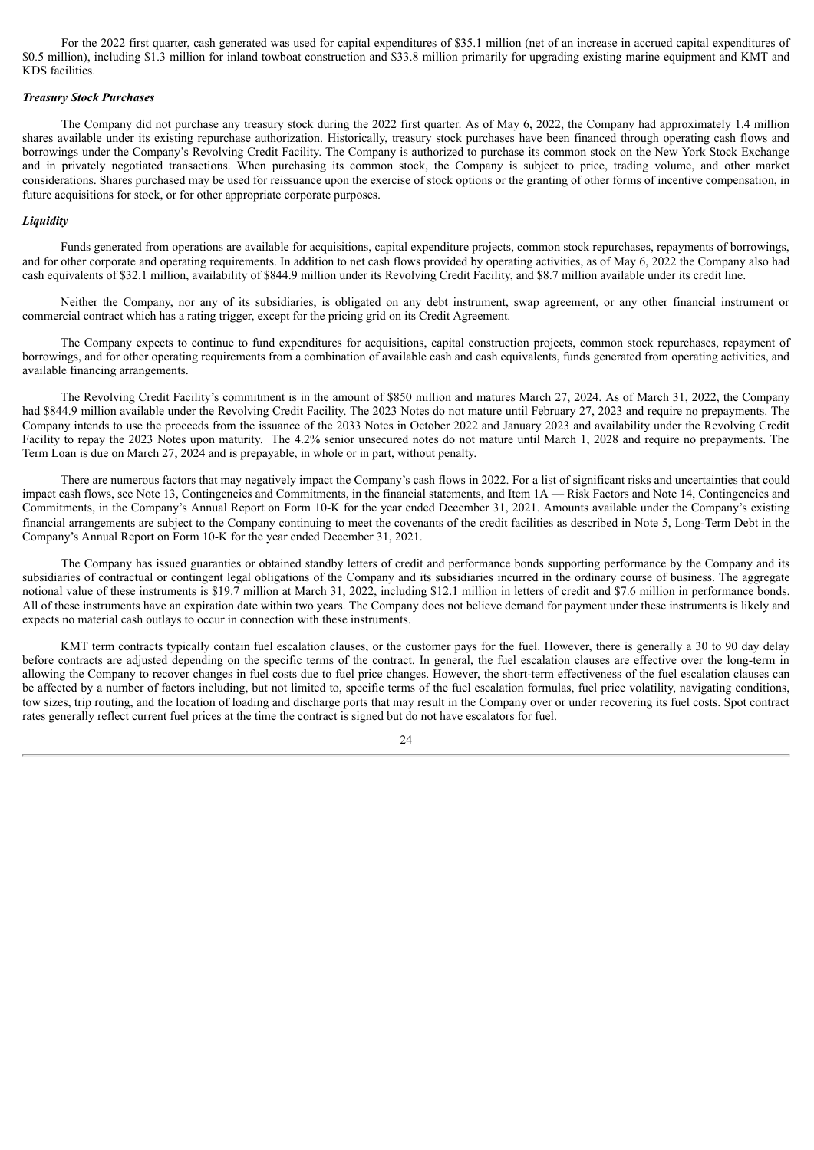For the 2022 first quarter, cash generated was used for capital expenditures of \$35.1 million (net of an increase in accrued capital expenditures of \$0.5 million), including \$1.3 million for inland towboat construction and \$33.8 million primarily for upgrading existing marine equipment and KMT and KDS facilities.

#### *Treasury Stock Purchases*

The Company did not purchase any treasury stock during the 2022 first quarter. As of May 6, 2022, the Company had approximately 1.4 million shares available under its existing repurchase authorization. Historically, treasury stock purchases have been financed through operating cash flows and borrowings under the Company's Revolving Credit Facility. The Company is authorized to purchase its common stock on the New York Stock Exchange and in privately negotiated transactions. When purchasing its common stock, the Company is subject to price, trading volume, and other market considerations. Shares purchased may be used for reissuance upon the exercise of stock options or the granting of other forms of incentive compensation, in future acquisitions for stock, or for other appropriate corporate purposes.

#### *Liquidity*

Funds generated from operations are available for acquisitions, capital expenditure projects, common stock repurchases, repayments of borrowings, and for other corporate and operating requirements. In addition to net cash flows provided by operating activities, as of May 6, 2022 the Company also had cash equivalents of \$32.1 million, availability of \$844.9 million under its Revolving Credit Facility, and \$8.7 million available under its credit line.

Neither the Company, nor any of its subsidiaries, is obligated on any debt instrument, swap agreement, or any other financial instrument or commercial contract which has a rating trigger, except for the pricing grid on its Credit Agreement.

The Company expects to continue to fund expenditures for acquisitions, capital construction projects, common stock repurchases, repayment of borrowings, and for other operating requirements from a combination of available cash and cash equivalents, funds generated from operating activities, and available financing arrangements.

The Revolving Credit Facility's commitment is in the amount of \$850 million and matures March 27, 2024. As of March 31, 2022, the Company had \$844.9 million available under the Revolving Credit Facility. The 2023 Notes do not mature until February 27, 2023 and require no prepayments. The Company intends to use the proceeds from the issuance of the 2033 Notes in October 2022 and January 2023 and availability under the Revolving Credit Facility to repay the 2023 Notes upon maturity. The 4.2% senior unsecured notes do not mature until March 1, 2028 and require no prepayments. The Term Loan is due on March 27, 2024 and is prepayable, in whole or in part, without penalty.

There are numerous factors that may negatively impact the Company's cash flows in 2022. For a list of significant risks and uncertainties that could impact cash flows, see Note 13, Contingencies and Commitments, in the financial statements, and Item 1A — Risk Factors and Note 14, Contingencies and Commitments, in the Company's Annual Report on Form 10-K for the year ended December 31, 2021. Amounts available under the Company's existing financial arrangements are subject to the Company continuing to meet the covenants of the credit facilities as described in Note 5, Long-Term Debt in the Company's Annual Report on Form 10-K for the year ended December 31, 2021.

The Company has issued guaranties or obtained standby letters of credit and performance bonds supporting performance by the Company and its subsidiaries of contractual or contingent legal obligations of the Company and its subsidiaries incurred in the ordinary course of business. The aggregate notional value of these instruments is \$19.7 million at March 31, 2022, including \$12.1 million in letters of credit and \$7.6 million in performance bonds. All of these instruments have an expiration date within two years. The Company does not believe demand for payment under these instruments is likely and expects no material cash outlays to occur in connection with these instruments.

KMT term contracts typically contain fuel escalation clauses, or the customer pays for the fuel. However, there is generally a 30 to 90 day delay before contracts are adjusted depending on the specific terms of the contract. In general, the fuel escalation clauses are effective over the long-term in allowing the Company to recover changes in fuel costs due to fuel price changes. However, the short-term effectiveness of the fuel escalation clauses can be affected by a number of factors including, but not limited to, specific terms of the fuel escalation formulas, fuel price volatility, navigating conditions, tow sizes, trip routing, and the location of loading and discharge ports that may result in the Company over or under recovering its fuel costs. Spot contract rates generally reflect current fuel prices at the time the contract is signed but do not have escalators for fuel.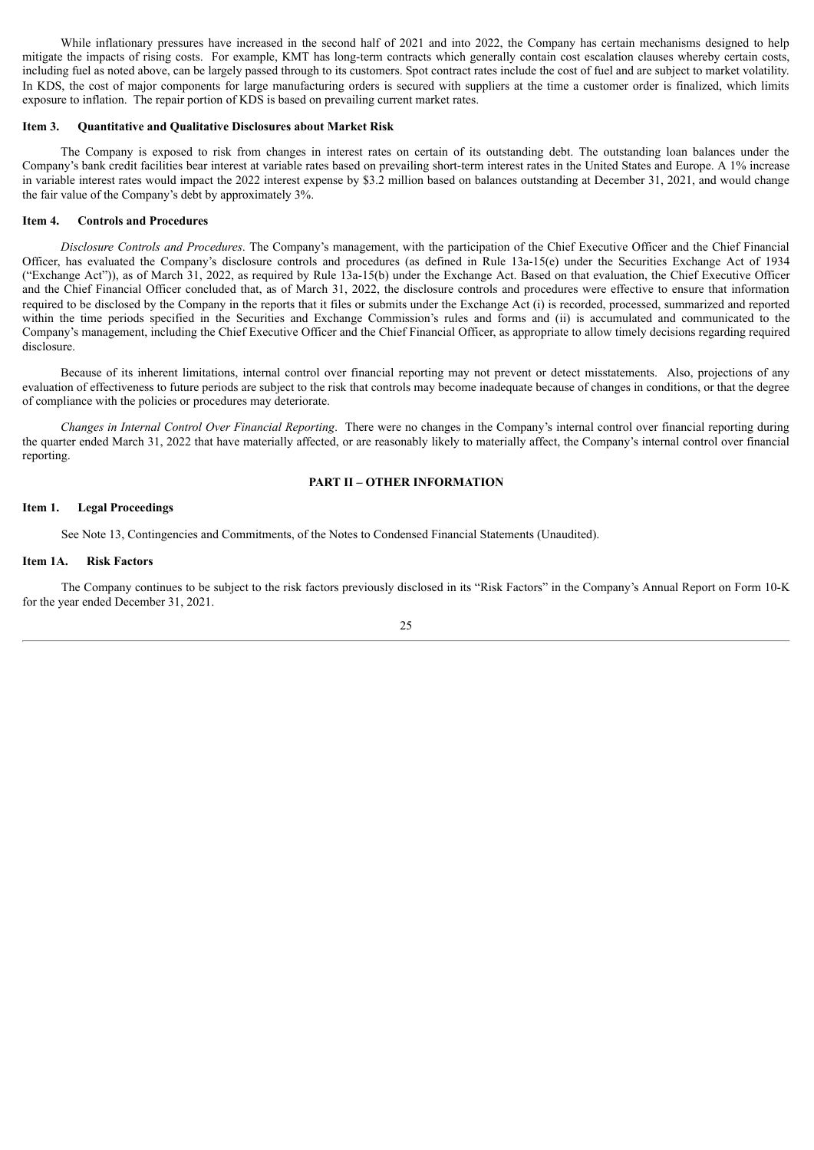While inflationary pressures have increased in the second half of 2021 and into 2022, the Company has certain mechanisms designed to help mitigate the impacts of rising costs. For example, KMT has long-term contracts which generally contain cost escalation clauses whereby certain costs, including fuel as noted above, can be largely passed through to its customers. Spot contract rates include the cost of fuel and are subject to market volatility. In KDS, the cost of major components for large manufacturing orders is secured with suppliers at the time a customer order is finalized, which limits exposure to inflation. The repair portion of KDS is based on prevailing current market rates.

#### **Item 3. Quantitative and Qualitative Disclosures about Market Risk**

The Company is exposed to risk from changes in interest rates on certain of its outstanding debt. The outstanding loan balances under the Company's bank credit facilities bear interest at variable rates based on prevailing short-term interest rates in the United States and Europe. A 1% increase in variable interest rates would impact the 2022 interest expense by \$3.2 million based on balances outstanding at December 31, 2021, and would change the fair value of the Company's debt by approximately 3%.

#### **Item 4. Controls and Procedures**

*Disclosure Controls and Procedures*. The Company's management, with the participation of the Chief Executive Officer and the Chief Financial Officer, has evaluated the Company's disclosure controls and procedures (as defined in Rule 13a-15(e) under the Securities Exchange Act of 1934 ("Exchange Act")), as of March 31, 2022, as required by Rule 13a-15(b) under the Exchange Act. Based on that evaluation, the Chief Executive Officer and the Chief Financial Officer concluded that, as of March 31, 2022, the disclosure controls and procedures were effective to ensure that information required to be disclosed by the Company in the reports that it files or submits under the Exchange Act (i) is recorded, processed, summarized and reported within the time periods specified in the Securities and Exchange Commission's rules and forms and (ii) is accumulated and communicated to the Company's management, including the Chief Executive Officer and the Chief Financial Officer, as appropriate to allow timely decisions regarding required disclosure.

Because of its inherent limitations, internal control over financial reporting may not prevent or detect misstatements. Also, projections of any evaluation of effectiveness to future periods are subject to the risk that controls may become inadequate because of changes in conditions, or that the degree of compliance with the policies or procedures may deteriorate.

*Changes in Internal Control Over Financial Reporting*. There were no changes in the Company's internal control over financial reporting during the quarter ended March 31, 2022 that have materially affected, or are reasonably likely to materially affect, the Company's internal control over financial reporting.

#### **PART II – OTHER INFORMATION**

#### **Item 1. Legal Proceedings**

See Note 13, Contingencies and Commitments, of the Notes to Condensed Financial Statements (Unaudited).

### **Item 1A. Risk Factors**

The Company continues to be subject to the risk factors previously disclosed in its "Risk Factors" in the Company's Annual Report on Form 10-K for the year ended December 31, 2021.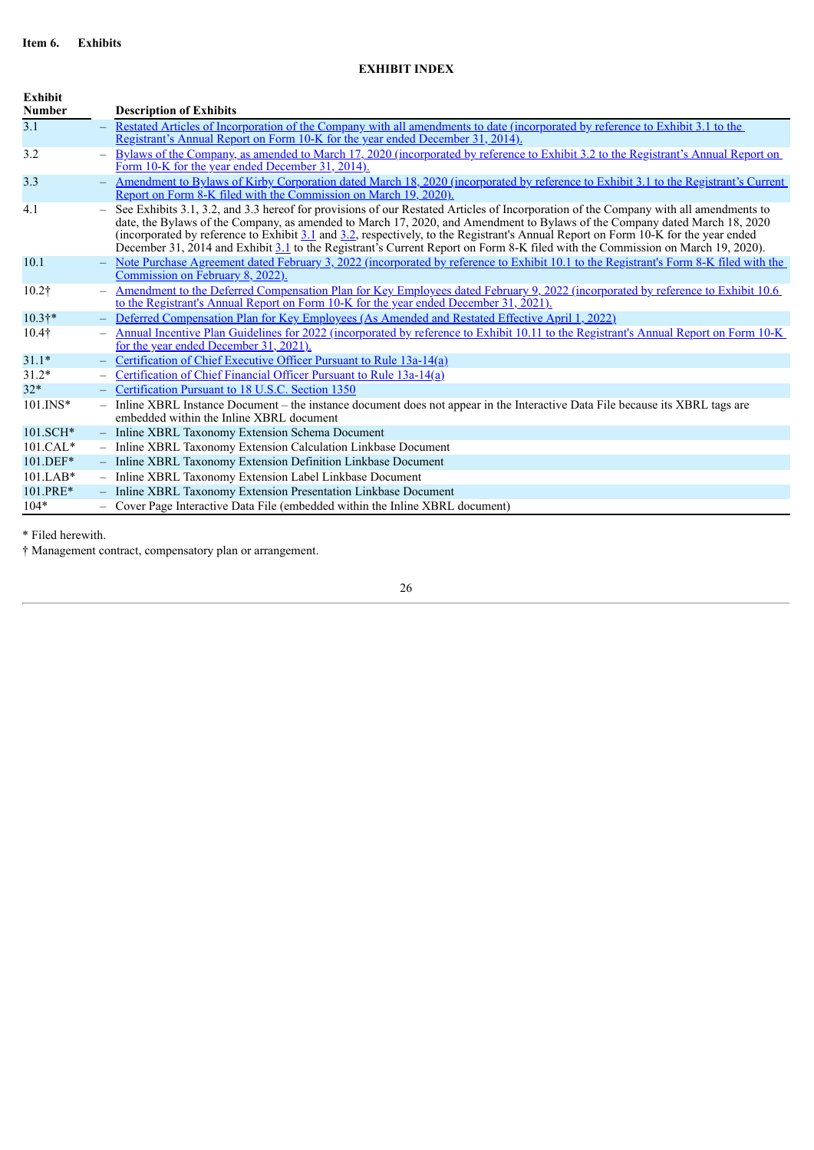## **EXHIBIT INDEX**

| Exhibit<br><b>Number</b> |     | <b>Description of Exhibits</b>                                                                                                                                                                                                                                                                                                                                                                                                                                                                                                             |
|--------------------------|-----|--------------------------------------------------------------------------------------------------------------------------------------------------------------------------------------------------------------------------------------------------------------------------------------------------------------------------------------------------------------------------------------------------------------------------------------------------------------------------------------------------------------------------------------------|
| 3.1                      |     | - Restated Articles of Incorporation of the Company with all amendments to date (incorporated by reference to Exhibit 3.1 to the<br><u>Registrant's Annual Report on Form 10-K for the year ended December 31, 2014).</u>                                                                                                                                                                                                                                                                                                                  |
| 3.2                      |     | - Bylaws of the Company, as amended to March 17, 2020 (incorporated by reference to Exhibit 3.2 to the Registrant's Annual Report on<br>Form 10-K for the year ended December 31, 2014).                                                                                                                                                                                                                                                                                                                                                   |
| 3.3                      |     | Amendment to Bylaws of Kirby Corporation dated March 18, 2020 (incorporated by reference to Exhibit 3.1 to the Registrant's Current<br>Report on Form 8-K filed with the Commission on March 19, 2020).                                                                                                                                                                                                                                                                                                                                    |
| 4.1                      |     | See Exhibits 3.1, 3.2, and 3.3 hereof for provisions of our Restated Articles of Incorporation of the Company with all amendments to<br>date, the Bylaws of the Company, as amended to March 17, 2020, and Amendment to Bylaws of the Company dated March 18, 2020<br>(incorporated by reference to Exhibit 3.1 and 3.2, respectively, to the Registrant's Annual Report on Form 10-K for the year ended<br>December 31, 2014 and Exhibit 3.1 to the Registrant's Current Report on Form 8-K filed with the Commission on March 19, 2020). |
| 10.1                     |     | Note Purchase Agreement dated February 3, 2022 (incorporated by reference to Exhibit 10.1 to the Registrant's Form 8-K filed with the<br>Commission on February 8, 2022).                                                                                                                                                                                                                                                                                                                                                                  |
| 10.2 <sup>†</sup>        |     | Amendment to the Deferred Compensation Plan for Key Employees dated February 9, 2022 (incorporated by reference to Exhibit 10.6)<br>to the Registrant's Annual Report on Form 10-K for the year ended December 31, 2021).                                                                                                                                                                                                                                                                                                                  |
| $10.3$ <sup>*</sup>      |     | - Deferred Compensation Plan for Key Employees (As Amended and Restated Effective April 1, 2022)                                                                                                                                                                                                                                                                                                                                                                                                                                           |
| $10.4\dagger$            |     | Annual Incentive Plan Guidelines for 2022 (incorporated by reference to Exhibit 10.11 to the Registrant's Annual Report on Form 10-K<br>for the year ended December 31, 2021).                                                                                                                                                                                                                                                                                                                                                             |
| $31.1*$                  | $-$ | Certification of Chief Executive Officer Pursuant to Rule 13a-14(a)                                                                                                                                                                                                                                                                                                                                                                                                                                                                        |
| $31.2*$                  |     | Certification of Chief Financial Officer Pursuant to Rule 13a-14(a)                                                                                                                                                                                                                                                                                                                                                                                                                                                                        |
| $32*$                    |     | - Certification Pursuant to 18 U.S.C. Section 1350                                                                                                                                                                                                                                                                                                                                                                                                                                                                                         |
| $101$ . INS*             |     | - Inline XBRL Instance Document – the instance document does not appear in the Interactive Data File because its XBRL tags are<br>embedded within the Inline XBRL document                                                                                                                                                                                                                                                                                                                                                                 |
| $101.SCH*$               |     | - Inline XBRL Taxonomy Extension Schema Document                                                                                                                                                                                                                                                                                                                                                                                                                                                                                           |
| $101.CAL*$               |     | - Inline XBRL Taxonomy Extension Calculation Linkbase Document                                                                                                                                                                                                                                                                                                                                                                                                                                                                             |
| 101.DEF*                 |     | - Inline XBRL Taxonomy Extension Definition Linkbase Document                                                                                                                                                                                                                                                                                                                                                                                                                                                                              |
| $101.LAB*$               |     | - Inline XBRL Taxonomy Extension Label Linkbase Document                                                                                                                                                                                                                                                                                                                                                                                                                                                                                   |
| 101.PRE*                 |     | - Inline XBRL Taxonomy Extension Presentation Linkbase Document                                                                                                                                                                                                                                                                                                                                                                                                                                                                            |
| $104*$                   |     | - Cover Page Interactive Data File (embedded within the Inline XBRL document)                                                                                                                                                                                                                                                                                                                                                                                                                                                              |

\* Filed herewith.

† Management contract, compensatory plan or arrangement.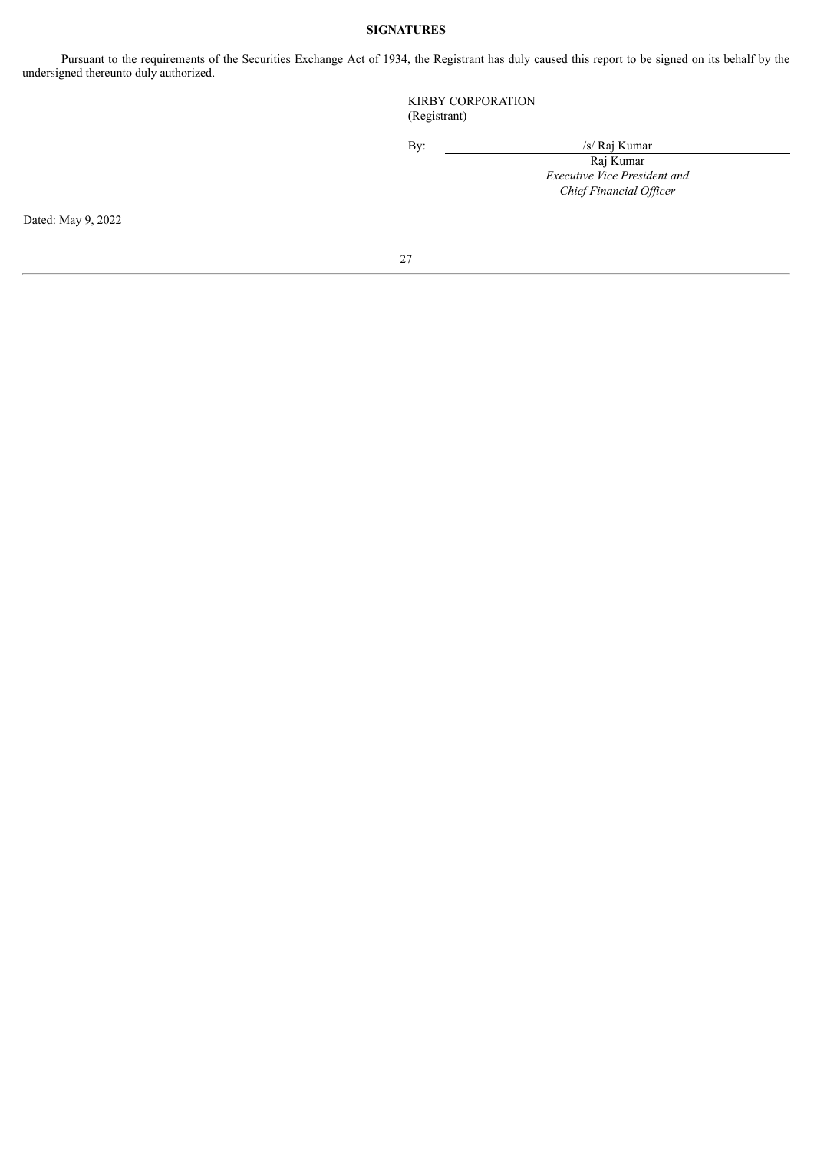#### **SIGNATURES**

Pursuant to the requirements of the Securities Exchange Act of 1934, the Registrant has duly caused this report to be signed on its behalf by the undersigned thereunto duly authorized.

> KIRBY CORPORATION (Registrant)

By: /s/ Raj Kumar

Raj Kumar *Executive Vice President and Chief Financial Of icer*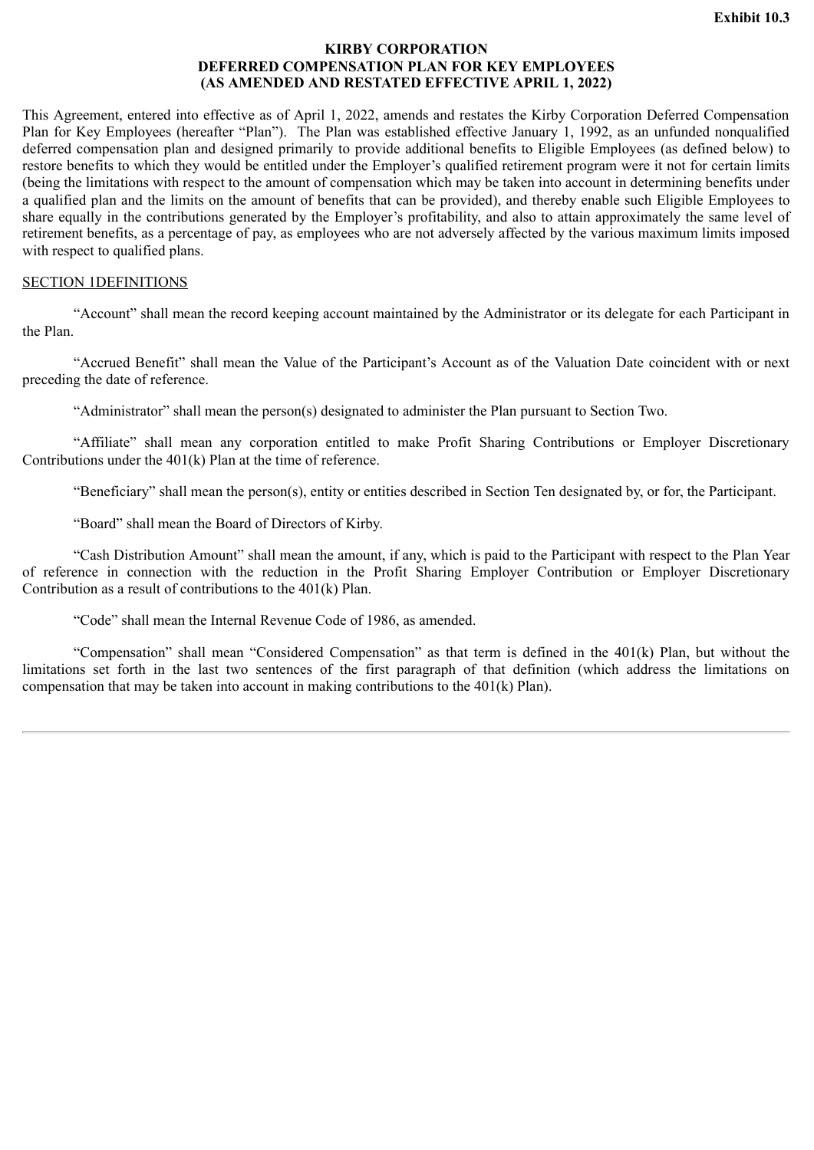## **KIRBY CORPORATION DEFERRED COMPENSATION PLAN FOR KEY EMPLOYEES (AS AMENDED AND RESTATED EFFECTIVE APRIL 1, 2022)**

<span id="page-27-0"></span>This Agreement, entered into effective as of April 1, 2022, amends and restates the Kirby Corporation Deferred Compensation Plan for Key Employees (hereafter "Plan"). The Plan was established effective January 1, 1992, as an unfunded nonqualified deferred compensation plan and designed primarily to provide additional benefits to Eligible Employees (as defined below) to restore benefits to which they would be entitled under the Employer's qualified retirement program were it not for certain limits (being the limitations with respect to the amount of compensation which may be taken into account in determining benefits under a qualified plan and the limits on the amount of benefits that can be provided), and thereby enable such Eligible Employees to share equally in the contributions generated by the Employer's profitability, and also to attain approximately the same level of retirement benefits, as a percentage of pay, as employees who are not adversely affected by the various maximum limits imposed with respect to qualified plans.

## SECTION 1DEFINITIONS

"Account" shall mean the record keeping account maintained by the Administrator or its delegate for each Participant in the Plan.

"Accrued Benefit" shall mean the Value of the Participant's Account as of the Valuation Date coincident with or next preceding the date of reference.

"Administrator" shall mean the person(s) designated to administer the Plan pursuant to Section Two.

"Affiliate" shall mean any corporation entitled to make Profit Sharing Contributions or Employer Discretionary Contributions under the 401(k) Plan at the time of reference.

"Beneficiary" shall mean the person(s), entity or entities described in Section Ten designated by, or for, the Participant.

"Board" shall mean the Board of Directors of Kirby.

"Cash Distribution Amount" shall mean the amount, if any, which is paid to the Participant with respect to the Plan Year of reference in connection with the reduction in the Profit Sharing Employer Contribution or Employer Discretionary Contribution as a result of contributions to the 401(k) Plan.

"Code" shall mean the Internal Revenue Code of 1986, as amended.

"Compensation" shall mean "Considered Compensation" as that term is defined in the 401(k) Plan, but without the limitations set forth in the last two sentences of the first paragraph of that definition (which address the limitations on compensation that may be taken into account in making contributions to the  $401(k)$  Plan).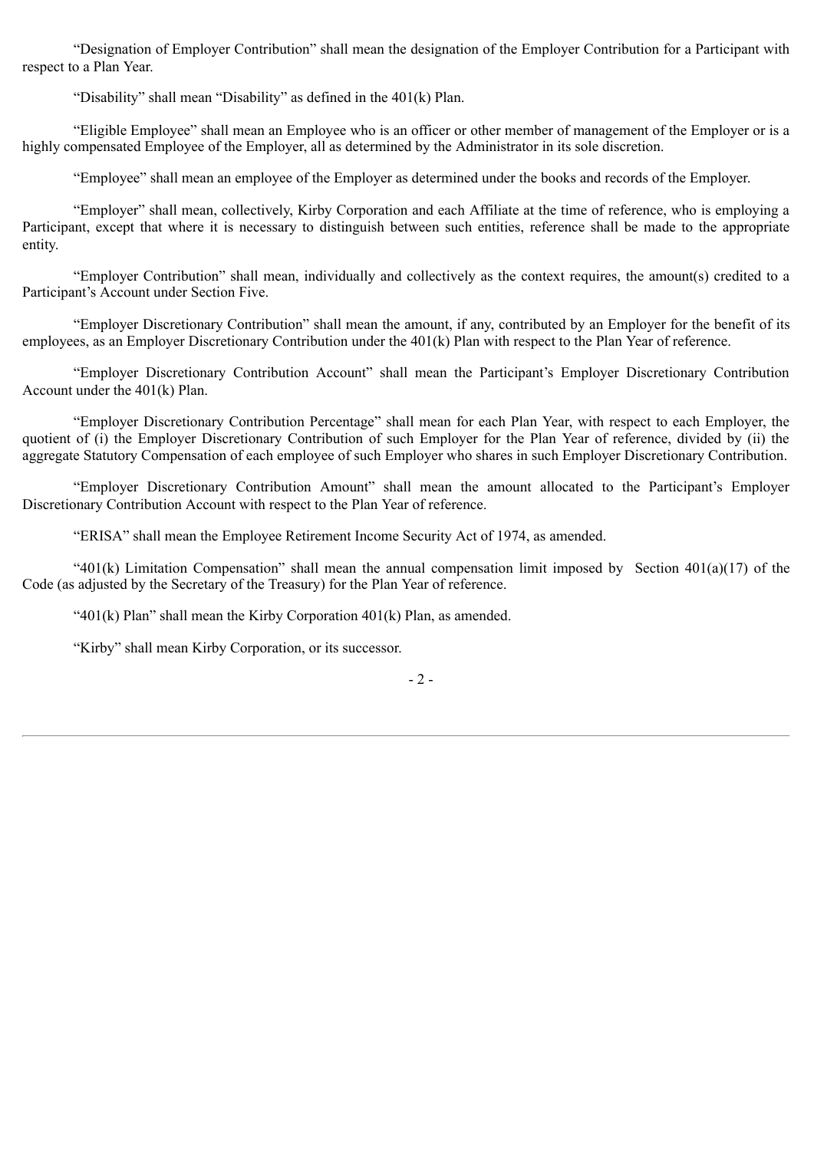"Designation of Employer Contribution" shall mean the designation of the Employer Contribution for a Participant with respect to a Plan Year.

"Disability" shall mean "Disability" as defined in the 401(k) Plan.

"Eligible Employee" shall mean an Employee who is an officer or other member of management of the Employer or is a highly compensated Employee of the Employer, all as determined by the Administrator in its sole discretion.

"Employee" shall mean an employee of the Employer as determined under the books and records of the Employer.

"Employer" shall mean, collectively, Kirby Corporation and each Affiliate at the time of reference, who is employing a Participant, except that where it is necessary to distinguish between such entities, reference shall be made to the appropriate entity.

"Employer Contribution" shall mean, individually and collectively as the context requires, the amount(s) credited to a Participant's Account under Section Five.

"Employer Discretionary Contribution" shall mean the amount, if any, contributed by an Employer for the benefit of its employees, as an Employer Discretionary Contribution under the 401(k) Plan with respect to the Plan Year of reference.

"Employer Discretionary Contribution Account" shall mean the Participant's Employer Discretionary Contribution Account under the 401(k) Plan.

"Employer Discretionary Contribution Percentage" shall mean for each Plan Year, with respect to each Employer, the quotient of (i) the Employer Discretionary Contribution of such Employer for the Plan Year of reference, divided by (ii) the aggregate Statutory Compensation of each employee of such Employer who shares in such Employer Discretionary Contribution.

"Employer Discretionary Contribution Amount" shall mean the amount allocated to the Participant's Employer Discretionary Contribution Account with respect to the Plan Year of reference.

"ERISA" shall mean the Employee Retirement Income Security Act of 1974, as amended.

"401(k) Limitation Compensation" shall mean the annual compensation limit imposed by Section 401(a)(17) of the Code (as adjusted by the Secretary of the Treasury) for the Plan Year of reference.

" $401(k)$  Plan" shall mean the Kirby Corporation  $401(k)$  Plan, as amended.

"Kirby" shall mean Kirby Corporation, or its successor.

- 2 -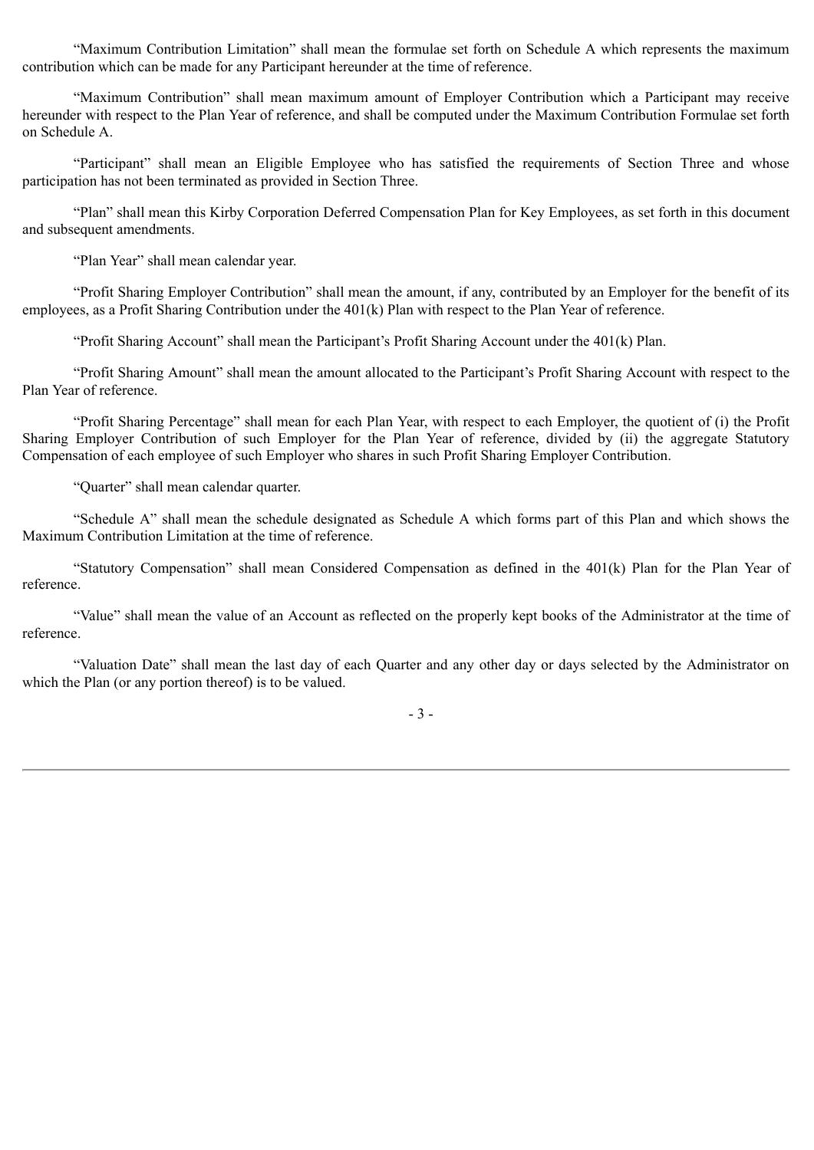"Maximum Contribution Limitation" shall mean the formulae set forth on Schedule A which represents the maximum contribution which can be made for any Participant hereunder at the time of reference.

"Maximum Contribution" shall mean maximum amount of Employer Contribution which a Participant may receive hereunder with respect to the Plan Year of reference, and shall be computed under the Maximum Contribution Formulae set forth on Schedule A.

"Participant" shall mean an Eligible Employee who has satisfied the requirements of Section Three and whose participation has not been terminated as provided in Section Three.

"Plan" shall mean this Kirby Corporation Deferred Compensation Plan for Key Employees, as set forth in this document and subsequent amendments.

"Plan Year" shall mean calendar year.

"Profit Sharing Employer Contribution" shall mean the amount, if any, contributed by an Employer for the benefit of its employees, as a Profit Sharing Contribution under the 401(k) Plan with respect to the Plan Year of reference.

"Profit Sharing Account" shall mean the Participant's Profit Sharing Account under the 401(k) Plan.

"Profit Sharing Amount" shall mean the amount allocated to the Participant's Profit Sharing Account with respect to the Plan Year of reference.

"Profit Sharing Percentage" shall mean for each Plan Year, with respect to each Employer, the quotient of (i) the Profit Sharing Employer Contribution of such Employer for the Plan Year of reference, divided by (ii) the aggregate Statutory Compensation of each employee of such Employer who shares in such Profit Sharing Employer Contribution.

"Quarter" shall mean calendar quarter.

"Schedule A" shall mean the schedule designated as Schedule A which forms part of this Plan and which shows the Maximum Contribution Limitation at the time of reference.

"Statutory Compensation" shall mean Considered Compensation as defined in the 401(k) Plan for the Plan Year of reference.

"Value" shall mean the value of an Account as reflected on the properly kept books of the Administrator at the time of reference.

"Valuation Date" shall mean the last day of each Quarter and any other day or days selected by the Administrator on which the Plan (or any portion thereof) is to be valued.

- 3 -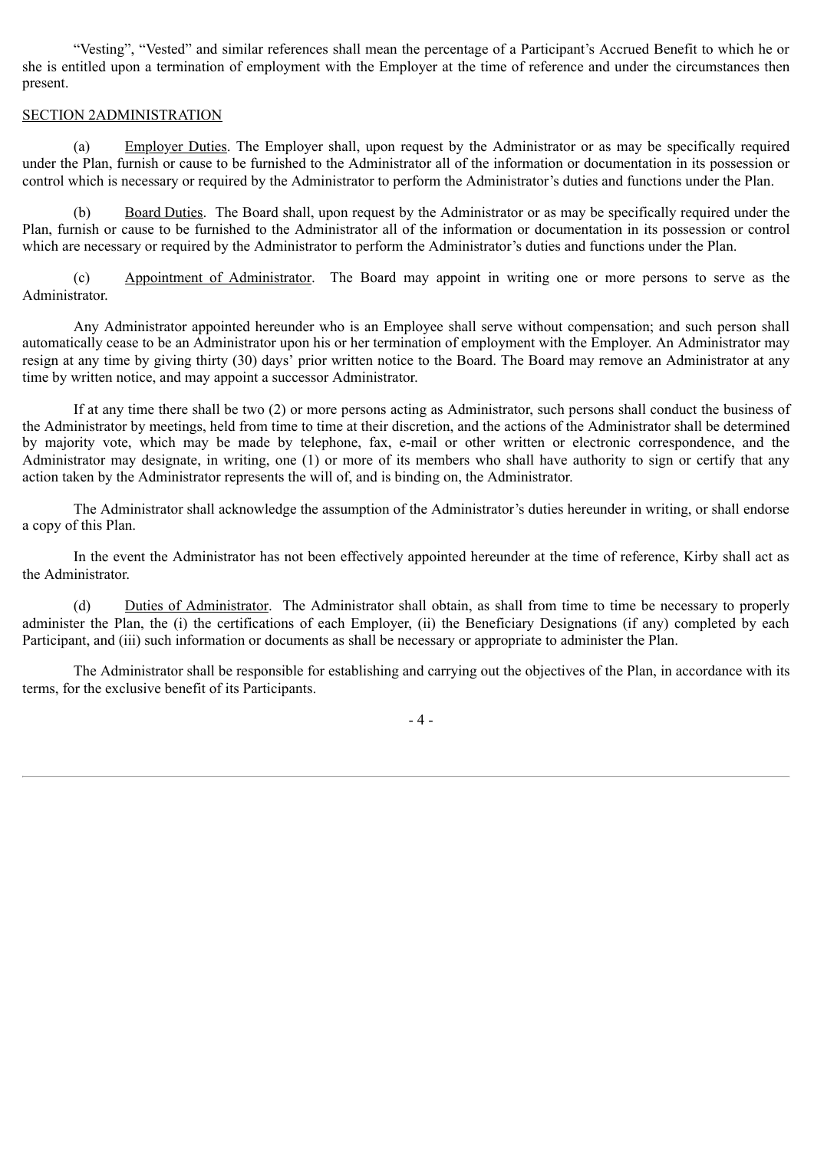"Vesting", "Vested" and similar references shall mean the percentage of a Participant's Accrued Benefit to which he or she is entitled upon a termination of employment with the Employer at the time of reference and under the circumstances then present.

## SECTION 2ADMINISTRATION

(a) Employer Duties. The Employer shall, upon request by the Administrator or as may be specifically required under the Plan, furnish or cause to be furnished to the Administrator all of the information or documentation in its possession or control which is necessary or required by the Administrator to perform the Administrator's duties and functions under the Plan.

(b) Board Duties. The Board shall, upon request by the Administrator or as may be specifically required under the Plan, furnish or cause to be furnished to the Administrator all of the information or documentation in its possession or control which are necessary or required by the Administrator to perform the Administrator's duties and functions under the Plan.

(c) Appointment of Administrator. The Board may appoint in writing one or more persons to serve as the Administrator.

Any Administrator appointed hereunder who is an Employee shall serve without compensation; and such person shall automatically cease to be an Administrator upon his or her termination of employment with the Employer. An Administrator may resign at any time by giving thirty (30) days' prior written notice to the Board. The Board may remove an Administrator at any time by written notice, and may appoint a successor Administrator.

If at any time there shall be two (2) or more persons acting as Administrator, such persons shall conduct the business of the Administrator by meetings, held from time to time at their discretion, and the actions of the Administrator shall be determined by majority vote, which may be made by telephone, fax, e-mail or other written or electronic correspondence, and the Administrator may designate, in writing, one (1) or more of its members who shall have authority to sign or certify that any action taken by the Administrator represents the will of, and is binding on, the Administrator.

The Administrator shall acknowledge the assumption of the Administrator's duties hereunder in writing, or shall endorse a copy of this Plan.

In the event the Administrator has not been effectively appointed hereunder at the time of reference, Kirby shall act as the Administrator.

(d) Duties of Administrator. The Administrator shall obtain, as shall from time to time be necessary to properly administer the Plan, the (i) the certifications of each Employer, (ii) the Beneficiary Designations (if any) completed by each Participant, and (iii) such information or documents as shall be necessary or appropriate to administer the Plan.

The Administrator shall be responsible for establishing and carrying out the objectives of the Plan, in accordance with its terms, for the exclusive benefit of its Participants.

- 4 -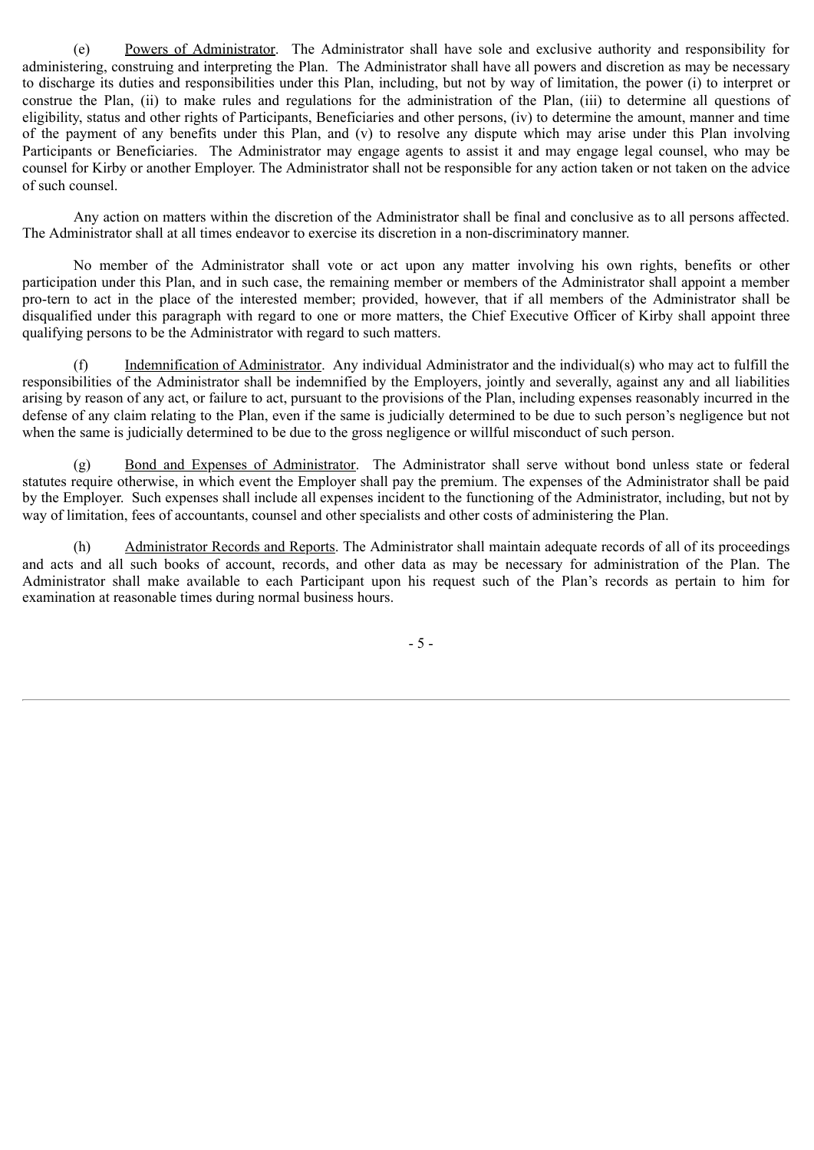(e) Powers of Administrator. The Administrator shall have sole and exclusive authority and responsibility for administering, construing and interpreting the Plan. The Administrator shall have all powers and discretion as may be necessary to discharge its duties and responsibilities under this Plan, including, but not by way of limitation, the power (i) to interpret or construe the Plan, (ii) to make rules and regulations for the administration of the Plan, (iii) to determine all questions of eligibility, status and other rights of Participants, Beneficiaries and other persons, (iv) to determine the amount, manner and time of the payment of any benefits under this Plan, and (v) to resolve any dispute which may arise under this Plan involving Participants or Beneficiaries. The Administrator may engage agents to assist it and may engage legal counsel, who may be counsel for Kirby or another Employer. The Administrator shall not be responsible for any action taken or not taken on the advice of such counsel.

Any action on matters within the discretion of the Administrator shall be final and conclusive as to all persons affected. The Administrator shall at all times endeavor to exercise its discretion in a non-discriminatory manner.

No member of the Administrator shall vote or act upon any matter involving his own rights, benefits or other participation under this Plan, and in such case, the remaining member or members of the Administrator shall appoint a member pro-tern to act in the place of the interested member; provided, however, that if all members of the Administrator shall be disqualified under this paragraph with regard to one or more matters, the Chief Executive Officer of Kirby shall appoint three qualifying persons to be the Administrator with regard to such matters.

(f) Indemnification of Administrator. Any individual Administrator and the individual(s) who may act to fulfill the responsibilities of the Administrator shall be indemnified by the Employers, jointly and severally, against any and all liabilities arising by reason of any act, or failure to act, pursuant to the provisions of the Plan, including expenses reasonably incurred in the defense of any claim relating to the Plan, even if the same is judicially determined to be due to such person's negligence but not when the same is judicially determined to be due to the gross negligence or willful misconduct of such person.

(g) Bond and Expenses of Administrator. The Administrator shall serve without bond unless state or federal statutes require otherwise, in which event the Employer shall pay the premium. The expenses of the Administrator shall be paid by the Employer. Such expenses shall include all expenses incident to the functioning of the Administrator, including, but not by way of limitation, fees of accountants, counsel and other specialists and other costs of administering the Plan.

(h) Administrator Records and Reports. The Administrator shall maintain adequate records of all of its proceedings and acts and all such books of account, records, and other data as may be necessary for administration of the Plan. The Administrator shall make available to each Participant upon his request such of the Plan's records as pertain to him for examination at reasonable times during normal business hours.

- 5 -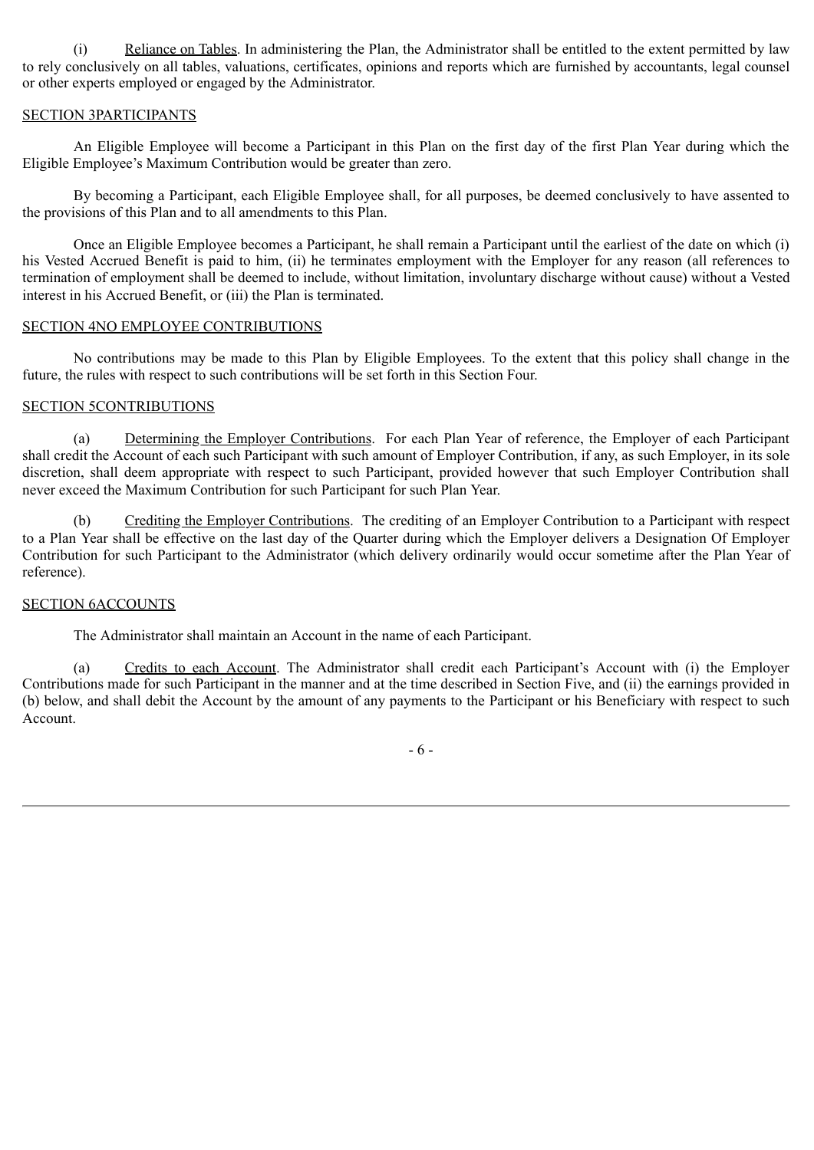(i) Reliance on Tables. In administering the Plan, the Administrator shall be entitled to the extent permitted by law to rely conclusively on all tables, valuations, certificates, opinions and reports which are furnished by accountants, legal counsel or other experts employed or engaged by the Administrator.

## SECTION 3PARTICIPANTS

An Eligible Employee will become a Participant in this Plan on the first day of the first Plan Year during which the Eligible Employee's Maximum Contribution would be greater than zero.

By becoming a Participant, each Eligible Employee shall, for all purposes, be deemed conclusively to have assented to the provisions of this Plan and to all amendments to this Plan.

Once an Eligible Employee becomes a Participant, he shall remain a Participant until the earliest of the date on which (i) his Vested Accrued Benefit is paid to him, (ii) he terminates employment with the Employer for any reason (all references to termination of employment shall be deemed to include, without limitation, involuntary discharge without cause) without a Vested interest in his Accrued Benefit, or (iii) the Plan is terminated.

## SECTION 4NO EMPLOYEE CONTRIBUTIONS

No contributions may be made to this Plan by Eligible Employees. To the extent that this policy shall change in the future, the rules with respect to such contributions will be set forth in this Section Four.

## SECTION 5CONTRIBUTIONS

(a) Determining the Employer Contributions. For each Plan Year of reference, the Employer of each Participant shall credit the Account of each such Participant with such amount of Employer Contribution, if any, as such Employer, in its sole discretion, shall deem appropriate with respect to such Participant, provided however that such Employer Contribution shall never exceed the Maximum Contribution for such Participant for such Plan Year.

(b) Crediting the Employer Contributions. The crediting of an Employer Contribution to a Participant with respect to a Plan Year shall be effective on the last day of the Quarter during which the Employer delivers a Designation Of Employer Contribution for such Participant to the Administrator (which delivery ordinarily would occur sometime after the Plan Year of reference).

## SECTION 6ACCOUNTS

The Administrator shall maintain an Account in the name of each Participant.

(a) Credits to each Account. The Administrator shall credit each Participant's Account with (i) the Employer Contributions made for such Participant in the manner and at the time described in Section Five, and (ii) the earnings provided in (b) below, and shall debit the Account by the amount of any payments to the Participant or his Beneficiary with respect to such Account.

- 6 -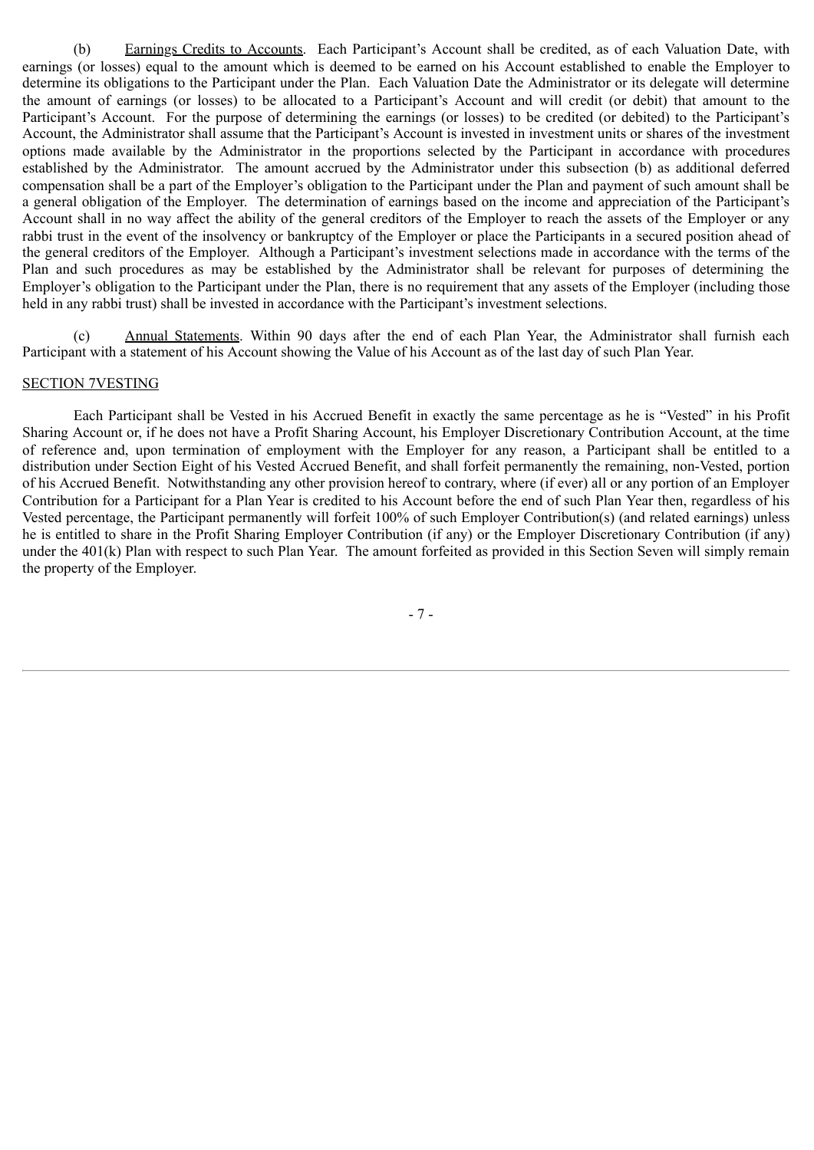(b) Earnings Credits to Accounts. Each Participant's Account shall be credited, as of each Valuation Date, with earnings (or losses) equal to the amount which is deemed to be earned on his Account established to enable the Employer to determine its obligations to the Participant under the Plan. Each Valuation Date the Administrator or its delegate will determine the amount of earnings (or losses) to be allocated to a Participant's Account and will credit (or debit) that amount to the Participant's Account. For the purpose of determining the earnings (or losses) to be credited (or debited) to the Participant's Account, the Administrator shall assume that the Participant's Account is invested in investment units or shares of the investment options made available by the Administrator in the proportions selected by the Participant in accordance with procedures established by the Administrator. The amount accrued by the Administrator under this subsection (b) as additional deferred compensation shall be a part of the Employer's obligation to the Participant under the Plan and payment of such amount shall be a general obligation of the Employer. The determination of earnings based on the income and appreciation of the Participant's Account shall in no way affect the ability of the general creditors of the Employer to reach the assets of the Employer or any rabbi trust in the event of the insolvency or bankruptcy of the Employer or place the Participants in a secured position ahead of the general creditors of the Employer. Although a Participant's investment selections made in accordance with the terms of the Plan and such procedures as may be established by the Administrator shall be relevant for purposes of determining the Employer's obligation to the Participant under the Plan, there is no requirement that any assets of the Employer (including those held in any rabbi trust) shall be invested in accordance with the Participant's investment selections.

(c) Annual Statements. Within 90 days after the end of each Plan Year, the Administrator shall furnish each Participant with a statement of his Account showing the Value of his Account as of the last day of such Plan Year.

## SECTION 7VESTING

Each Participant shall be Vested in his Accrued Benefit in exactly the same percentage as he is "Vested" in his Profit Sharing Account or, if he does not have a Profit Sharing Account, his Employer Discretionary Contribution Account, at the time of reference and, upon termination of employment with the Employer for any reason, a Participant shall be entitled to a distribution under Section Eight of his Vested Accrued Benefit, and shall forfeit permanently the remaining, non-Vested, portion of his Accrued Benefit. Notwithstanding any other provision hereof to contrary, where (if ever) all or any portion of an Employer Contribution for a Participant for a Plan Year is credited to his Account before the end of such Plan Year then, regardless of his Vested percentage, the Participant permanently will forfeit 100% of such Employer Contribution(s) (and related earnings) unless he is entitled to share in the Profit Sharing Employer Contribution (if any) or the Employer Discretionary Contribution (if any) under the 401(k) Plan with respect to such Plan Year. The amount forfeited as provided in this Section Seven will simply remain the property of the Employer.

- 7 -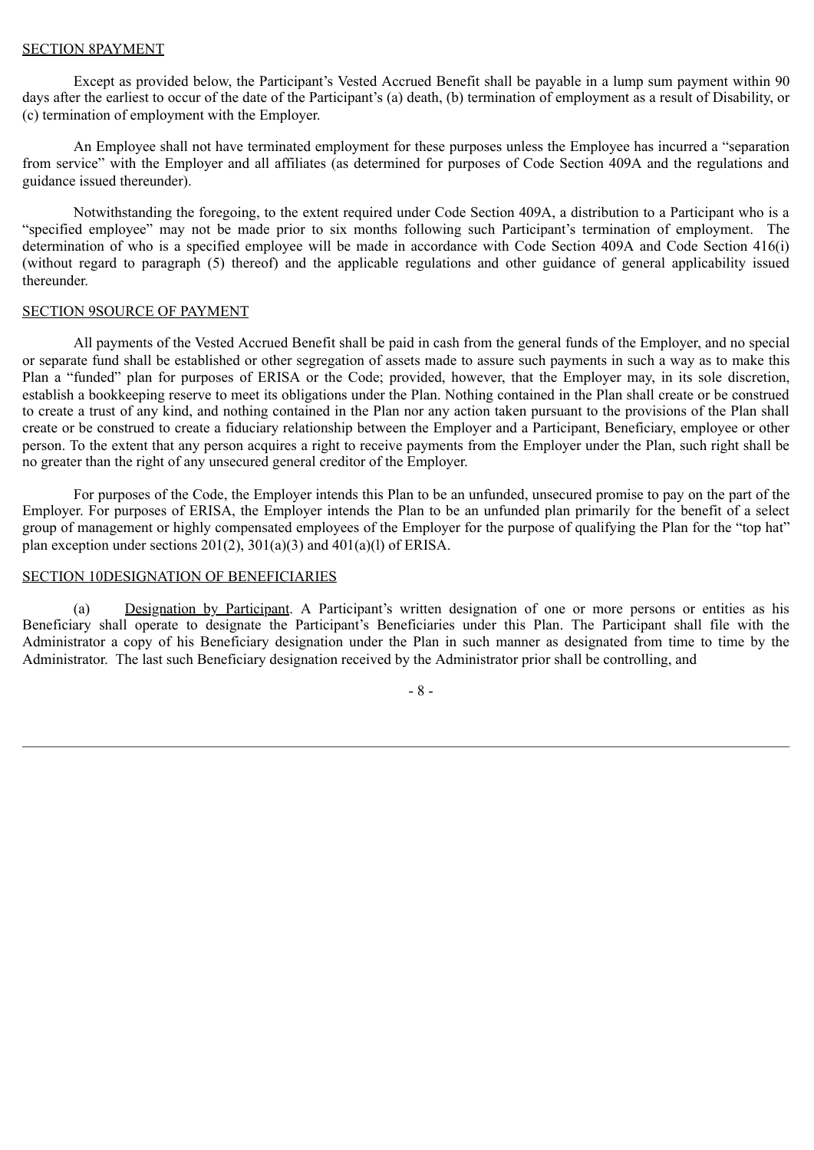## SECTION 8PAYMENT

Except as provided below, the Participant's Vested Accrued Benefit shall be payable in a lump sum payment within 90 days after the earliest to occur of the date of the Participant's (a) death, (b) termination of employment as a result of Disability, or (c) termination of employment with the Employer.

An Employee shall not have terminated employment for these purposes unless the Employee has incurred a "separation from service" with the Employer and all affiliates (as determined for purposes of Code Section 409A and the regulations and guidance issued thereunder).

Notwithstanding the foregoing, to the extent required under Code Section 409A, a distribution to a Participant who is a "specified employee" may not be made prior to six months following such Participant's termination of employment. The determination of who is a specified employee will be made in accordance with Code Section 409A and Code Section 416(i) (without regard to paragraph (5) thereof) and the applicable regulations and other guidance of general applicability issued thereunder.

## SECTION 9SOURCE OF PAYMENT

All payments of the Vested Accrued Benefit shall be paid in cash from the general funds of the Employer, and no special or separate fund shall be established or other segregation of assets made to assure such payments in such a way as to make this Plan a "funded" plan for purposes of ERISA or the Code; provided, however, that the Employer may, in its sole discretion, establish a bookkeeping reserve to meet its obligations under the Plan. Nothing contained in the Plan shall create or be construed to create a trust of any kind, and nothing contained in the Plan nor any action taken pursuant to the provisions of the Plan shall create or be construed to create a fiduciary relationship between the Employer and a Participant, Beneficiary, employee or other person. To the extent that any person acquires a right to receive payments from the Employer under the Plan, such right shall be no greater than the right of any unsecured general creditor of the Employer.

For purposes of the Code, the Employer intends this Plan to be an unfunded, unsecured promise to pay on the part of the Employer. For purposes of ERISA, the Employer intends the Plan to be an unfunded plan primarily for the benefit of a select group of management or highly compensated employees of the Employer for the purpose of qualifying the Plan for the "top hat" plan exception under sections  $201(2)$ ,  $301(a)(3)$  and  $401(a)(1)$  of ERISA.

## SECTION 10DESIGNATION OF BENEFICIARIES

(a) Designation by Participant. A Participant's written designation of one or more persons or entities as his Beneficiary shall operate to designate the Participant's Beneficiaries under this Plan. The Participant shall file with the Administrator a copy of his Beneficiary designation under the Plan in such manner as designated from time to time by the Administrator. The last such Beneficiary designation received by the Administrator prior shall be controlling, and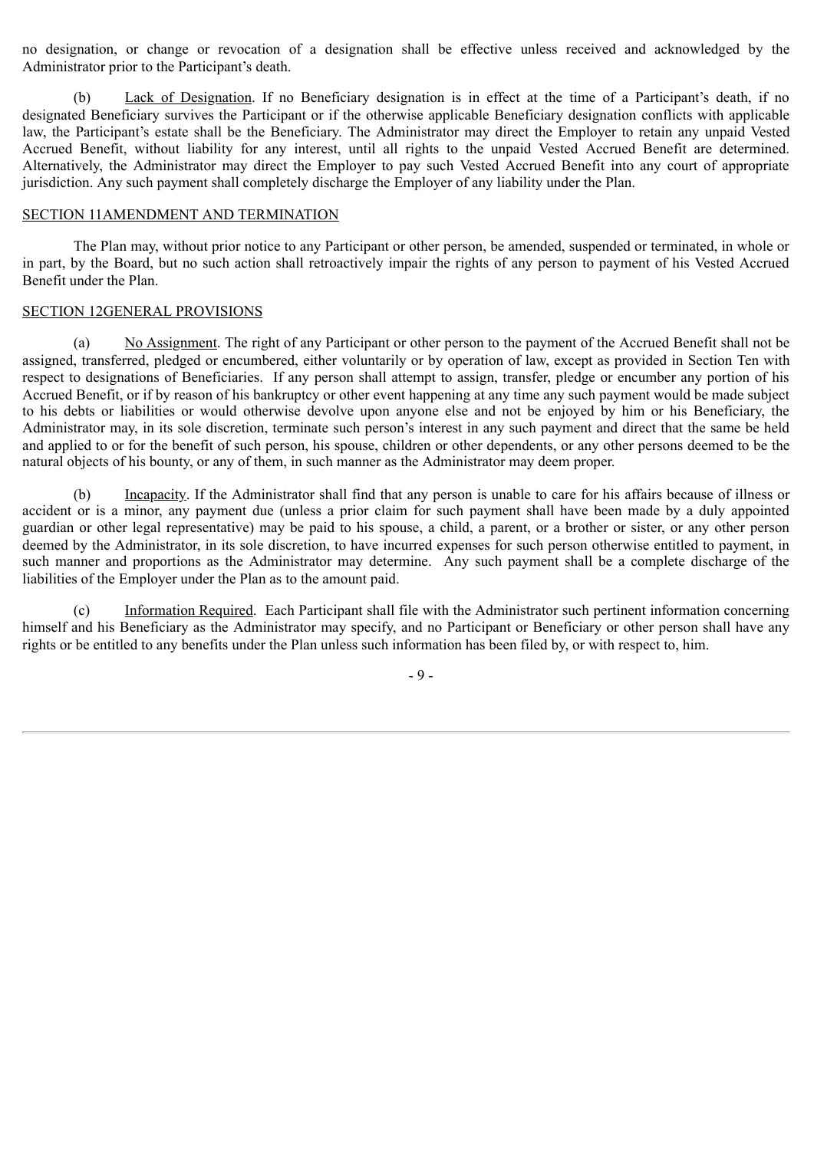no designation, or change or revocation of a designation shall be effective unless received and acknowledged by the Administrator prior to the Participant's death.

(b) Lack of Designation. If no Beneficiary designation is in effect at the time of a Participant's death, if no designated Beneficiary survives the Participant or if the otherwise applicable Beneficiary designation conflicts with applicable law, the Participant's estate shall be the Beneficiary. The Administrator may direct the Employer to retain any unpaid Vested Accrued Benefit, without liability for any interest, until all rights to the unpaid Vested Accrued Benefit are determined. Alternatively, the Administrator may direct the Employer to pay such Vested Accrued Benefit into any court of appropriate jurisdiction. Any such payment shall completely discharge the Employer of any liability under the Plan.

## SECTION 11AMENDMENT AND TERMINATION

The Plan may, without prior notice to any Participant or other person, be amended, suspended or terminated, in whole or in part, by the Board, but no such action shall retroactively impair the rights of any person to payment of his Vested Accrued Benefit under the Plan.

## SECTION 12GENERAL PROVISIONS

(a) No Assignment. The right of any Participant or other person to the payment of the Accrued Benefit shall not be assigned, transferred, pledged or encumbered, either voluntarily or by operation of law, except as provided in Section Ten with respect to designations of Beneficiaries. If any person shall attempt to assign, transfer, pledge or encumber any portion of his Accrued Benefit, or if by reason of his bankruptcy or other event happening at any time any such payment would be made subject to his debts or liabilities or would otherwise devolve upon anyone else and not be enjoyed by him or his Beneficiary, the Administrator may, in its sole discretion, terminate such person's interest in any such payment and direct that the same be held and applied to or for the benefit of such person, his spouse, children or other dependents, or any other persons deemed to be the natural objects of his bounty, or any of them, in such manner as the Administrator may deem proper.

(b) Incapacity. If the Administrator shall find that any person is unable to care for his affairs because of illness or accident or is a minor, any payment due (unless a prior claim for such payment shall have been made by a duly appointed guardian or other legal representative) may be paid to his spouse, a child, a parent, or a brother or sister, or any other person deemed by the Administrator, in its sole discretion, to have incurred expenses for such person otherwise entitled to payment, in such manner and proportions as the Administrator may determine. Any such payment shall be a complete discharge of the liabilities of the Employer under the Plan as to the amount paid.

(c) Information Required. Each Participant shall file with the Administrator such pertinent information concerning himself and his Beneficiary as the Administrator may specify, and no Participant or Beneficiary or other person shall have any rights or be entitled to any benefits under the Plan unless such information has been filed by, or with respect to, him.

- 9 -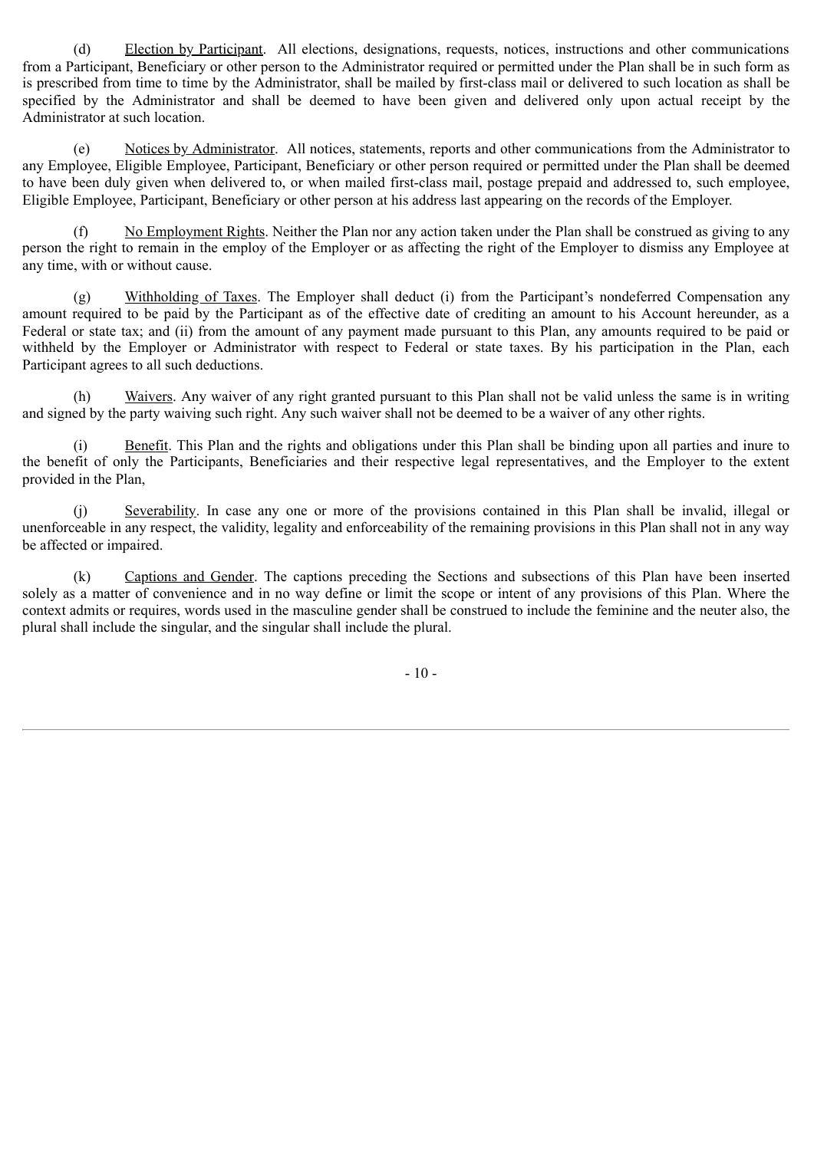(d) Election by Participant. All elections, designations, requests, notices, instructions and other communications from a Participant, Beneficiary or other person to the Administrator required or permitted under the Plan shall be in such form as is prescribed from time to time by the Administrator, shall be mailed by first-class mail or delivered to such location as shall be specified by the Administrator and shall be deemed to have been given and delivered only upon actual receipt by the Administrator at such location.

(e) Notices by Administrator. All notices, statements, reports and other communications from the Administrator to any Employee, Eligible Employee, Participant, Beneficiary or other person required or permitted under the Plan shall be deemed to have been duly given when delivered to, or when mailed first-class mail, postage prepaid and addressed to, such employee, Eligible Employee, Participant, Beneficiary or other person at his address last appearing on the records of the Employer.

(f) No Employment Rights. Neither the Plan nor any action taken under the Plan shall be construed as giving to any person the right to remain in the employ of the Employer or as affecting the right of the Employer to dismiss any Employee at any time, with or without cause.

(g) Withholding of Taxes. The Employer shall deduct (i) from the Participant's nondeferred Compensation any amount required to be paid by the Participant as of the effective date of crediting an amount to his Account hereunder, as a Federal or state tax; and (ii) from the amount of any payment made pursuant to this Plan, any amounts required to be paid or withheld by the Employer or Administrator with respect to Federal or state taxes. By his participation in the Plan, each Participant agrees to all such deductions.

(h) Waivers. Any waiver of any right granted pursuant to this Plan shall not be valid unless the same is in writing and signed by the party waiving such right. Any such waiver shall not be deemed to be a waiver of any other rights.

(i) Benefit. This Plan and the rights and obligations under this Plan shall be binding upon all parties and inure to the benefit of only the Participants, Beneficiaries and their respective legal representatives, and the Employer to the extent provided in the Plan,

(j) Severability. In case any one or more of the provisions contained in this Plan shall be invalid, illegal or unenforceable in any respect, the validity, legality and enforceability of the remaining provisions in this Plan shall not in any way be affected or impaired.

(k) Captions and Gender. The captions preceding the Sections and subsections of this Plan have been inserted solely as a matter of convenience and in no way define or limit the scope or intent of any provisions of this Plan. Where the context admits or requires, words used in the masculine gender shall be construed to include the feminine and the neuter also, the plural shall include the singular, and the singular shall include the plural.

- 10 -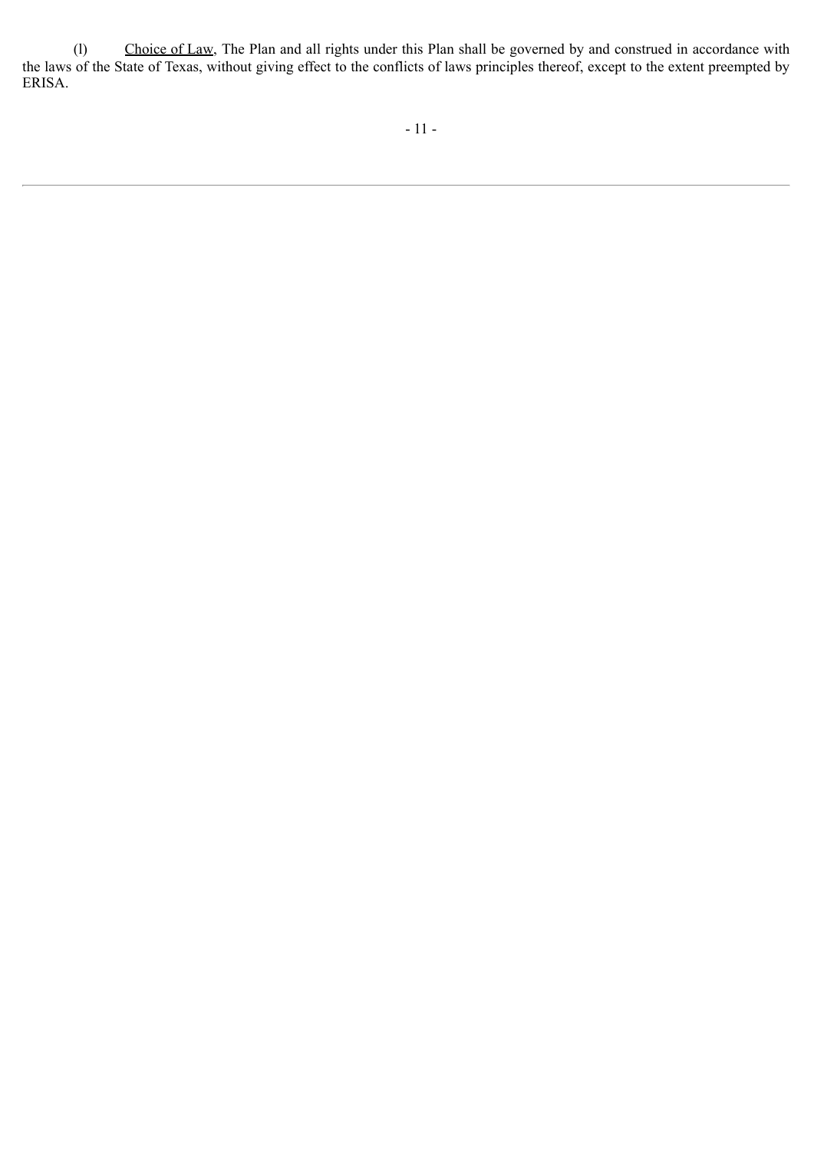(l) Choice of Law, The Plan and all rights under this Plan shall be governed by and construed in accordance with the laws of the State of Texas, without giving effect to the conflicts of laws principles thereof, except to the extent preempted by ERISA.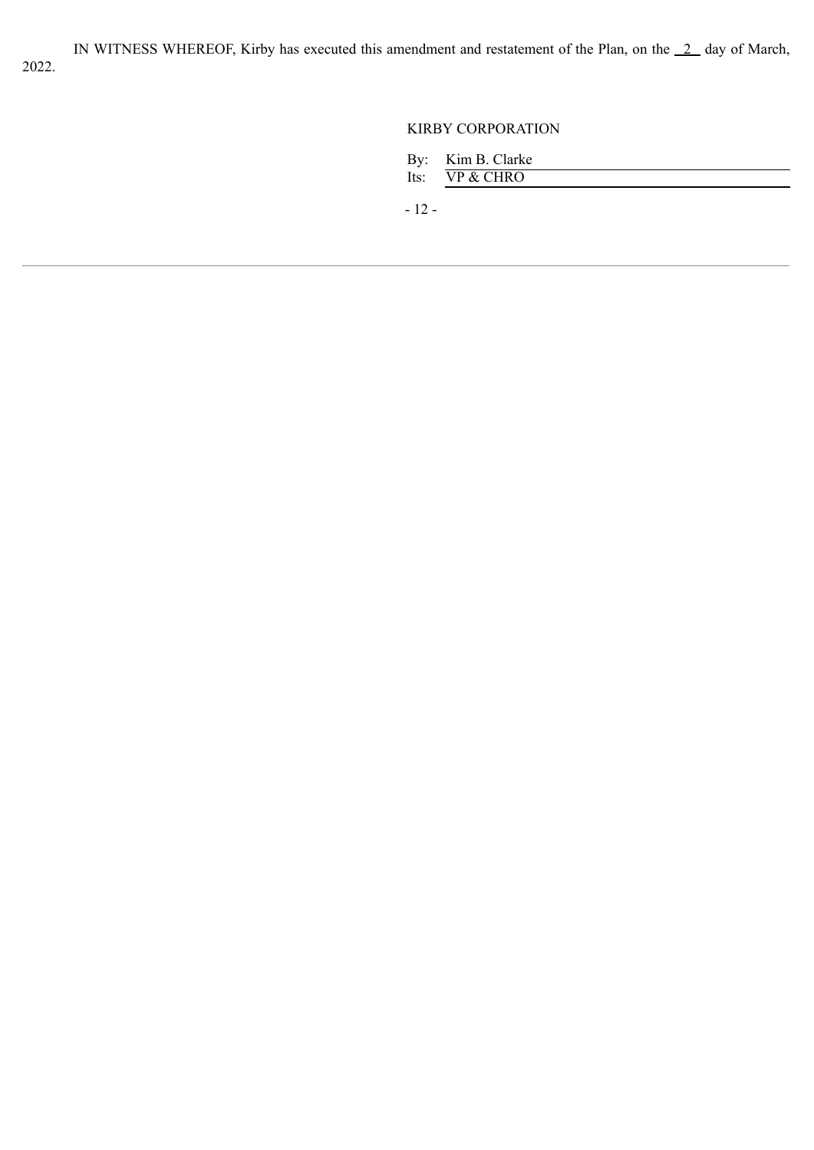IN WITNESS WHEREOF, Kirby has executed this amendment and restatement of the Plan, on the  $2$  day of March,

## KIRBY CORPORATION

| By: | Kim B. Clarke |  |
|-----|---------------|--|
|-----|---------------|--|

Its:  $\overline{VP & CHRO}$ 

- 12 -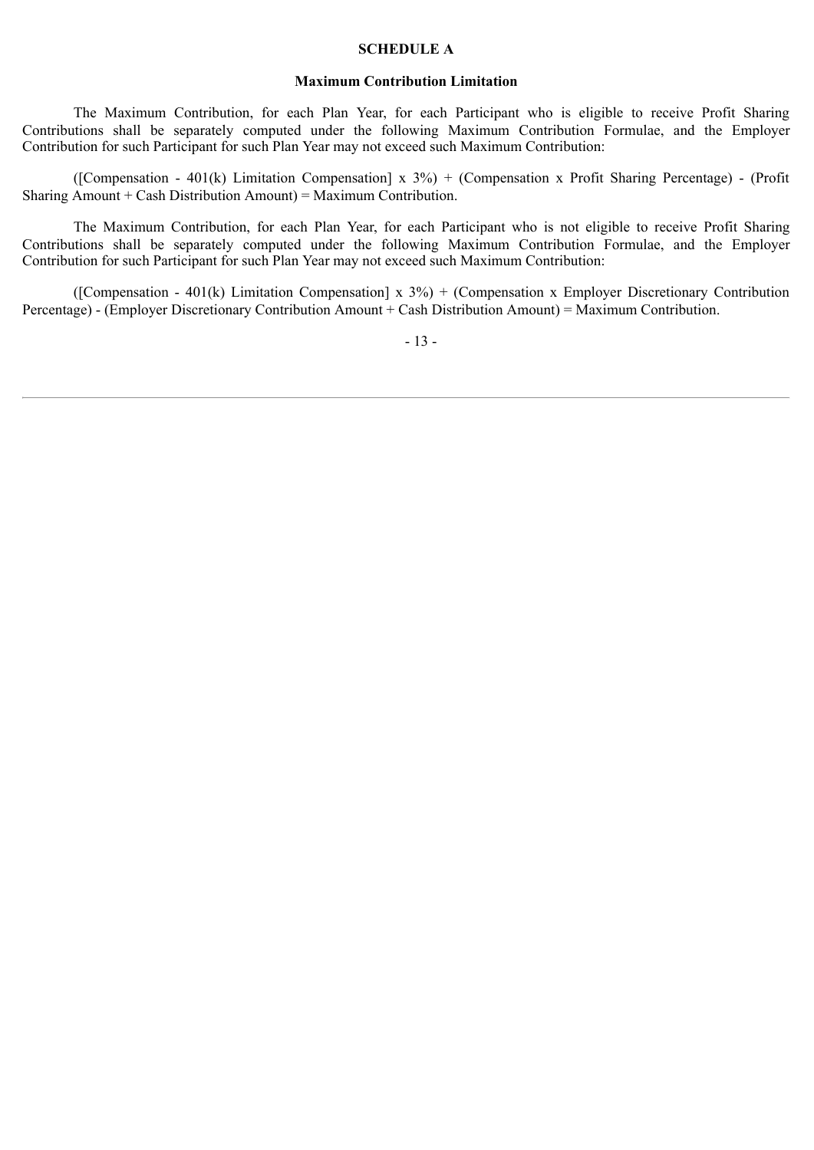## **SCHEDULE A**

## **Maximum Contribution Limitation**

The Maximum Contribution, for each Plan Year, for each Participant who is eligible to receive Profit Sharing Contributions shall be separately computed under the following Maximum Contribution Formulae, and the Employer Contribution for such Participant for such Plan Year may not exceed such Maximum Contribution:

([Compensation - 401(k) Limitation Compensation] x 3%) + (Compensation x Profit Sharing Percentage) - (Profit Sharing Amount + Cash Distribution Amount) = Maximum Contribution.

The Maximum Contribution, for each Plan Year, for each Participant who is not eligible to receive Profit Sharing Contributions shall be separately computed under the following Maximum Contribution Formulae, and the Employer Contribution for such Participant for such Plan Year may not exceed such Maximum Contribution:

([Compensation - 401(k) Limitation Compensation] x  $3\%$ ) + (Compensation x Employer Discretionary Contribution Percentage) - (Employer Discretionary Contribution Amount + Cash Distribution Amount) = Maximum Contribution.

- 13 -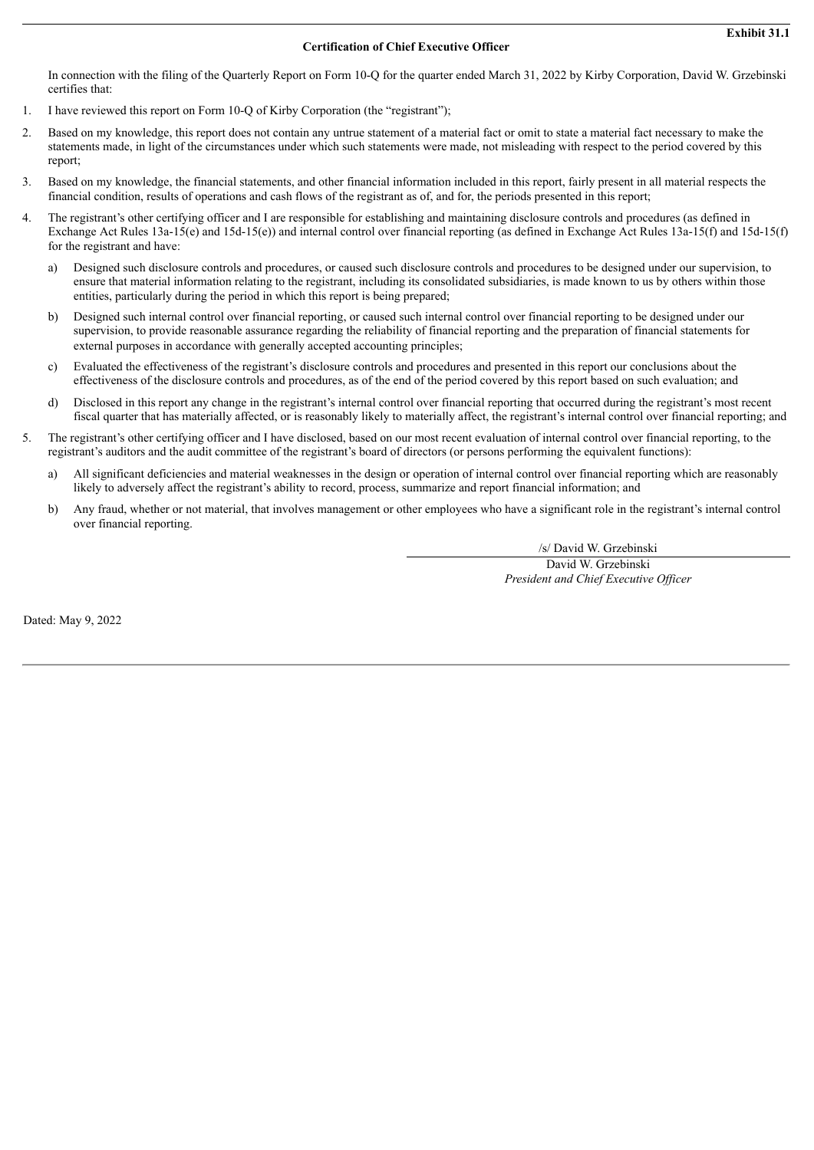## **Certification of Chief Executive Officer**

<span id="page-40-0"></span>In connection with the filing of the Quarterly Report on Form 10-Q for the quarter ended March 31, 2022 by Kirby Corporation, David W. Grzebinski certifies that:

- 1. I have reviewed this report on Form 10-Q of Kirby Corporation (the "registrant");
- 2. Based on my knowledge, this report does not contain any untrue statement of a material fact or omit to state a material fact necessary to make the statements made, in light of the circumstances under which such statements were made, not misleading with respect to the period covered by this report;
- 3. Based on my knowledge, the financial statements, and other financial information included in this report, fairly present in all material respects the financial condition, results of operations and cash flows of the registrant as of, and for, the periods presented in this report;
- 4. The registrant's other certifying officer and I are responsible for establishing and maintaining disclosure controls and procedures (as defined in Exchange Act Rules 13a-15(e) and 15d-15(e)) and internal control over financial reporting (as defined in Exchange Act Rules 13a-15(f) and 15d-15(f) for the registrant and have:
	- a) Designed such disclosure controls and procedures, or caused such disclosure controls and procedures to be designed under our supervision, to ensure that material information relating to the registrant, including its consolidated subsidiaries, is made known to us by others within those entities, particularly during the period in which this report is being prepared;
	- b) Designed such internal control over financial reporting, or caused such internal control over financial reporting to be designed under our supervision, to provide reasonable assurance regarding the reliability of financial reporting and the preparation of financial statements for external purposes in accordance with generally accepted accounting principles;
	- c) Evaluated the effectiveness of the registrant's disclosure controls and procedures and presented in this report our conclusions about the effectiveness of the disclosure controls and procedures, as of the end of the period covered by this report based on such evaluation; and
	- d) Disclosed in this report any change in the registrant's internal control over financial reporting that occurred during the registrant's most recent fiscal quarter that has materially affected, or is reasonably likely to materially affect, the registrant's internal control over financial reporting; and
- 5. The registrant's other certifying officer and I have disclosed, based on our most recent evaluation of internal control over financial reporting, to the registrant's auditors and the audit committee of the registrant's board of directors (or persons performing the equivalent functions):
	- a) All significant deficiencies and material weaknesses in the design or operation of internal control over financial reporting which are reasonably likely to adversely affect the registrant's ability to record, process, summarize and report financial information; and
	- b) Any fraud, whether or not material, that involves management or other employees who have a significant role in the registrant's internal control over financial reporting.

/s/ David W. Grzebinski

David W. Grzebinski *President and Chief Executive Of icer*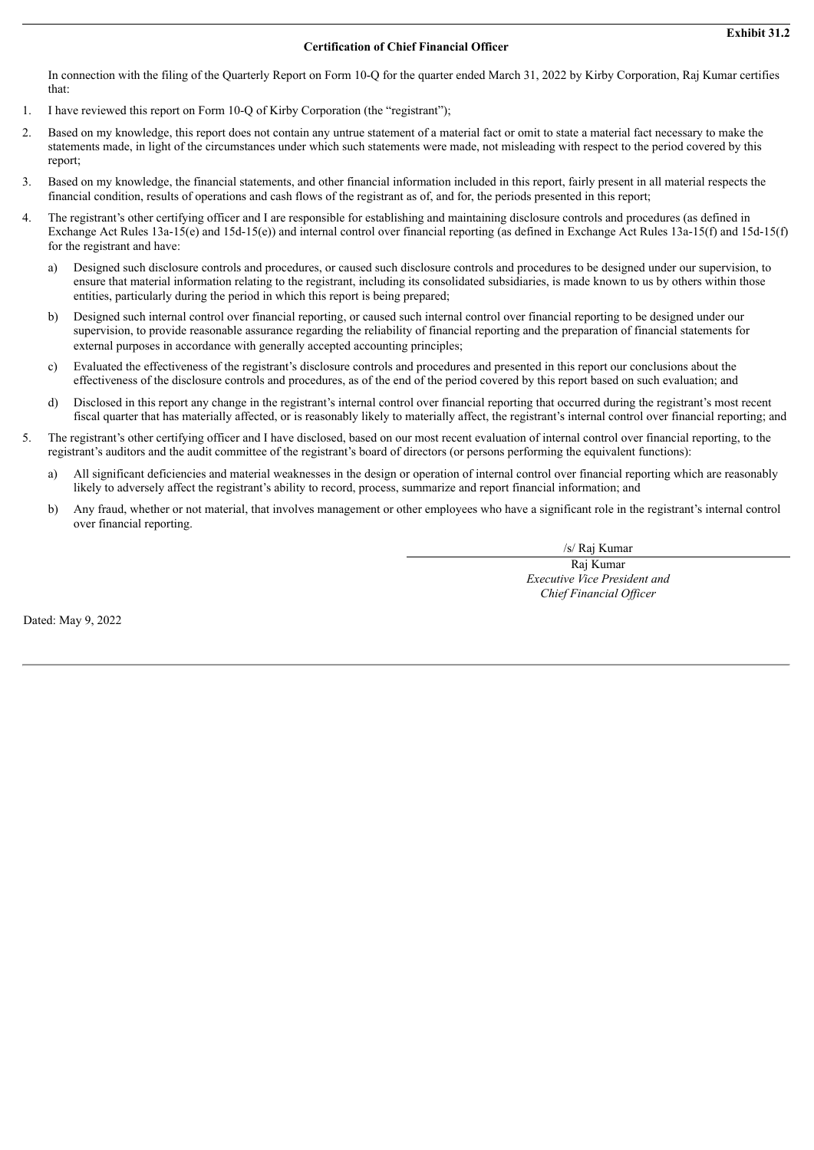## **Certification of Chief Financial Officer**

<span id="page-41-0"></span>In connection with the filing of the Quarterly Report on Form 10-Q for the quarter ended March 31, 2022 by Kirby Corporation, Raj Kumar certifies that:

- 1. I have reviewed this report on Form 10-Q of Kirby Corporation (the "registrant");
- 2. Based on my knowledge, this report does not contain any untrue statement of a material fact or omit to state a material fact necessary to make the statements made, in light of the circumstances under which such statements were made, not misleading with respect to the period covered by this report;
- 3. Based on my knowledge, the financial statements, and other financial information included in this report, fairly present in all material respects the financial condition, results of operations and cash flows of the registrant as of, and for, the periods presented in this report;
- 4. The registrant's other certifying officer and I are responsible for establishing and maintaining disclosure controls and procedures (as defined in Exchange Act Rules 13a-15(e) and 15d-15(e)) and internal control over financial reporting (as defined in Exchange Act Rules 13a-15(f) and 15d-15(f) for the registrant and have:
	- a) Designed such disclosure controls and procedures, or caused such disclosure controls and procedures to be designed under our supervision, to ensure that material information relating to the registrant, including its consolidated subsidiaries, is made known to us by others within those entities, particularly during the period in which this report is being prepared;
	- b) Designed such internal control over financial reporting, or caused such internal control over financial reporting to be designed under our supervision, to provide reasonable assurance regarding the reliability of financial reporting and the preparation of financial statements for external purposes in accordance with generally accepted accounting principles;
	- c) Evaluated the effectiveness of the registrant's disclosure controls and procedures and presented in this report our conclusions about the effectiveness of the disclosure controls and procedures, as of the end of the period covered by this report based on such evaluation; and
	- d) Disclosed in this report any change in the registrant's internal control over financial reporting that occurred during the registrant's most recent fiscal quarter that has materially affected, or is reasonably likely to materially affect, the registrant's internal control over financial reporting; and
- 5. The registrant's other certifying officer and I have disclosed, based on our most recent evaluation of internal control over financial reporting, to the registrant's auditors and the audit committee of the registrant's board of directors (or persons performing the equivalent functions):
	- a) All significant deficiencies and material weaknesses in the design or operation of internal control over financial reporting which are reasonably likely to adversely affect the registrant's ability to record, process, summarize and report financial information; and
	- b) Any fraud, whether or not material, that involves management or other employees who have a significant role in the registrant's internal control over financial reporting.

/s/ Raj Kumar

Raj Kumar *Executive Vice President and Chief Financial Of icer*